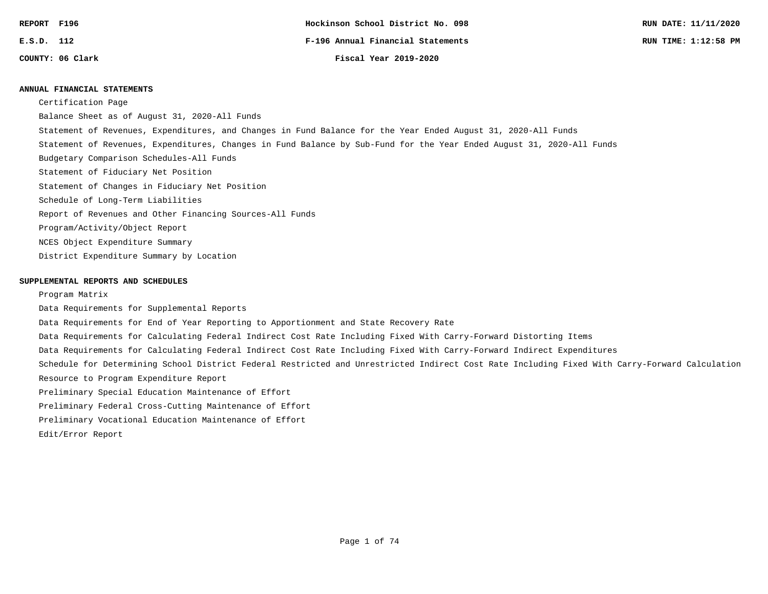#### **ANNUAL FINANCIAL STATEMENTS**

Certification Page

Balance Sheet as of August 31, 2020-All Funds

- Statement of Revenues, Expenditures, and Changes in Fund Balance for the Year Ended August 31, 2020-All Funds
- Statement of Revenues, Expenditures, Changes in Fund Balance by Sub-Fund for the Year Ended August 31, 2020-All Funds
- Budgetary Comparison Schedules-All Funds
- Statement of Fiduciary Net Position
- Statement of Changes in Fiduciary Net Position
- Schedule of Long-Term Liabilities
- Report of Revenues and Other Financing Sources-All Funds
- Program/Activity/Object Report
- NCES Object Expenditure Summary
- District Expenditure Summary by Location

#### **SUPPLEMENTAL REPORTS AND SCHEDULES**

Program Matrix

- Data Requirements for Supplemental Reports
- Data Requirements for End of Year Reporting to Apportionment and State Recovery Rate
- Data Requirements for Calculating Federal Indirect Cost Rate Including Fixed With Carry-Forward Distorting Items
- Data Requirements for Calculating Federal Indirect Cost Rate Including Fixed With Carry-Forward Indirect Expenditures
- Schedule for Determining School District Federal Restricted and Unrestricted Indirect Cost Rate Including Fixed With Carry-Forward Calculation Resource to Program Expenditure Report
- Preliminary Special Education Maintenance of Effort
- Preliminary Federal Cross-Cutting Maintenance of Effort
- Preliminary Vocational Education Maintenance of Effort
- Edit/Error Report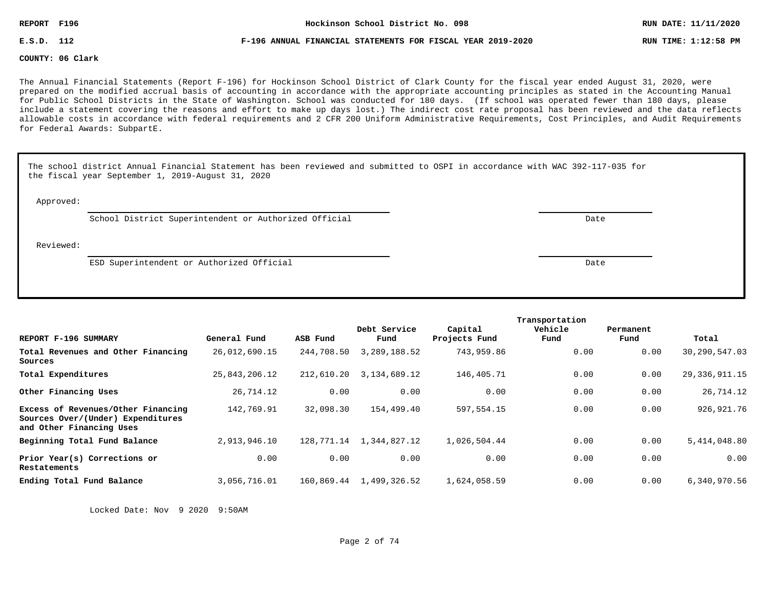**E.S.D. 112 F-196 ANNUAL FINANCIAL STATEMENTS FOR FISCAL YEAR 2019-2020 RUN TIME: 1:12:58 PM**

**COUNTY: 06 Clark**

The Annual Financial Statements (Report F-196) for Hockinson School District of Clark County for the fiscal year ended August 31, 2020, were prepared on the modified accrual basis of accounting in accordance with the appropriate accounting principles as stated in the Accounting Manual for Public School Districts in the State of Washington. School was conducted for 180 days. (If school was operated fewer than 180 days, please include a statement covering the reasons and effort to make up days lost.) The indirect cost rate proposal has been reviewed and the data reflects allowable costs in accordance with federal requirements and 2 CFR 200 Uniform Administrative Requirements, Cost Principles, and Audit Requirements for Federal Awards: SubpartE.

|           | The school district Annual Financial Statement has been reviewed and submitted to OSPI in accordance with WAC 392-117-035 for<br>the fiscal year September 1, 2019-August 31, 2020 |  |      |  |  |  |  |  |
|-----------|------------------------------------------------------------------------------------------------------------------------------------------------------------------------------------|--|------|--|--|--|--|--|
| Approved: |                                                                                                                                                                                    |  |      |  |  |  |  |  |
|           | School District Superintendent or Authorized Official                                                                                                                              |  | Date |  |  |  |  |  |
| Reviewed: |                                                                                                                                                                                    |  |      |  |  |  |  |  |
|           | ESD Superintendent or Authorized Official                                                                                                                                          |  | Date |  |  |  |  |  |
|           |                                                                                                                                                                                    |  |      |  |  |  |  |  |

|                                                                                                     |               |            | Debt Service | Capital       | Transportation<br>Vehicle | Permanent |                  |
|-----------------------------------------------------------------------------------------------------|---------------|------------|--------------|---------------|---------------------------|-----------|------------------|
| REPORT F-196 SUMMARY                                                                                | General Fund  | ASB Fund   | Fund         | Projects Fund | Fund                      | Fund      | Total            |
| Total Revenues and Other Financing<br>Sources                                                       | 26,012,690.15 | 244,708.50 | 3,289,188.52 | 743,959.86    | 0.00                      | 0.00      | 30,290,547.03    |
| Total Expenditures                                                                                  | 25,843,206.12 | 212,610.20 | 3,134,689.12 | 146,405.71    | 0.00                      | 0.00      | 29, 336, 911. 15 |
| Other Financing Uses                                                                                | 26,714.12     | 0.00       | 0.00         | 0.00          | 0.00                      | 0.00      | 26,714.12        |
| Excess of Revenues/Other Financing<br>Sources Over/(Under) Expenditures<br>and Other Financing Uses | 142,769.91    | 32,098.30  | 154,499.40   | 597,554.15    | 0.00                      | 0.00      | 926,921.76       |
| Beginning Total Fund Balance                                                                        | 2,913,946.10  | 128,771.14 | 1,344,827.12 | 1,026,504.44  | 0.00                      | 0.00      | 5,414,048.80     |
| Prior Year(s) Corrections or<br>Restatements                                                        | 0.00          | 0.00       | 0.00         | 0.00          | 0.00                      | 0.00      | 0.00             |
| Ending Total Fund Balance                                                                           | 3,056,716.01  | 160,869.44 | 1,499,326.52 | 1,624,058.59  | 0.00                      | 0.00      | 6,340,970.56     |

Locked Date: Nov 9 2020 9:50AM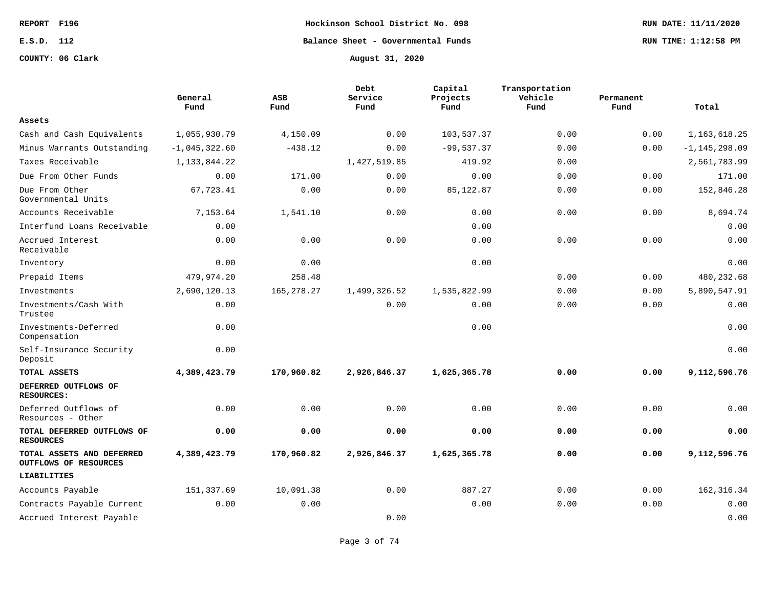**COUNTY: 06 Clark August 31, 2020**

**REPORT F196 Hockinson School District No. 098 RUN DATE: 11/11/2020 E.S.D. 112 Balance Sheet - Governmental Funds RUN TIME: 1:12:58 PM**

|                                                    | General<br>Fund | ASB<br>Fund  | Debt<br>Service<br>Fund | Capital<br>Projects<br>Fund | Transportation<br>Vehicle<br>Fund | Permanent<br>Fund | Total             |
|----------------------------------------------------|-----------------|--------------|-------------------------|-----------------------------|-----------------------------------|-------------------|-------------------|
| Assets                                             |                 |              |                         |                             |                                   |                   |                   |
| Cash and Cash Equivalents                          | 1,055,930.79    | 4,150.09     | 0.00                    | 103,537.37                  | 0.00                              | 0.00              | 1, 163, 618. 25   |
| Minus Warrants Outstanding                         | $-1,045,322.60$ | $-438.12$    | 0.00                    | $-99,537.37$                | 0.00                              | 0.00              | $-1, 145, 298.09$ |
| Taxes Receivable                                   | 1, 133, 844. 22 |              | 1,427,519.85            | 419.92                      | 0.00                              |                   | 2,561,783.99      |
| Due From Other Funds                               | 0.00            | 171.00       | 0.00                    | 0.00                        | 0.00                              | 0.00              | 171.00            |
| Due From Other<br>Governmental Units               | 67,723.41       | 0.00         | 0.00                    | 85,122.87                   | 0.00                              | 0.00              | 152,846.28        |
| Accounts Receivable                                | 7,153.64        | 1,541.10     | 0.00                    | 0.00                        | 0.00                              | 0.00              | 8,694.74          |
| Interfund Loans Receivable                         | 0.00            |              |                         | 0.00                        |                                   |                   | 0.00              |
| Accrued Interest<br>Receivable                     | 0.00            | 0.00         | 0.00                    | 0.00                        | 0.00                              | 0.00              | 0.00              |
| Inventory                                          | 0.00            | 0.00         |                         | 0.00                        |                                   |                   | 0.00              |
| Prepaid Items                                      | 479,974.20      | 258.48       |                         |                             | 0.00                              | 0.00              | 480,232.68        |
| Investments                                        | 2,690,120.13    | 165, 278. 27 | 1,499,326.52            | 1,535,822.99                | 0.00                              | 0.00              | 5,890,547.91      |
| Investments/Cash With<br>Trustee                   | 0.00            |              | 0.00                    | 0.00                        | 0.00                              | 0.00              | 0.00              |
| Investments-Deferred<br>Compensation               | 0.00            |              |                         | 0.00                        |                                   |                   | 0.00              |
| Self-Insurance Security<br>Deposit                 | 0.00            |              |                         |                             |                                   |                   | 0.00              |
| TOTAL ASSETS                                       | 4,389,423.79    | 170,960.82   | 2,926,846.37            | 1,625,365.78                | 0.00                              | 0.00              | 9,112,596.76      |
| DEFERRED OUTFLOWS OF<br><b>RESOURCES:</b>          |                 |              |                         |                             |                                   |                   |                   |
| Deferred Outflows of<br>Resources - Other          | 0.00            | 0.00         | 0.00                    | 0.00                        | 0.00                              | 0.00              | 0.00              |
| TOTAL DEFERRED OUTFLOWS OF<br><b>RESOURCES</b>     | 0.00            | 0.00         | 0.00                    | 0.00                        | 0.00                              | 0.00              | 0.00              |
| TOTAL ASSETS AND DEFERRED<br>OUTFLOWS OF RESOURCES | 4,389,423.79    | 170,960.82   | 2,926,846.37            | 1,625,365.78                | 0.00                              | 0.00              | 9,112,596.76      |
| LIABILITIES                                        |                 |              |                         |                             |                                   |                   |                   |
| Accounts Payable                                   | 151,337.69      | 10,091.38    | 0.00                    | 887.27                      | 0.00                              | 0.00              | 162, 316.34       |
| Contracts Payable Current                          | 0.00            | 0.00         |                         | 0.00                        | 0.00                              | 0.00              | 0.00              |
| Accrued Interest Payable                           |                 |              | 0.00                    |                             |                                   |                   | 0.00              |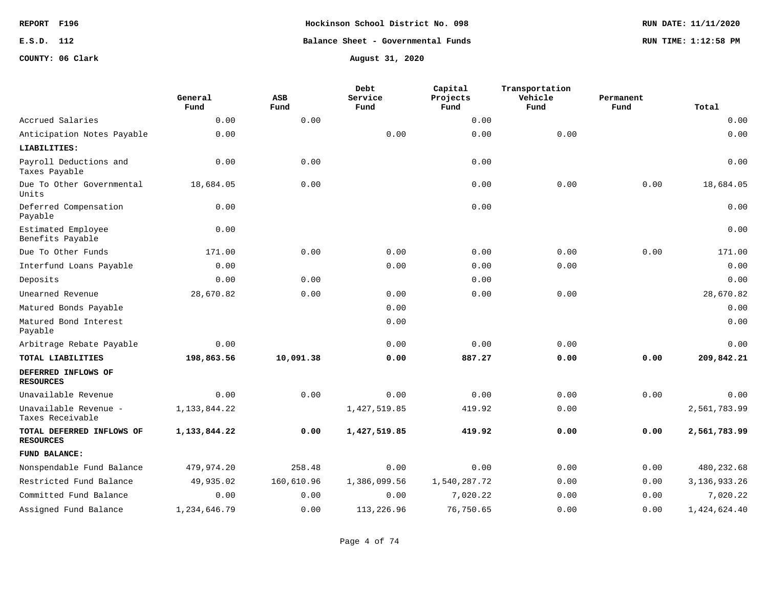**REPORT F196 Hockinson School District No. 098 RUN DATE: 11/11/2020 E.S.D. 112 Balance Sheet - Governmental Funds RUN TIME: 1:12:58 PM**

**COUNTY: 06 Clark August 31, 2020**

|                                               | General<br>Fund | <b>ASB</b><br>Fund | Debt<br>Service<br>Fund | Capital<br>Projects<br>Fund | Transportation<br>Vehicle<br>Fund | Permanent<br>Fund | Total           |
|-----------------------------------------------|-----------------|--------------------|-------------------------|-----------------------------|-----------------------------------|-------------------|-----------------|
| Accrued Salaries                              | 0.00            | 0.00               |                         | 0.00                        |                                   |                   | 0.00            |
| Anticipation Notes Payable                    | 0.00            |                    | 0.00                    | 0.00                        | 0.00                              |                   | 0.00            |
| LIABILITIES:                                  |                 |                    |                         |                             |                                   |                   |                 |
| Payroll Deductions and<br>Taxes Payable       | 0.00            | 0.00               |                         | 0.00                        |                                   |                   | 0.00            |
| Due To Other Governmental<br>Units            | 18,684.05       | 0.00               |                         | 0.00                        | 0.00                              | 0.00              | 18,684.05       |
| Deferred Compensation<br>Payable              | 0.00            |                    |                         | 0.00                        |                                   |                   | 0.00            |
| Estimated Employee<br>Benefits Payable        | 0.00            |                    |                         |                             |                                   |                   | 0.00            |
| Due To Other Funds                            | 171.00          | 0.00               | 0.00                    | 0.00                        | 0.00                              | 0.00              | 171.00          |
| Interfund Loans Payable                       | 0.00            |                    | 0.00                    | 0.00                        | 0.00                              |                   | 0.00            |
| Deposits                                      | 0.00            | 0.00               |                         | 0.00                        |                                   |                   | 0.00            |
| Unearned Revenue                              | 28,670.82       | 0.00               | 0.00                    | 0.00                        | 0.00                              |                   | 28,670.82       |
| Matured Bonds Payable                         |                 |                    | 0.00                    |                             |                                   |                   | 0.00            |
| Matured Bond Interest<br>Payable              |                 |                    | 0.00                    |                             |                                   |                   | 0.00            |
| Arbitrage Rebate Payable                      | 0.00            |                    | 0.00                    | 0.00                        | 0.00                              |                   | 0.00            |
| TOTAL LIABILITIES                             | 198,863.56      | 10,091.38          | 0.00                    | 887.27                      | 0.00                              | 0.00              | 209,842.21      |
| DEFERRED INFLOWS OF<br><b>RESOURCES</b>       |                 |                    |                         |                             |                                   |                   |                 |
| Unavailable Revenue                           | 0.00            | 0.00               | 0.00                    | 0.00                        | 0.00                              | 0.00              | 0.00            |
| Unavailable Revenue -<br>Taxes Receivable     | 1, 133, 844. 22 |                    | 1,427,519.85            | 419.92                      | 0.00                              |                   | 2,561,783.99    |
| TOTAL DEFERRED INFLOWS OF<br><b>RESOURCES</b> | 1,133,844.22    | 0.00               | 1,427,519.85            | 419.92                      | 0.00                              | 0.00              | 2,561,783.99    |
| FUND BALANCE:                                 |                 |                    |                         |                             |                                   |                   |                 |
| Nonspendable Fund Balance                     | 479,974.20      | 258.48             | 0.00                    | 0.00                        | 0.00                              | 0.00              | 480, 232.68     |
| Restricted Fund Balance                       | 49,935.02       | 160,610.96         | 1,386,099.56            | 1,540,287.72                | 0.00                              | 0.00              | 3, 136, 933. 26 |
| Committed Fund Balance                        | 0.00            | 0.00               | 0.00                    | 7,020.22                    | 0.00                              | 0.00              | 7,020.22        |
| Assigned Fund Balance                         | 1,234,646.79    | 0.00               | 113,226.96              | 76,750.65                   | 0.00                              | 0.00              | 1,424,624.40    |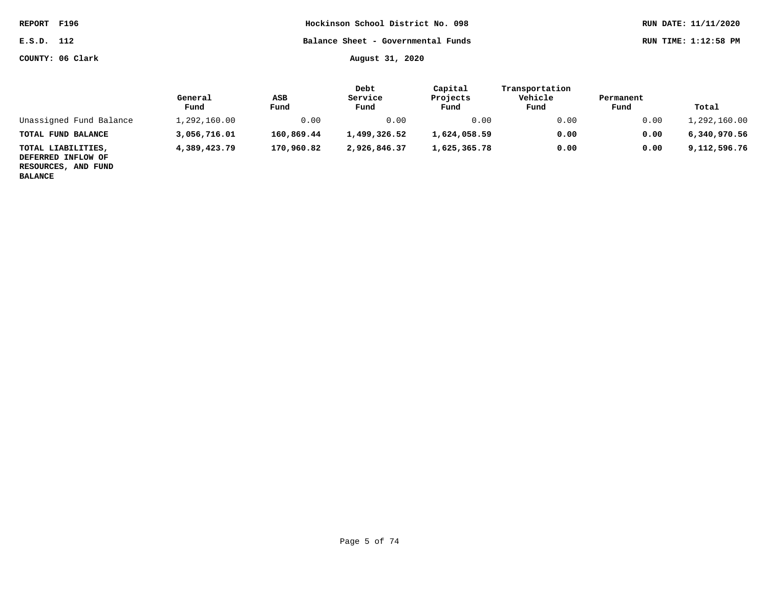| <b>REPORT</b> | F196 |
|---------------|------|
|               |      |

**COUNTY: 06 Clark August 31, 2020**

|                                                                 | General<br>Fund | ASB<br>Fund | Debt<br>Service<br>Fund | Capital<br>Projects<br>Fund | Transportation<br>Vehicle<br>Fund | Permanent<br>Fund | Total        |
|-----------------------------------------------------------------|-----------------|-------------|-------------------------|-----------------------------|-----------------------------------|-------------------|--------------|
| Unassigned Fund Balance                                         | 1,292,160.00    | 0.00        | 0.00                    | 0.00                        | 0.00                              | 0.00              | 1,292,160.00 |
| TOTAL FUND BALANCE                                              | 3,056,716.01    | 160,869.44  | 1,499,326.52            | 1,624,058.59                | 0.00                              | 0.00              | 6,340,970.56 |
| TOTAL LIABILITIES,<br>DEFERRED INFLOW OF<br>RESOURCES, AND FUND | 4,389,423.79    | 170,960.82  | 2,926,846.37            | 1,625,365.78                | 0.00                              | 0.00              | 9,112,596.76 |

**BALANCE**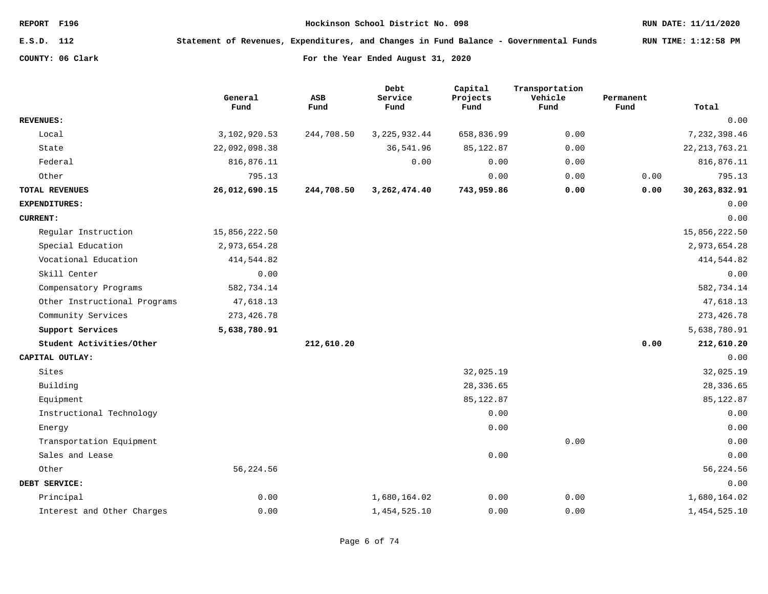**E.S.D. 112 Statement of Revenues, Expenditures, and Changes in Fund Balance - Governmental Funds RUN TIME: 1:12:58 PM**

|                              | General<br>Fund | ASB<br>Fund | Debt<br>Service<br>Fund | Capital<br>Projects<br>Fund | Transportation<br>Vehicle<br>Fund | Permanent<br>Fund | Total            |
|------------------------------|-----------------|-------------|-------------------------|-----------------------------|-----------------------------------|-------------------|------------------|
| <b>REVENUES:</b>             |                 |             |                         |                             |                                   |                   | 0.00             |
| Local                        | 3,102,920.53    | 244,708.50  | 3, 225, 932.44          | 658,836.99                  | 0.00                              |                   | 7,232,398.46     |
| State                        | 22,092,098.38   |             | 36,541.96               | 85, 122.87                  | 0.00                              |                   | 22, 213, 763. 21 |
| Federal                      | 816,876.11      |             | 0.00                    | 0.00                        | 0.00                              |                   | 816,876.11       |
| Other                        | 795.13          |             |                         | 0.00                        | 0.00                              | 0.00              | 795.13           |
| <b>TOTAL REVENUES</b>        | 26,012,690.15   | 244,708.50  | 3,262,474.40            | 743,959.86                  | 0.00                              | 0.00              | 30,263,832.91    |
| EXPENDITURES:                |                 |             |                         |                             |                                   |                   | 0.00             |
| <b>CURRENT:</b>              |                 |             |                         |                             |                                   |                   | 0.00             |
| Regular Instruction          | 15,856,222.50   |             |                         |                             |                                   |                   | 15,856,222.50    |
| Special Education            | 2,973,654.28    |             |                         |                             |                                   |                   | 2,973,654.28     |
| Vocational Education         | 414,544.82      |             |                         |                             |                                   |                   | 414,544.82       |
| Skill Center                 | 0.00            |             |                         |                             |                                   |                   | 0.00             |
| Compensatory Programs        | 582,734.14      |             |                         |                             |                                   |                   | 582,734.14       |
| Other Instructional Programs | 47,618.13       |             |                         |                             |                                   |                   | 47,618.13        |
| Community Services           | 273, 426.78     |             |                         |                             |                                   |                   | 273, 426.78      |
| Support Services             | 5,638,780.91    |             |                         |                             |                                   |                   | 5,638,780.91     |
| Student Activities/Other     |                 | 212,610.20  |                         |                             |                                   | 0.00              | 212,610.20       |
| CAPITAL OUTLAY:              |                 |             |                         |                             |                                   |                   | 0.00             |
| Sites                        |                 |             |                         | 32,025.19                   |                                   |                   | 32,025.19        |
| Building                     |                 |             |                         | 28,336.65                   |                                   |                   | 28,336.65        |
| Equipment                    |                 |             |                         | 85, 122.87                  |                                   |                   | 85,122.87        |
| Instructional Technology     |                 |             |                         | 0.00                        |                                   |                   | 0.00             |
| Energy                       |                 |             |                         | 0.00                        |                                   |                   | 0.00             |
| Transportation Equipment     |                 |             |                         |                             | 0.00                              |                   | 0.00             |
| Sales and Lease              |                 |             |                         | 0.00                        |                                   |                   | 0.00             |
| Other                        | 56, 224.56      |             |                         |                             |                                   |                   | 56,224.56        |
| DEBT SERVICE:                |                 |             |                         |                             |                                   |                   | 0.00             |
| Principal                    | 0.00            |             | 1,680,164.02            | 0.00                        | 0.00                              |                   | 1,680,164.02     |
| Interest and Other Charges   | 0.00            |             | 1,454,525.10            | 0.00                        | 0.00                              |                   | 1,454,525.10     |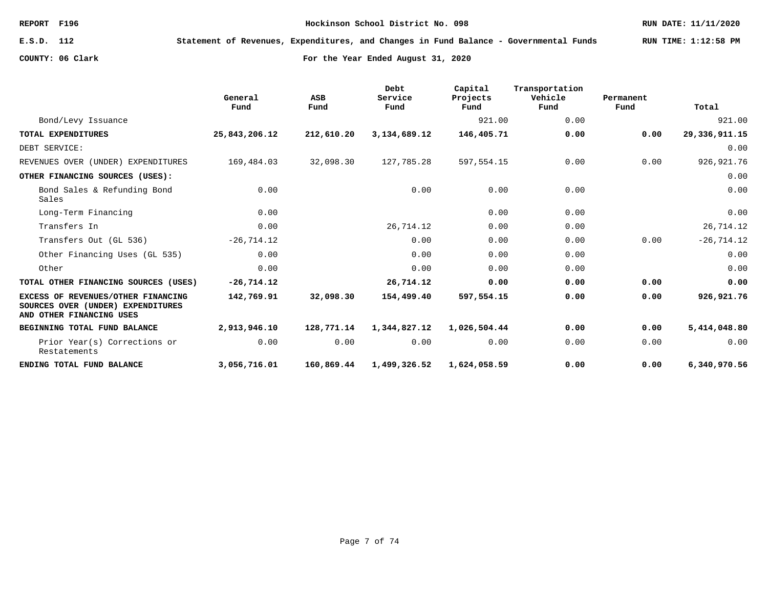**E.S.D. 112 Statement of Revenues, Expenditures, and Changes in Fund Balance - Governmental Funds RUN TIME: 1:12:58 PM**

|                                                                                                     | General<br>Fund | ASB<br>Fund | Debt<br>Service<br>Fund | Capital<br>Projects<br>Fund | Transportation<br>Vehicle<br>Fund | Permanent<br>Fund | Total         |
|-----------------------------------------------------------------------------------------------------|-----------------|-------------|-------------------------|-----------------------------|-----------------------------------|-------------------|---------------|
| Bond/Levy Issuance                                                                                  |                 |             |                         | 921.00                      | 0.00                              |                   | 921.00        |
| TOTAL EXPENDITURES                                                                                  | 25,843,206.12   | 212,610.20  | 3,134,689.12            | 146,405.71                  | 0.00                              | 0.00              | 29,336,911.15 |
| DEBT SERVICE:                                                                                       |                 |             |                         |                             |                                   |                   | 0.00          |
| REVENUES OVER (UNDER) EXPENDITURES                                                                  | 169,484.03      | 32,098.30   | 127,785.28              | 597,554.15                  | 0.00                              | 0.00              | 926, 921.76   |
| OTHER FINANCING SOURCES (USES):                                                                     |                 |             |                         |                             |                                   |                   | 0.00          |
| Bond Sales & Refunding Bond<br>Sales                                                                | 0.00            |             | 0.00                    | 0.00                        | 0.00                              |                   | 0.00          |
| Long-Term Financing                                                                                 | 0.00            |             |                         | 0.00                        | 0.00                              |                   | 0.00          |
| Transfers In                                                                                        | 0.00            |             | 26,714.12               | 0.00                        | 0.00                              |                   | 26,714.12     |
| Transfers Out (GL 536)                                                                              | $-26, 714.12$   |             | 0.00                    | 0.00                        | 0.00                              | 0.00              | $-26, 714.12$ |
| Other Financing Uses (GL 535)                                                                       | 0.00            |             | 0.00                    | 0.00                        | 0.00                              |                   | 0.00          |
| Other                                                                                               | 0.00            |             | 0.00                    | 0.00                        | 0.00                              |                   | 0.00          |
| TOTAL OTHER FINANCING SOURCES (USES)                                                                | $-26,714.12$    |             | 26,714.12               | 0.00                        | 0.00                              | 0.00              | 0.00          |
| EXCESS OF REVENUES/OTHER FINANCING<br>SOURCES OVER (UNDER) EXPENDITURES<br>AND OTHER FINANCING USES | 142,769.91      | 32,098.30   | 154,499.40              | 597,554.15                  | 0.00                              | 0.00              | 926, 921. 76  |
| BEGINNING TOTAL FUND BALANCE                                                                        | 2,913,946.10    | 128,771.14  | 1,344,827.12            | 1,026,504.44                | 0.00                              | 0.00              | 5,414,048.80  |
| Prior Year(s) Corrections or<br>Restatements                                                        | 0.00            | 0.00        | 0.00                    | 0.00                        | 0.00                              | 0.00              | 0.00          |
| ENDING TOTAL FUND BALANCE                                                                           | 3,056,716.01    | 160,869.44  | 1,499,326.52            | 1,624,058.59                | 0.00                              | 0.00              | 6,340,970.56  |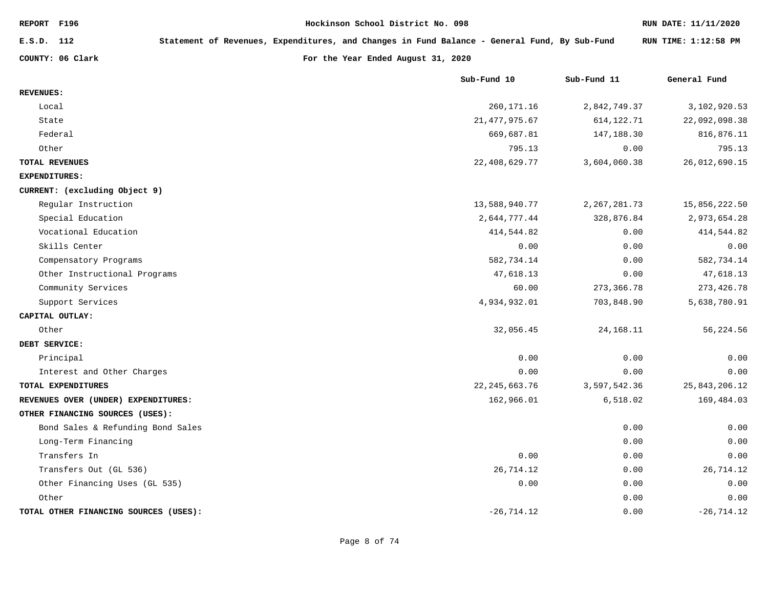| REPORT F196                           | Hockinson School District No. 098  |                                                                                              |                | RUN DATE: 11/11/2020 |
|---------------------------------------|------------------------------------|----------------------------------------------------------------------------------------------|----------------|----------------------|
| E.S.D. 112                            |                                    | Statement of Revenues, Expenditures, and Changes in Fund Balance - General Fund, By Sub-Fund |                | RUN TIME: 1:12:58 PM |
| COUNTY: 06 Clark                      | For the Year Ended August 31, 2020 |                                                                                              |                |                      |
|                                       |                                    | Sub-Fund 10                                                                                  | Sub-Fund 11    | General Fund         |
| <b>REVENUES:</b>                      |                                    |                                                                                              |                |                      |
| Local                                 |                                    | 260, 171. 16                                                                                 | 2,842,749.37   | 3,102,920.53         |
| State                                 |                                    | 21, 477, 975.67                                                                              | 614, 122. 71   | 22,092,098.38        |
| Federal                               |                                    | 669,687.81                                                                                   | 147,188.30     | 816,876.11           |
| Other                                 |                                    | 795.13                                                                                       | 0.00           | 795.13               |
| TOTAL REVENUES                        |                                    | 22, 408, 629. 77                                                                             | 3,604,060.38   | 26,012,690.15        |
| EXPENDITURES:                         |                                    |                                                                                              |                |                      |
| CURRENT: (excluding Object 9)         |                                    |                                                                                              |                |                      |
| Regular Instruction                   |                                    | 13,588,940.77                                                                                | 2, 267, 281.73 | 15,856,222.50        |
| Special Education                     |                                    | 2,644,777.44                                                                                 | 328,876.84     | 2,973,654.28         |
| Vocational Education                  |                                    | 414,544.82                                                                                   | 0.00           | 414,544.82           |
| Skills Center                         |                                    | 0.00                                                                                         | 0.00           | 0.00                 |
| Compensatory Programs                 |                                    | 582,734.14                                                                                   | 0.00           | 582,734.14           |
| Other Instructional Programs          |                                    | 47,618.13                                                                                    | 0.00           | 47,618.13            |
| Community Services                    |                                    | 60.00                                                                                        | 273, 366.78    | 273, 426.78          |
| Support Services                      |                                    | 4,934,932.01                                                                                 | 703,848.90     | 5,638,780.91         |
| CAPITAL OUTLAY:                       |                                    |                                                                                              |                |                      |
| Other                                 |                                    | 32,056.45                                                                                    | 24, 168. 11    | 56,224.56            |
| DEBT SERVICE:                         |                                    |                                                                                              |                |                      |
| Principal                             |                                    | 0.00                                                                                         | 0.00           | 0.00                 |
| Interest and Other Charges            |                                    | 0.00                                                                                         | 0.00           | 0.00                 |
| TOTAL EXPENDITURES                    |                                    | 22, 245, 663.76                                                                              | 3,597,542.36   | 25,843,206.12        |
| REVENUES OVER (UNDER) EXPENDITURES:   |                                    | 162,966.01                                                                                   | 6,518.02       | 169,484.03           |
| OTHER FINANCING SOURCES (USES):       |                                    |                                                                                              |                |                      |
| Bond Sales & Refunding Bond Sales     |                                    |                                                                                              | 0.00           | 0.00                 |
| Long-Term Financing                   |                                    |                                                                                              | 0.00           | 0.00                 |
| Transfers In                          |                                    | 0.00                                                                                         | 0.00           | 0.00                 |
| Transfers Out (GL 536)                |                                    | 26,714.12                                                                                    | 0.00           | 26,714.12            |
| Other Financing Uses (GL 535)         |                                    | 0.00                                                                                         | 0.00           | 0.00                 |
| Other                                 |                                    |                                                                                              | 0.00           | 0.00                 |
| TOTAL OTHER FINANCING SOURCES (USES): |                                    | $-26, 714.12$                                                                                | 0.00           | $-26, 714.12$        |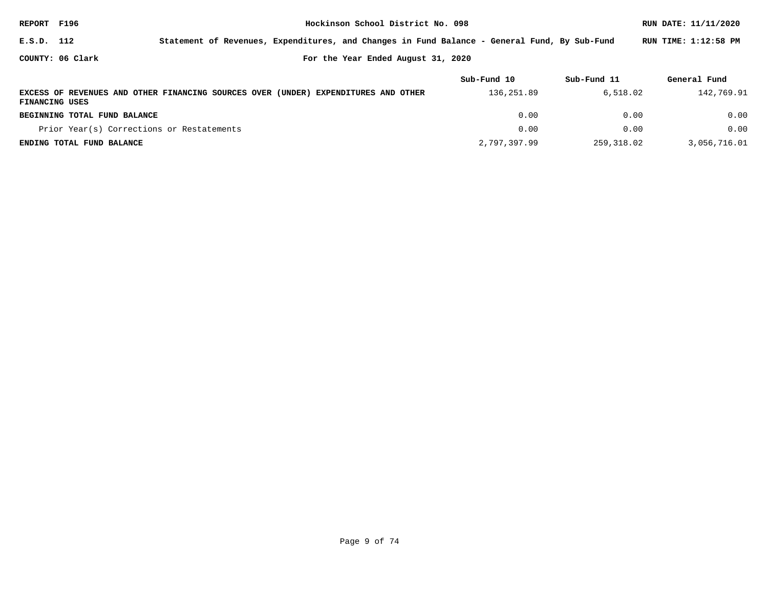| REPORT F196                                            |                                           |                                                     |                                | RUN DATE: 11/11/2020                                                                         |             |                      |  |  |  |
|--------------------------------------------------------|-------------------------------------------|-----------------------------------------------------|--------------------------------|----------------------------------------------------------------------------------------------|-------------|----------------------|--|--|--|
| E.S.D. 112                                             |                                           |                                                     |                                | Statement of Revenues, Expenditures, and Changes in Fund Balance - General Fund, By Sub-Fund |             | RUN TIME: 1:12:58 PM |  |  |  |
| COUNTY: 06 Clark<br>For the Year Ended August 31, 2020 |                                           |                                                     |                                |                                                                                              |             |                      |  |  |  |
|                                                        |                                           |                                                     |                                | Sub-Fund 10                                                                                  | Sub-Fund 11 | General Fund         |  |  |  |
| FINANCING USES                                         |                                           | EXCESS OF REVENUES AND OTHER FINANCING SOURCES OVER | (UNDER) EXPENDITURES AND OTHER | 136,251.89                                                                                   | 6,518.02    | 142,769.91           |  |  |  |
|                                                        | BEGINNING TOTAL FUND BALANCE              |                                                     |                                | 0.00                                                                                         | 0.00        | 0.00                 |  |  |  |
|                                                        | Prior Year(s) Corrections or Restatements |                                                     |                                | 0.00                                                                                         | 0.00        | 0.00                 |  |  |  |
|                                                        | ENDING TOTAL FUND BALANCE                 |                                                     |                                | 2,797,397.99                                                                                 | 259,318.02  | 3,056,716.01         |  |  |  |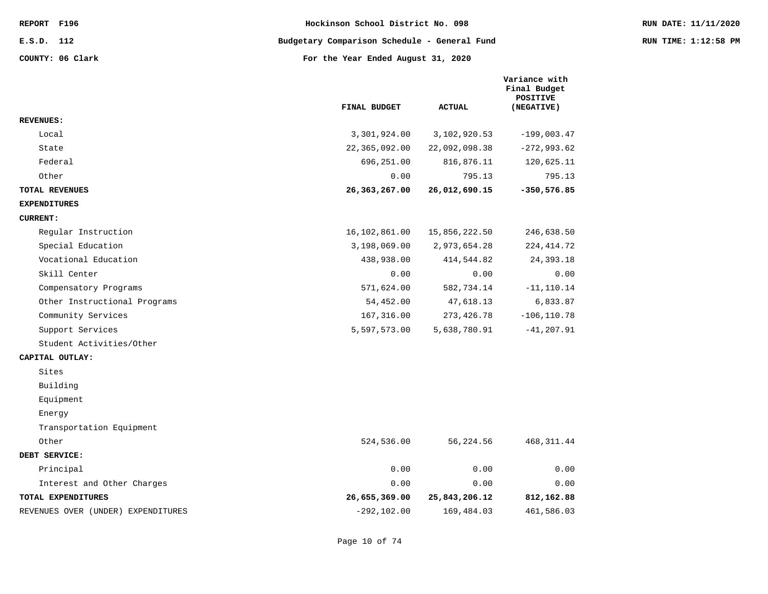**E.S.D. 112 Budgetary Comparison Schedule - General Fund RUN TIME: 1:12:58 PM**

|                                    | FINAL BUDGET   | <b>ACTUAL</b> | Variance with<br>Final Budget<br>POSITIVE<br>(NEGATIVE) |
|------------------------------------|----------------|---------------|---------------------------------------------------------|
| <b>REVENUES :</b>                  |                |               |                                                         |
| Local                              | 3,301,924.00   | 3,102,920.53  | $-199,003.47$                                           |
| State                              | 22,365,092.00  | 22,092,098.38 | $-272,993.62$                                           |
| Federal                            | 696,251.00     | 816,876.11    | 120,625.11                                              |
| Other                              | 0.00           | 795.13        | 795.13                                                  |
| TOTAL REVENUES                     | 26,363,267.00  | 26,012,690.15 | $-350,576.85$                                           |
| <b>EXPENDITURES</b>                |                |               |                                                         |
| <b>CURRENT:</b>                    |                |               |                                                         |
| Reqular Instruction                | 16,102,861.00  | 15,856,222.50 | 246,638.50                                              |
| Special Education                  | 3,198,069.00   | 2,973,654.28  | 224, 414.72                                             |
| Vocational Education               | 438,938.00     | 414,544.82    | 24, 393. 18                                             |
| Skill Center                       | 0.00           | 0.00          | 0.00                                                    |
| Compensatory Programs              | 571,624.00     | 582,734.14    | $-11, 110.14$                                           |
| Other Instructional Programs       | 54,452.00      | 47,618.13     | 6,833.87                                                |
| Community Services                 | 167,316.00     | 273,426.78    | $-106, 110.78$                                          |
| Support Services                   | 5,597,573.00   | 5,638,780.91  | $-41, 207.91$                                           |
| Student Activities/Other           |                |               |                                                         |
| CAPITAL OUTLAY:                    |                |               |                                                         |
| Sites                              |                |               |                                                         |
| Building                           |                |               |                                                         |
| Equipment                          |                |               |                                                         |
| Energy                             |                |               |                                                         |
| Transportation Equipment           |                |               |                                                         |
| Other                              | 524,536.00     | 56,224.56     | 468, 311.44                                             |
| DEBT SERVICE:                      |                |               |                                                         |
| Principal                          | 0.00           | 0.00          | 0.00                                                    |
| Interest and Other Charges         | 0.00           | 0.00          | 0.00                                                    |
| TOTAL EXPENDITURES                 | 26,655,369.00  | 25,843,206.12 | 812,162.88                                              |
| REVENUES OVER (UNDER) EXPENDITURES | $-292, 102.00$ | 169,484.03    | 461,586.03                                              |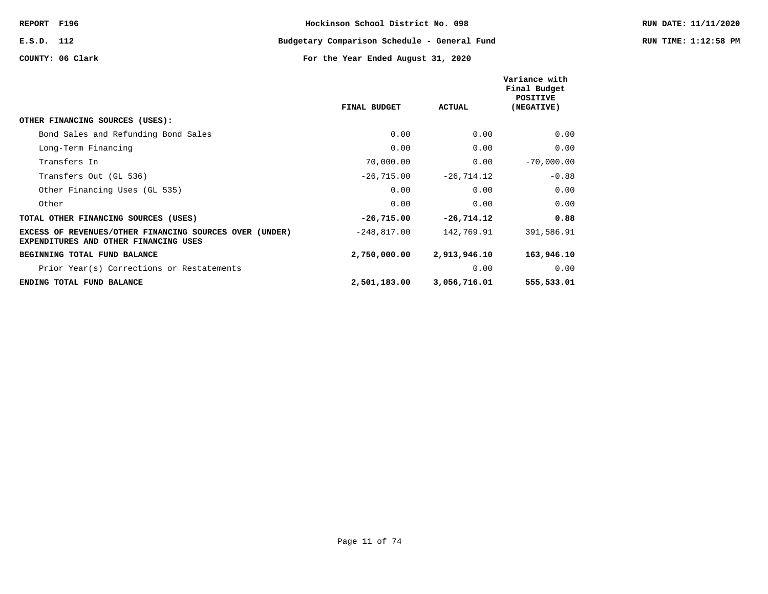## **E.S.D. 112 Budgetary Comparison Schedule - General Fund RUN TIME: 1:12:58 PM**

|                                                                                                  |               |               | Variance with<br>Final Budget<br>POSITIVE |
|--------------------------------------------------------------------------------------------------|---------------|---------------|-------------------------------------------|
|                                                                                                  | FINAL BUDGET  | <b>ACTUAL</b> | (NEGATIVE)                                |
| OTHER FINANCING SOURCES (USES):                                                                  |               |               |                                           |
| Bond Sales and Refunding Bond Sales                                                              | 0.00          | 0.00          | 0.00                                      |
| Long-Term Financing                                                                              | 0.00          | 0.00          | 0.00                                      |
| Transfers In                                                                                     | 70,000.00     | 0.00          | $-70,000.00$                              |
| Transfers Out (GL 536)                                                                           | $-26,715.00$  | $-26, 714.12$ | $-0.88$                                   |
| Other Financing Uses (GL 535)                                                                    | 0.00          | 0.00          | 0.00                                      |
| Other                                                                                            | 0.00          | 0.00          | 0.00                                      |
| TOTAL OTHER FINANCING SOURCES (USES)                                                             | $-26,715.00$  | $-26,714.12$  | 0.88                                      |
| EXCESS OF REVENUES/OTHER FINANCING SOURCES OVER (UNDER)<br>EXPENDITURES AND OTHER FINANCING USES | $-248,817.00$ | 142,769.91    | 391,586.91                                |
| BEGINNING TOTAL FUND BALANCE                                                                     | 2,750,000.00  | 2,913,946.10  | 163,946.10                                |
| Prior Year(s) Corrections or Restatements                                                        |               | 0.00          | 0.00                                      |
| ENDING TOTAL FUND BALANCE                                                                        | 2,501,183.00  | 3,056,716.01  | 555,533.01                                |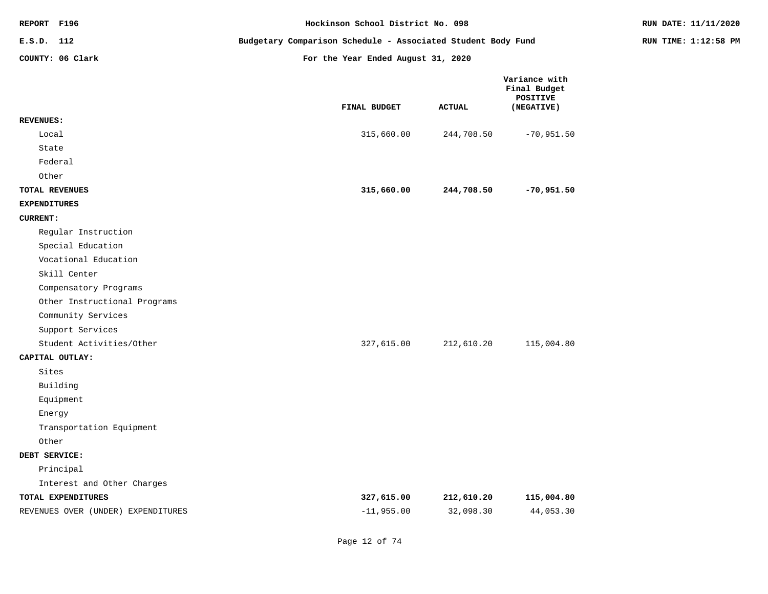| REPORT F196                        | Hockinson School District No. 098                            | RUN DATE: 11/11/2020               |                                                         |  |
|------------------------------------|--------------------------------------------------------------|------------------------------------|---------------------------------------------------------|--|
| E.S.D. 112                         | Budgetary Comparison Schedule - Associated Student Body Fund | RUN TIME: 1:12:58 PM               |                                                         |  |
| COUNTY: 06 Clark                   |                                                              | For the Year Ended August 31, 2020 |                                                         |  |
|                                    | FINAL BUDGET                                                 | <b>ACTUAL</b>                      | Variance with<br>Final Budget<br>POSITIVE<br>(NEGATIVE) |  |
| <b>REVENUES:</b>                   |                                                              |                                    |                                                         |  |
| Local                              |                                                              | 315,660.00<br>244,708.50           | $-70,951.50$                                            |  |
| State<br>Federal                   |                                                              |                                    |                                                         |  |
| Other                              |                                                              |                                    |                                                         |  |
| TOTAL REVENUES                     |                                                              | 315,660.00<br>244,708.50           | $-70,951.50$                                            |  |
| <b>EXPENDITURES</b>                |                                                              |                                    |                                                         |  |
| <b>CURRENT:</b>                    |                                                              |                                    |                                                         |  |
| Regular Instruction                |                                                              |                                    |                                                         |  |
| Special Education                  |                                                              |                                    |                                                         |  |
| Vocational Education               |                                                              |                                    |                                                         |  |
| Skill Center                       |                                                              |                                    |                                                         |  |
| Compensatory Programs              |                                                              |                                    |                                                         |  |
| Other Instructional Programs       |                                                              |                                    |                                                         |  |
| Community Services                 |                                                              |                                    |                                                         |  |
| Support Services                   |                                                              |                                    |                                                         |  |
| Student Activities/Other           |                                                              | 327,615.00<br>212,610.20           | 115,004.80                                              |  |
| CAPITAL OUTLAY:                    |                                                              |                                    |                                                         |  |
| Sites                              |                                                              |                                    |                                                         |  |
| Building                           |                                                              |                                    |                                                         |  |
| Equipment                          |                                                              |                                    |                                                         |  |
| Energy                             |                                                              |                                    |                                                         |  |
| Transportation Equipment           |                                                              |                                    |                                                         |  |
| Other                              |                                                              |                                    |                                                         |  |
| DEBT SERVICE:                      |                                                              |                                    |                                                         |  |
| Principal                          |                                                              |                                    |                                                         |  |
| Interest and Other Charges         |                                                              |                                    |                                                         |  |
| TOTAL EXPENDITURES                 |                                                              | 327,615.00<br>212,610.20           | 115,004.80                                              |  |
| REVENUES OVER (UNDER) EXPENDITURES |                                                              | 32,098.30<br>$-11,955.00$          | 44,053.30                                               |  |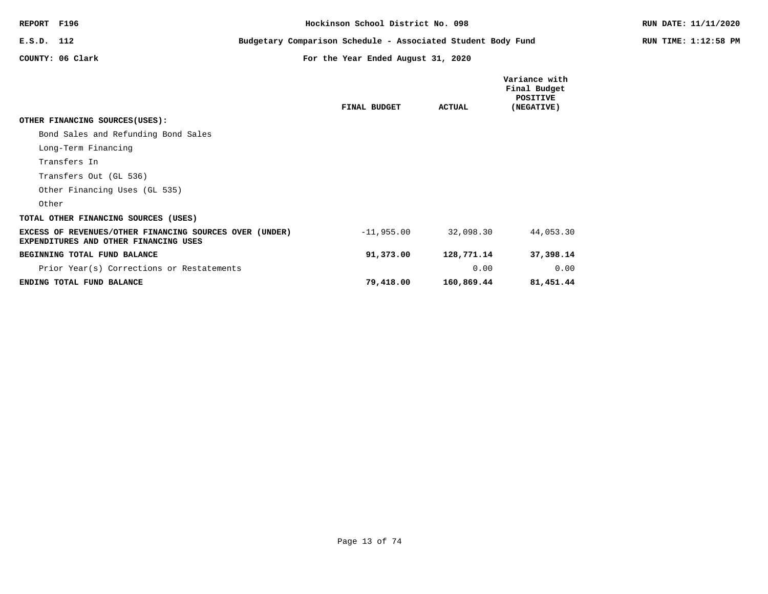| REPORT F196                                                                                      | Hockinson School District No. 098                            |                                    |               |                                                         | RUN DATE: 11/11/2020 |
|--------------------------------------------------------------------------------------------------|--------------------------------------------------------------|------------------------------------|---------------|---------------------------------------------------------|----------------------|
| E.S.D. 112                                                                                       | Budgetary Comparison Schedule - Associated Student Body Fund |                                    |               |                                                         | RUN TIME: 1:12:58 PM |
| COUNTY: 06 Clark                                                                                 |                                                              | For the Year Ended August 31, 2020 |               |                                                         |                      |
|                                                                                                  |                                                              | FINAL BUDGET                       | <b>ACTUAL</b> | Variance with<br>Final Budget<br>POSITIVE<br>(NEGATIVE) |                      |
| OTHER FINANCING SOURCES (USES):                                                                  |                                                              |                                    |               |                                                         |                      |
| Bond Sales and Refunding Bond Sales                                                              |                                                              |                                    |               |                                                         |                      |
| Long-Term Financing                                                                              |                                                              |                                    |               |                                                         |                      |
| Transfers In                                                                                     |                                                              |                                    |               |                                                         |                      |
| Transfers Out (GL 536)                                                                           |                                                              |                                    |               |                                                         |                      |
| Other Financing Uses (GL 535)                                                                    |                                                              |                                    |               |                                                         |                      |
| Other                                                                                            |                                                              |                                    |               |                                                         |                      |
| TOTAL OTHER FINANCING SOURCES (USES)                                                             |                                                              |                                    |               |                                                         |                      |
| EXCESS OF REVENUES/OTHER FINANCING SOURCES OVER (UNDER)<br>EXPENDITURES AND OTHER FINANCING USES |                                                              | $-11,955.00$                       | 32,098.30     | 44,053.30                                               |                      |
| BEGINNING TOTAL FUND BALANCE                                                                     |                                                              | 91,373.00                          | 128,771.14    | 37,398.14                                               |                      |
| Prior Year(s) Corrections or Restatements                                                        |                                                              |                                    | 0.00          | 0.00                                                    |                      |
| ENDING TOTAL FUND BALANCE                                                                        |                                                              | 79,418.00                          | 160,869.44    | 81,451.44                                               |                      |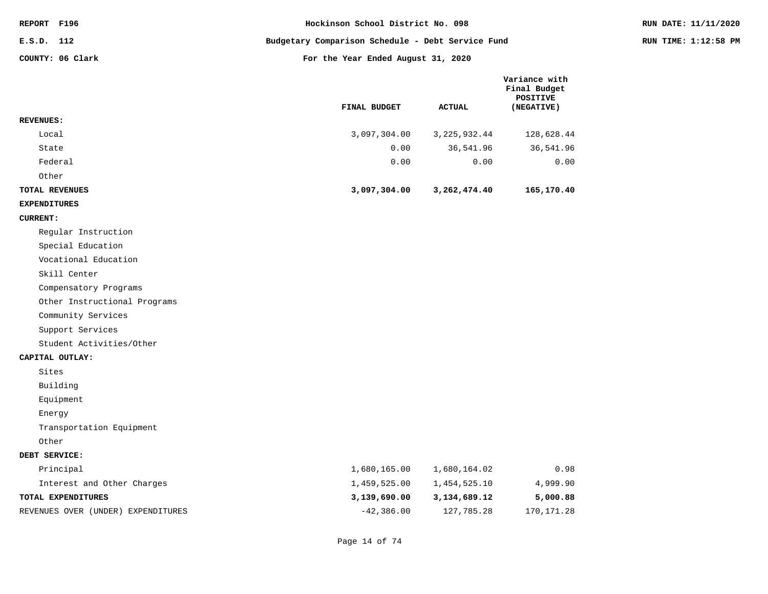| REPORT F196                  | Hockinson School District No. 098                 |               |                                                                | RUN DATE: 11/11/2020 |
|------------------------------|---------------------------------------------------|---------------|----------------------------------------------------------------|----------------------|
| E.S.D. 112                   | Budgetary Comparison Schedule - Debt Service Fund |               |                                                                | RUN TIME: 1:12:58 PM |
| COUNTY: 06 Clark             | For the Year Ended August 31, 2020                |               |                                                                |                      |
|                              | FINAL BUDGET                                      | <b>ACTUAL</b> | Variance with<br>Final Budget<br><b>POSITIVE</b><br>(NEGATIVE) |                      |
| <b>REVENUES:</b>             |                                                   |               |                                                                |                      |
| Local                        | 3,097,304.00                                      | 3,225,932.44  | 128,628.44                                                     |                      |
| State                        | 0.00                                              | 36,541.96     | 36,541.96                                                      |                      |
| Federal                      | 0.00                                              | 0.00          | 0.00                                                           |                      |
| Other                        |                                                   |               |                                                                |                      |
| TOTAL REVENUES               | 3,097,304.00                                      | 3,262,474.40  | 165,170.40                                                     |                      |
| <b>EXPENDITURES</b>          |                                                   |               |                                                                |                      |
| <b>CURRENT:</b>              |                                                   |               |                                                                |                      |
| Regular Instruction          |                                                   |               |                                                                |                      |
| Special Education            |                                                   |               |                                                                |                      |
| Vocational Education         |                                                   |               |                                                                |                      |
| Skill Center                 |                                                   |               |                                                                |                      |
| Compensatory Programs        |                                                   |               |                                                                |                      |
| Other Instructional Programs |                                                   |               |                                                                |                      |
| Community Services           |                                                   |               |                                                                |                      |
| Support Services             |                                                   |               |                                                                |                      |
| Student Activities/Other     |                                                   |               |                                                                |                      |
| CAPITAL OUTLAY:              |                                                   |               |                                                                |                      |
| Sites                        |                                                   |               |                                                                |                      |
| Building                     |                                                   |               |                                                                |                      |
| Equipment                    |                                                   |               |                                                                |                      |
| Energy                       |                                                   |               |                                                                |                      |
| Transportation Equipment     |                                                   |               |                                                                |                      |
| Other                        |                                                   |               |                                                                |                      |
| DEBT SERVICE:                |                                                   |               |                                                                |                      |
| Principal                    | 1,680,165.00                                      | 1,680,164.02  | 0.98                                                           |                      |
| Interest and Other Charges   | 1,459,525.00                                      | 1,454,525.10  | 4,999.90                                                       |                      |
| TOTAL EXPENDITURES           | 3,139,690.00                                      | 3,134,689.12  | 5,000.88                                                       |                      |

REVENUES OVER (UNDER) EXPENDITURES  $-42,386.00$  127,785.28 170,171.28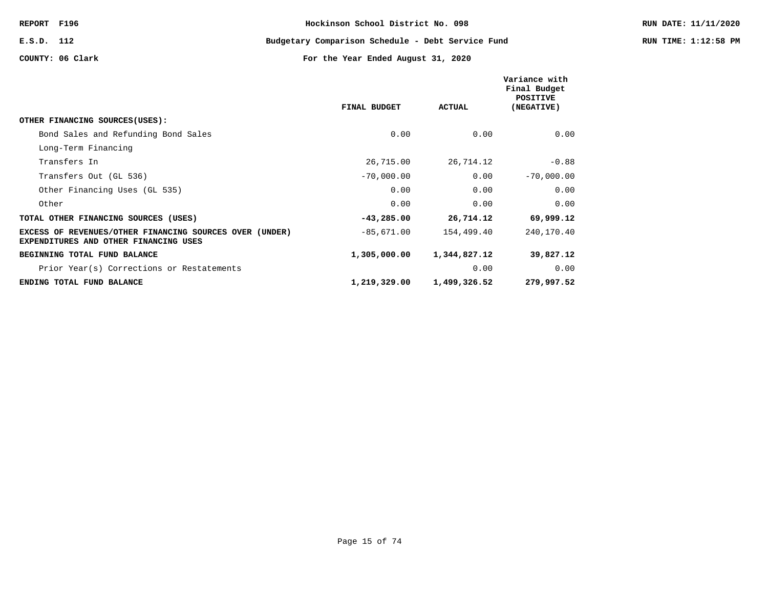**E.S.D. 112 Budgetary Comparison Schedule - Debt Service Fund RUN TIME: 1:12:58 PM**

|                                                                                                         |              |               | Variance with<br>Final Budget<br>POSITIVE |
|---------------------------------------------------------------------------------------------------------|--------------|---------------|-------------------------------------------|
|                                                                                                         | FINAL BUDGET | <b>ACTUAL</b> | (NEGATIVE)                                |
| OTHER FINANCING SOURCES (USES):                                                                         |              |               |                                           |
| Bond Sales and Refunding Bond Sales                                                                     | 0.00         | 0.00          | 0.00                                      |
| Long-Term Financing                                                                                     |              |               |                                           |
| Transfers In                                                                                            | 26,715.00    | 26,714.12     | $-0.88$                                   |
| Transfers Out (GL 536)                                                                                  | $-70,000.00$ | 0.00          | $-70,000.00$                              |
| Other Financing Uses (GL 535)                                                                           | 0.00         | 0.00          | 0.00                                      |
| Other                                                                                                   | 0.00         | 0.00          | 0.00                                      |
| TOTAL OTHER FINANCING SOURCES (USES)                                                                    | $-43,285.00$ | 26,714.12     | 69,999.12                                 |
| EXCESS OF REVENUES/OTHER FINANCING SOURCES OVER (UNDER)<br><b>EXPENDITURES AND OTHER FINANCING USES</b> | $-85,671.00$ | 154,499.40    | 240,170.40                                |
| BEGINNING TOTAL FUND BALANCE                                                                            | 1,305,000.00 | 1,344,827.12  | 39,827.12                                 |
| Prior Year(s) Corrections or Restatements                                                               |              | 0.00          | 0.00                                      |
| ENDING TOTAL FUND BALANCE                                                                               | 1,219,329.00 | 1,499,326.52  | 279,997.52                                |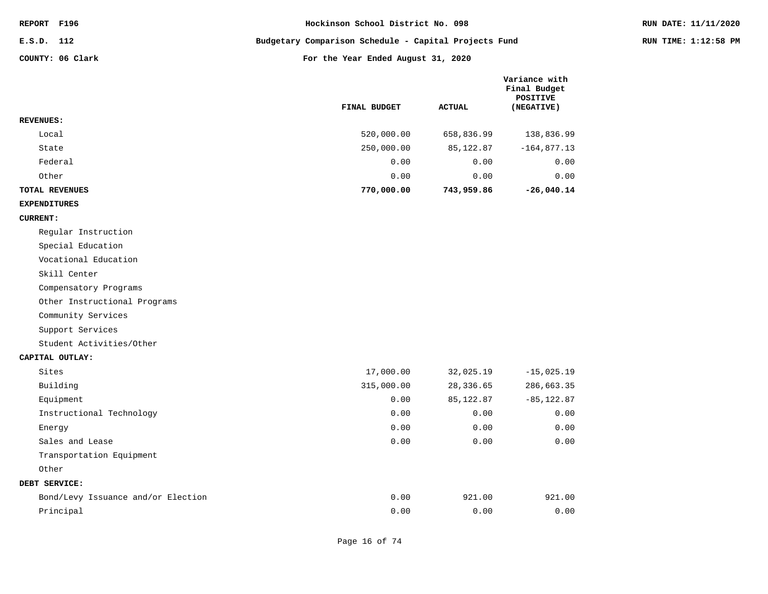| REPORT F196 |                  | Hockinson School District No. 098                     | RUN DATE: 11/11/2020 |
|-------------|------------------|-------------------------------------------------------|----------------------|
| E.S.D. 112  |                  | Budgetary Comparison Schedule - Capital Projects Fund | RUN TIME: 1:12:58 PM |
|             | COUNTY: 06 Clark | For the Year Ended August 31, 2020                    |                      |

|                       | <b>FINAL BUDGET</b> | <b>ACTUAL</b> | Variance with<br>Final Budget<br>POSITIVE<br>(NEGATIVE) |
|-----------------------|---------------------|---------------|---------------------------------------------------------|
| <b>REVENUES:</b>      |                     |               |                                                         |
| Local                 | 520,000.00          | 658,836.99    | 138,836.99                                              |
| State                 | 250,000.00          | 85,122.87     | $-164,877.13$                                           |
| Federal               | 0.00                | 0.00          | 0.00                                                    |
| Other                 | 0.00                | 0.00          | 0.00                                                    |
| <b>TOTAL REVENUES</b> | 770,000.00          | 743,959.86    | $-26,040.14$                                            |

## **EXPENDITURES**

## **CURRENT:**

Regular Instruction

Special Education

Vocational Education

Skill Center

Compensatory Programs

Other Instructional Programs

Community Services

Support Services

Student Activities/Other

#### **CAPITAL OUTLAY:**

| Sites                              | 17,000.00  | 32,025.19 | $-15,025.19$  |
|------------------------------------|------------|-----------|---------------|
| Building                           | 315,000.00 | 28,336.65 | 286,663.35    |
| Equipment                          | 0.00       | 85,122.87 | $-85, 122.87$ |
| Instructional Technology           | 0.00       | 0.00      | 0.00          |
| Energy                             | 0.00       | 0.00      | 0.00          |
| Sales and Lease                    | 0.00       | 0.00      | 0.00          |
| Transportation Equipment           |            |           |               |
| Other                              |            |           |               |
| DEBT SERVICE:                      |            |           |               |
| Bond/Levy Issuance and/or Election | 0.00       | 921.00    | 921.00        |
| Principal                          | 0.00       | 0.00      | 0.00          |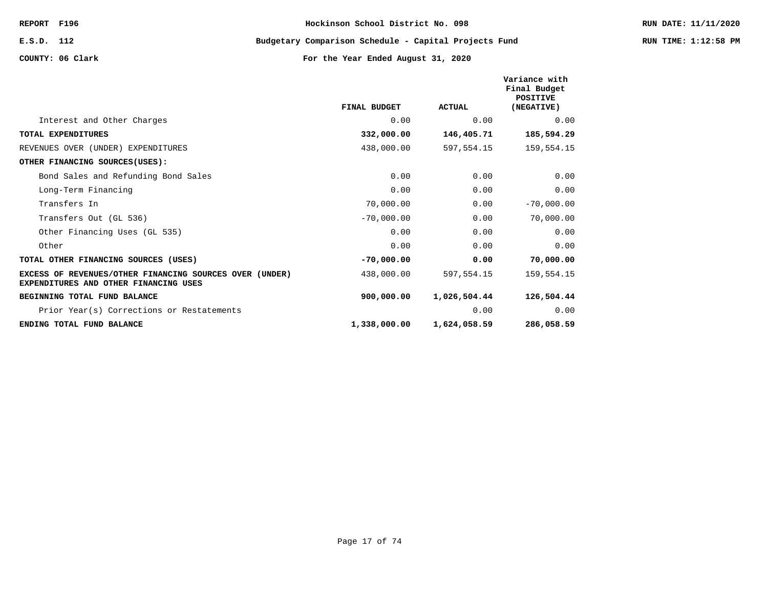**E.S.D. 112 Budgetary Comparison Schedule - Capital Projects Fund RUN TIME: 1:12:58 PM**

|                                                                                                  | FINAL BUDGET | <b>ACTUAL</b> | Variance with<br>Final Budget<br><b>POSITIVE</b><br>(NEGATIVE) |
|--------------------------------------------------------------------------------------------------|--------------|---------------|----------------------------------------------------------------|
| Interest and Other Charges                                                                       | 0.00         | 0.00          | 0.00                                                           |
| TOTAL EXPENDITURES                                                                               | 332,000.00   | 146,405.71    | 185,594.29                                                     |
| REVENUES OVER (UNDER) EXPENDITURES                                                               | 438,000.00   | 597,554.15    | 159,554.15                                                     |
| OTHER FINANCING SOURCES (USES):                                                                  |              |               |                                                                |
| Bond Sales and Refunding Bond Sales                                                              | 0.00         | 0.00          | 0.00                                                           |
| Long-Term Financing                                                                              | 0.00         | 0.00          | 0.00                                                           |
| Transfers In                                                                                     | 70,000.00    | 0.00          | $-70,000.00$                                                   |
| Transfers Out (GL 536)                                                                           | $-70,000.00$ | 0.00          | 70,000.00                                                      |
| Other Financing Uses (GL 535)                                                                    | 0.00         | 0.00          | 0.00                                                           |
| Other                                                                                            | 0.00         | 0.00          | 0.00                                                           |
| TOTAL OTHER FINANCING SOURCES (USES)                                                             | $-70,000.00$ | 0.00          | 70,000.00                                                      |
| EXCESS OF REVENUES/OTHER FINANCING SOURCES OVER (UNDER)<br>EXPENDITURES AND OTHER FINANCING USES | 438,000.00   | 597,554.15    | 159,554.15                                                     |
| BEGINNING TOTAL FUND BALANCE                                                                     | 900,000.00   | 1,026,504.44  | 126,504.44                                                     |
| Prior Year(s) Corrections or Restatements                                                        |              | 0.00          | 0.00                                                           |
| ENDING TOTAL FUND BALANCE                                                                        | 1,338,000.00 | 1,624,058.59  | 286,058.59                                                     |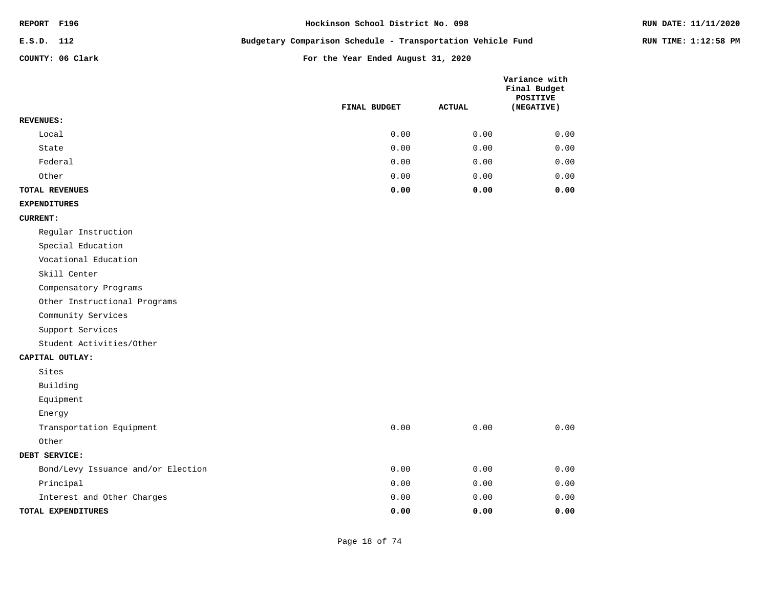| <b>REPORT</b> | F196 |
|---------------|------|
|---------------|------|

**E.S.D. 112 Budgetary Comparison Schedule - Transportation Vehicle Fund RUN TIME: 1:12:58 PM**

|                                    | FINAL BUDGET | <b>ACTUAL</b> | Variance with<br>Final Budget<br><b>POSITIVE</b><br>(NEGATIVE) |
|------------------------------------|--------------|---------------|----------------------------------------------------------------|
| <b>REVENUES:</b>                   |              |               |                                                                |
| Local                              | 0.00         | 0.00          | 0.00                                                           |
| State                              | 0.00         | 0.00          | 0.00                                                           |
| Federal                            | 0.00         | 0.00          | 0.00                                                           |
| Other                              | 0.00         | 0.00          | 0.00                                                           |
| TOTAL REVENUES                     | 0.00         | 0.00          | 0.00                                                           |
| <b>EXPENDITURES</b>                |              |               |                                                                |
| <b>CURRENT:</b>                    |              |               |                                                                |
| Regular Instruction                |              |               |                                                                |
| Special Education                  |              |               |                                                                |
| Vocational Education               |              |               |                                                                |
| Skill Center                       |              |               |                                                                |
| Compensatory Programs              |              |               |                                                                |
| Other Instructional Programs       |              |               |                                                                |
| Community Services                 |              |               |                                                                |
| Support Services                   |              |               |                                                                |
| Student Activities/Other           |              |               |                                                                |
| CAPITAL OUTLAY:                    |              |               |                                                                |
| Sites                              |              |               |                                                                |
| Building                           |              |               |                                                                |
| Equipment                          |              |               |                                                                |
| Energy                             |              |               |                                                                |
| Transportation Equipment           | 0.00         | 0.00          | 0.00                                                           |
| Other                              |              |               |                                                                |
| DEBT SERVICE:                      |              |               |                                                                |
| Bond/Levy Issuance and/or Election | 0.00         | 0.00          | 0.00                                                           |
| Principal                          | 0.00         | 0.00          | 0.00                                                           |
| Interest and Other Charges         | 0.00         | 0.00          | 0.00                                                           |
| TOTAL EXPENDITURES                 | 0.00         | 0.00          | 0.00                                                           |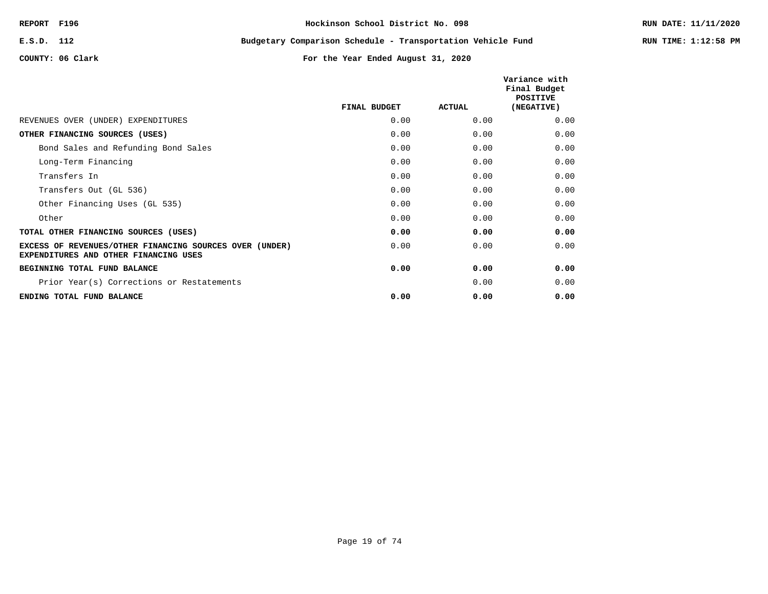**E.S.D. 112 Budgetary Comparison Schedule - Transportation Vehicle Fund RUN TIME: 1:12:58 PM**

|                                                                                                  | FINAL BUDGET | ACTUAL | Variance with<br>Final Budget<br><b>POSITIVE</b><br>(NEGATIVE) |
|--------------------------------------------------------------------------------------------------|--------------|--------|----------------------------------------------------------------|
| REVENUES OVER (UNDER) EXPENDITURES                                                               | 0.00         | 0.00   | 0.00                                                           |
| OTHER FINANCING SOURCES (USES)                                                                   | 0.00         | 0.00   | 0.00                                                           |
| Bond Sales and Refunding Bond Sales                                                              | 0.00         | 0.00   | 0.00                                                           |
| Long-Term Financing                                                                              | 0.00         | 0.00   | 0.00                                                           |
| Transfers In                                                                                     | 0.00         | 0.00   | 0.00                                                           |
| Transfers Out (GL 536)                                                                           | 0.00         | 0.00   | 0.00                                                           |
| Other Financing Uses (GL 535)                                                                    | 0.00         | 0.00   | 0.00                                                           |
| Other                                                                                            | 0.00         | 0.00   | 0.00                                                           |
| TOTAL OTHER FINANCING SOURCES (USES)                                                             | 0.00         | 0.00   | 0.00                                                           |
| EXCESS OF REVENUES/OTHER FINANCING SOURCES OVER (UNDER)<br>EXPENDITURES AND OTHER FINANCING USES | 0.00         | 0.00   | 0.00                                                           |
| BEGINNING TOTAL FUND BALANCE                                                                     | 0.00         | 0.00   | 0.00                                                           |
| Prior Year(s) Corrections or Restatements                                                        |              | 0.00   | 0.00                                                           |
| ENDING TOTAL FUND BALANCE                                                                        | 0.00         | 0.00   | 0.00                                                           |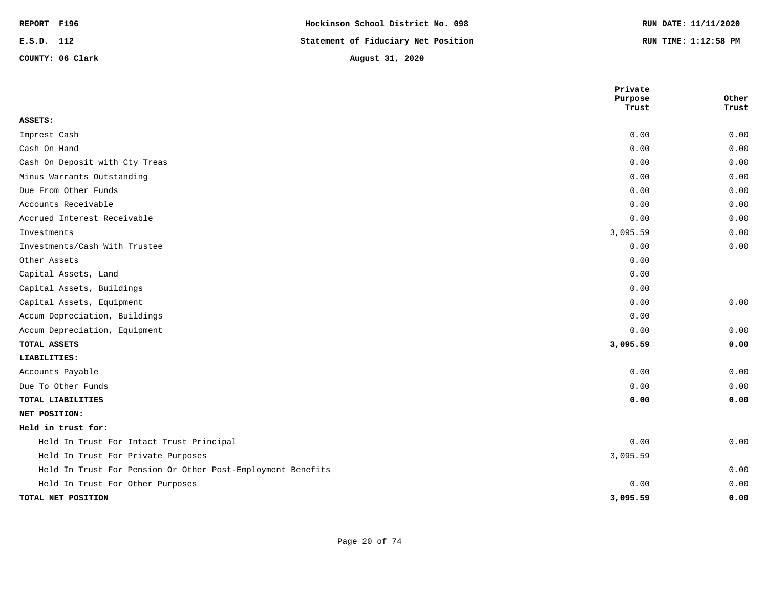| REPORT F196 |                  | Hockinson School District No. 098   | RUN DATE: 11/11/2020 |
|-------------|------------------|-------------------------------------|----------------------|
| E.S.D. 112  |                  | Statement of Fiduciary Net Position | RUN TIME: 1:12:58 PM |
|             | COUNTY: 06 Clark | August 31, 2020                     |                      |

|                                                             | Private          |                |
|-------------------------------------------------------------|------------------|----------------|
|                                                             | Purpose<br>Trust | Other<br>Trust |
| ASSETS:                                                     |                  |                |
| Imprest Cash                                                | 0.00             | 0.00           |
| Cash On Hand                                                | 0.00             | 0.00           |
| Cash On Deposit with Cty Treas                              | 0.00             | 0.00           |
| Minus Warrants Outstanding                                  | 0.00             | 0.00           |
| Due From Other Funds                                        | 0.00             | 0.00           |
| Accounts Receivable                                         | 0.00             | 0.00           |
| Accrued Interest Receivable                                 | 0.00             | 0.00           |
| Investments                                                 | 3,095.59         | 0.00           |
| Investments/Cash With Trustee                               | 0.00             | 0.00           |
| Other Assets                                                | 0.00             |                |
| Capital Assets, Land                                        | 0.00             |                |
| Capital Assets, Buildings                                   | 0.00             |                |
| Capital Assets, Equipment                                   | 0.00             | 0.00           |
| Accum Depreciation, Buildings                               | 0.00             |                |
| Accum Depreciation, Equipment                               | 0.00             | 0.00           |
| TOTAL ASSETS                                                | 3,095.59         | 0.00           |
| LIABILITIES:                                                |                  |                |
| Accounts Payable                                            | 0.00             | 0.00           |
| Due To Other Funds                                          | 0.00             | 0.00           |
| TOTAL LIABILITIES                                           | 0.00             | 0.00           |
| NET POSITION:                                               |                  |                |
| Held in trust for:                                          |                  |                |
| Held In Trust For Intact Trust Principal                    | 0.00             | 0.00           |
| Held In Trust For Private Purposes                          | 3,095.59         |                |
| Held In Trust For Pension Or Other Post-Employment Benefits |                  | 0.00           |
| Held In Trust For Other Purposes                            | 0.00             | 0.00           |
| TOTAL NET POSITION                                          | 3,095.59         | 0.00           |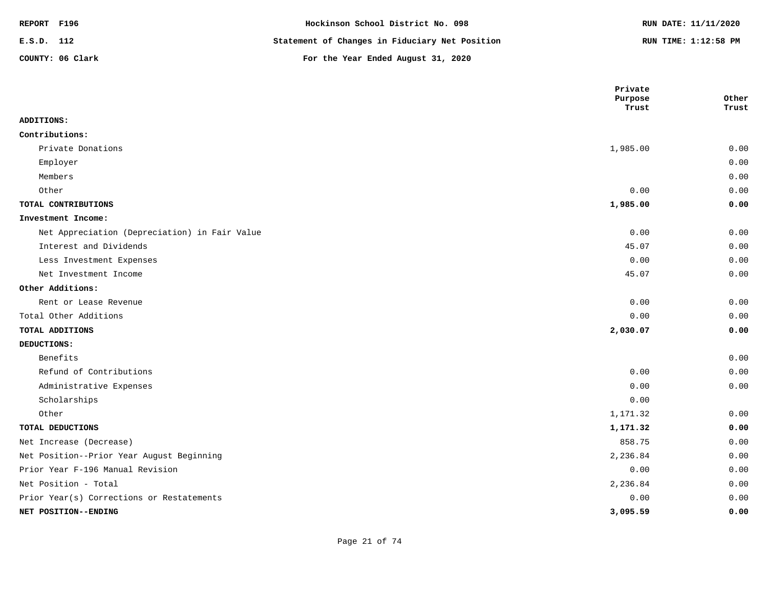| REPORT F196 |                  | Hockinson School District No. 098              | RUN DATE: 11/11/2020 |
|-------------|------------------|------------------------------------------------|----------------------|
| E.S.D. 112  |                  | Statement of Changes in Fiduciary Net Position | RUN TIME: 1:12:58 PM |
|             | COUNTY: 06 Clark | For the Year Ended August 31, 2020             |                      |

|                                               | Private<br>Purpose | Other |
|-----------------------------------------------|--------------------|-------|
|                                               | Trust              | Trust |
| ADDITIONS:                                    |                    |       |
| Contributions:                                |                    |       |
| Private Donations                             | 1,985.00           | 0.00  |
| Employer                                      |                    | 0.00  |
| Members                                       |                    | 0.00  |
| Other                                         | 0.00               | 0.00  |
| TOTAL CONTRIBUTIONS                           | 1,985.00           | 0.00  |
| Investment Income:                            |                    |       |
| Net Appreciation (Depreciation) in Fair Value | 0.00               | 0.00  |
| Interest and Dividends                        | 45.07              | 0.00  |
| Less Investment Expenses                      | 0.00               | 0.00  |
| Net Investment Income                         | 45.07              | 0.00  |
| Other Additions:                              |                    |       |
| Rent or Lease Revenue                         | 0.00               | 0.00  |
| Total Other Additions                         | 0.00               | 0.00  |
| TOTAL ADDITIONS                               | 2,030.07           | 0.00  |
| DEDUCTIONS:                                   |                    |       |
| Benefits                                      |                    | 0.00  |
| Refund of Contributions                       | 0.00               | 0.00  |
| Administrative Expenses                       | 0.00               | 0.00  |
| Scholarships                                  | 0.00               |       |
| Other                                         | 1,171.32           | 0.00  |
| TOTAL DEDUCTIONS                              | 1,171.32           | 0.00  |
| Net Increase (Decrease)                       | 858.75             | 0.00  |
| Net Position--Prior Year August Beginning     | 2,236.84           | 0.00  |
| Prior Year F-196 Manual Revision              | 0.00               | 0.00  |
| Net Position - Total                          | 2,236.84           | 0.00  |
| Prior Year(s) Corrections or Restatements     | 0.00               | 0.00  |
| NET POSITION--ENDING                          | 3,095.59           | 0.00  |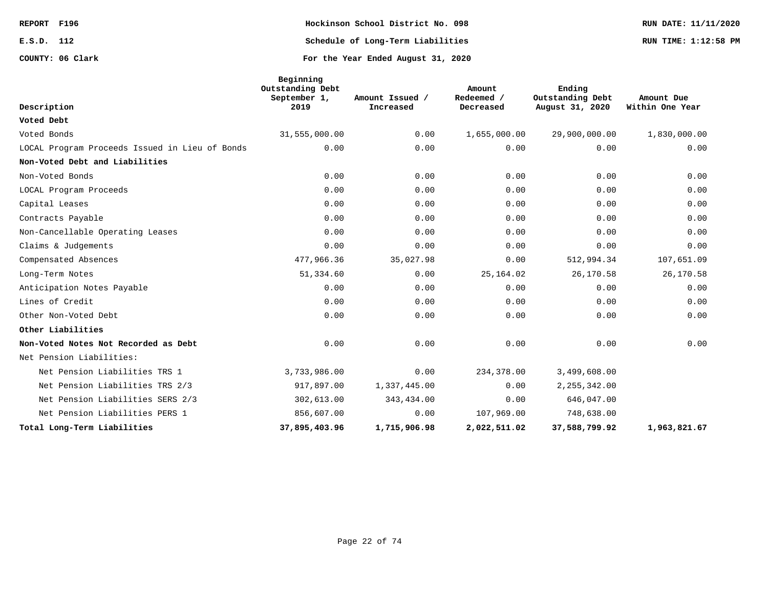**COUNTY: 06 Clark For the Year Ended August 31, 2020**

**REPORT F196 Hockinson School District No. 098 RUN DATE: 11/11/2020 E.S.D. 112 Schedule of Long-Term Liabilities RUN TIME: 1:12:58 PM**

|                                                | Beginning<br>Outstanding Debt<br>September 1, | Amount Issued / | Amount<br>Redeemed / | Ending<br>Outstanding Debt | Amount Due      |
|------------------------------------------------|-----------------------------------------------|-----------------|----------------------|----------------------------|-----------------|
| Description                                    | 2019                                          | Increased       | Decreased            | August 31, 2020            | Within One Year |
| Voted Debt                                     |                                               |                 |                      |                            |                 |
| Voted Bonds                                    | 31,555,000.00                                 | 0.00            | 1,655,000.00         | 29,900,000.00              | 1,830,000.00    |
| LOCAL Program Proceeds Issued in Lieu of Bonds | 0.00                                          | 0.00            | 0.00                 | 0.00                       | 0.00            |
| Non-Voted Debt and Liabilities                 |                                               |                 |                      |                            |                 |
| Non-Voted Bonds                                | 0.00                                          | 0.00            | 0.00                 | 0.00                       | 0.00            |
| LOCAL Program Proceeds                         | 0.00                                          | 0.00            | 0.00                 | 0.00                       | 0.00            |
| Capital Leases                                 | 0.00                                          | 0.00            | 0.00                 | 0.00                       | 0.00            |
| Contracts Payable                              | 0.00                                          | 0.00            | 0.00                 | 0.00                       | 0.00            |
| Non-Cancellable Operating Leases               | 0.00                                          | 0.00            | 0.00                 | 0.00                       | 0.00            |
| Claims & Judgements                            | 0.00                                          | 0.00            | 0.00                 | 0.00                       | 0.00            |
| Compensated Absences                           | 477,966.36                                    | 35,027.98       | 0.00                 | 512,994.34                 | 107,651.09      |
| Long-Term Notes                                | 51,334.60                                     | 0.00            | 25, 164.02           | 26,170.58                  | 26,170.58       |
| Anticipation Notes Payable                     | 0.00                                          | 0.00            | 0.00                 | 0.00                       | 0.00            |
| Lines of Credit                                | 0.00                                          | 0.00            | 0.00                 | 0.00                       | 0.00            |
| Other Non-Voted Debt                           | 0.00                                          | 0.00            | 0.00                 | 0.00                       | 0.00            |
| Other Liabilities                              |                                               |                 |                      |                            |                 |
| Non-Voted Notes Not Recorded as Debt           | 0.00                                          | 0.00            | 0.00                 | 0.00                       | 0.00            |
| Net Pension Liabilities:                       |                                               |                 |                      |                            |                 |
| Net Pension Liabilities TRS 1                  | 3,733,986.00                                  | 0.00            | 234,378.00           | 3,499,608.00               |                 |
| Net Pension Liabilities TRS 2/3                | 917,897.00                                    | 1,337,445.00    | 0.00                 | 2, 255, 342.00             |                 |
| Net Pension Liabilities SERS 2/3               | 302,613.00                                    | 343,434.00      | 0.00                 | 646,047.00                 |                 |
| Net Pension Liabilities PERS 1                 | 856,607.00                                    | 0.00            | 107,969.00           | 748,638.00                 |                 |
| Total Long-Term Liabilities                    | 37,895,403.96                                 | 1,715,906.98    | 2,022,511.02         | 37,588,799.92              | 1,963,821.67    |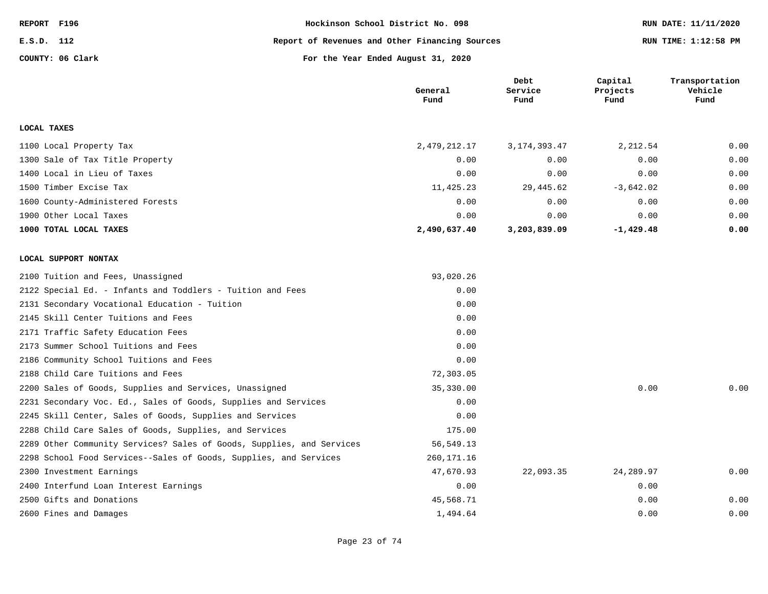| REPORT F196 |                  | Hockinson School District No. 098              | RUN DATE: 11/11/2020 |  |
|-------------|------------------|------------------------------------------------|----------------------|--|
| E.S.D. 112  |                  | Report of Revenues and Other Financing Sources | RUN TIME: 1:12:58 PM |  |
|             | COUNTY: 06 Clark | For the Year Ended August 31, 2020             |                      |  |

|                                                                       | General<br>Fund | Debt<br>Service<br>Fund | Capital<br>Projects<br>Fund | Transportation<br>Vehicle<br>Fund |
|-----------------------------------------------------------------------|-----------------|-------------------------|-----------------------------|-----------------------------------|
| LOCAL TAXES                                                           |                 |                         |                             |                                   |
| 1100 Local Property Tax                                               | 2, 479, 212.17  | 3, 174, 393. 47         | 2,212.54                    | 0.00                              |
| 1300 Sale of Tax Title Property                                       | 0.00            | 0.00                    | 0.00                        | 0.00                              |
| 1400 Local in Lieu of Taxes                                           | 0.00            | 0.00                    | 0.00                        | 0.00                              |
| 1500 Timber Excise Tax                                                | 11,425.23       | 29,445.62               | $-3,642.02$                 | 0.00                              |
| 1600 County-Administered Forests                                      | 0.00            | 0.00                    | 0.00                        | 0.00                              |
| 1900 Other Local Taxes                                                | 0.00            | 0.00                    | 0.00                        | 0.00                              |
| 1000 TOTAL LOCAL TAXES                                                | 2,490,637.40    | 3,203,839.09            | $-1,429.48$                 | 0.00                              |
| LOCAL SUPPORT NONTAX                                                  |                 |                         |                             |                                   |
| 2100 Tuition and Fees, Unassigned                                     | 93,020.26       |                         |                             |                                   |
| 2122 Special Ed. - Infants and Toddlers - Tuition and Fees            | 0.00            |                         |                             |                                   |
| 2131 Secondary Vocational Education - Tuition                         | 0.00            |                         |                             |                                   |
| 2145 Skill Center Tuitions and Fees                                   | 0.00            |                         |                             |                                   |
| 2171 Traffic Safety Education Fees                                    | 0.00            |                         |                             |                                   |
| 2173 Summer School Tuitions and Fees                                  | 0.00            |                         |                             |                                   |
| 2186 Community School Tuitions and Fees                               | 0.00            |                         |                             |                                   |
| 2188 Child Care Tuitions and Fees                                     | 72,303.05       |                         |                             |                                   |
| 2200 Sales of Goods, Supplies and Services, Unassigned                | 35,330.00       |                         | 0.00                        | 0.00                              |
| 2231 Secondary Voc. Ed., Sales of Goods, Supplies and Services        | 0.00            |                         |                             |                                   |
| 2245 Skill Center, Sales of Goods, Supplies and Services              | 0.00            |                         |                             |                                   |
| 2288 Child Care Sales of Goods, Supplies, and Services                | 175.00          |                         |                             |                                   |
| 2289 Other Community Services? Sales of Goods, Supplies, and Services | 56,549.13       |                         |                             |                                   |
| 2298 School Food Services--Sales of Goods, Supplies, and Services     | 260, 171. 16    |                         |                             |                                   |
| 2300 Investment Earnings                                              | 47,670.93       | 22,093.35               | 24,289.97                   | 0.00                              |
| 2400 Interfund Loan Interest Earnings                                 | 0.00            |                         | 0.00                        |                                   |
| 2500 Gifts and Donations                                              | 45,568.71       |                         | 0.00                        | 0.00                              |
| 2600 Fines and Damages                                                | 1,494.64        |                         | 0.00                        | 0.00                              |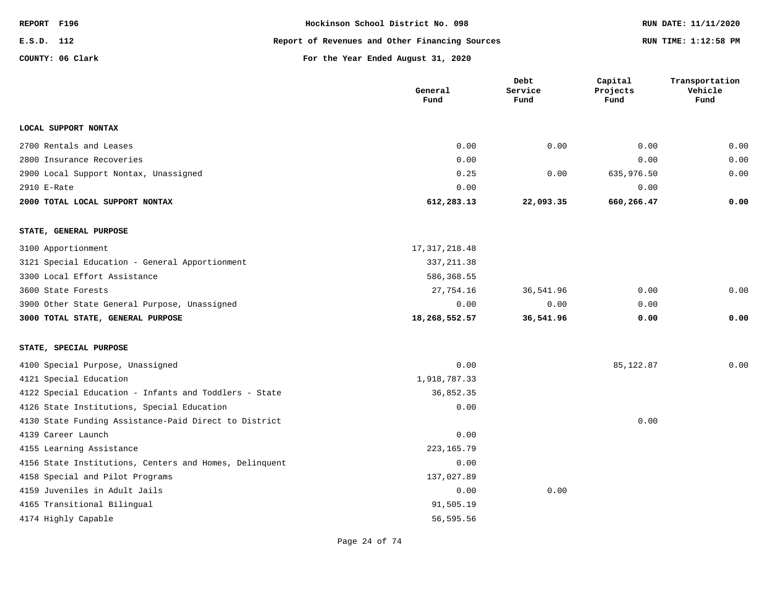| REPORT F196 |                  | Hockinson School District No. 098              | RUN DATE: 11/11/2020 |
|-------------|------------------|------------------------------------------------|----------------------|
| E.S.D. 112  |                  | Report of Revenues and Other Financing Sources | RUN TIME: 1:12:58 PM |
|             | COUNTY: 06 Clark | For the Year Ended August 31, 2020             |                      |

|                                                        | General<br>Fund | Debt<br>Service<br>Fund | Capital<br>Projects<br>Fund | Transportation<br>Vehicle<br>Fund |
|--------------------------------------------------------|-----------------|-------------------------|-----------------------------|-----------------------------------|
| LOCAL SUPPORT NONTAX                                   |                 |                         |                             |                                   |
| 2700 Rentals and Leases                                | 0.00            | 0.00                    | 0.00                        | 0.00                              |
| 2800 Insurance Recoveries                              | 0.00            |                         | 0.00                        | 0.00                              |
| 2900 Local Support Nontax, Unassigned                  | 0.25            | 0.00                    | 635,976.50                  | 0.00                              |
| 2910 E-Rate                                            | 0.00            |                         | 0.00                        |                                   |
| 2000 TOTAL LOCAL SUPPORT NONTAX                        | 612,283.13      | 22,093.35               | 660,266.47                  | 0.00                              |
| STATE, GENERAL PURPOSE                                 |                 |                         |                             |                                   |
| 3100 Apportionment                                     | 17, 317, 218.48 |                         |                             |                                   |
| 3121 Special Education - General Apportionment         | 337, 211.38     |                         |                             |                                   |
| 3300 Local Effort Assistance                           | 586,368.55      |                         |                             |                                   |
| 3600 State Forests                                     | 27,754.16       | 36,541.96               | 0.00                        | 0.00                              |
| 3900 Other State General Purpose, Unassigned           | 0.00            | 0.00                    | 0.00                        |                                   |
| 3000 TOTAL STATE, GENERAL PURPOSE                      | 18,268,552.57   | 36,541.96               | 0.00                        | 0.00                              |
| STATE, SPECIAL PURPOSE                                 |                 |                         |                             |                                   |
| 4100 Special Purpose, Unassigned                       | 0.00            |                         | 85, 122.87                  | 0.00                              |
| 4121 Special Education                                 | 1,918,787.33    |                         |                             |                                   |
| 4122 Special Education - Infants and Toddlers - State  | 36,852.35       |                         |                             |                                   |
| 4126 State Institutions, Special Education             | 0.00            |                         |                             |                                   |
| 4130 State Funding Assistance-Paid Direct to District  |                 |                         | 0.00                        |                                   |
| 4139 Career Launch                                     | 0.00            |                         |                             |                                   |
| 4155 Learning Assistance                               | 223, 165. 79    |                         |                             |                                   |
| 4156 State Institutions, Centers and Homes, Delinquent | 0.00            |                         |                             |                                   |
| 4158 Special and Pilot Programs                        | 137,027.89      |                         |                             |                                   |
| 4159 Juveniles in Adult Jails                          | 0.00            | 0.00                    |                             |                                   |
| 4165 Transitional Bilingual                            | 91,505.19       |                         |                             |                                   |
| 4174 Highly Capable                                    | 56,595.56       |                         |                             |                                   |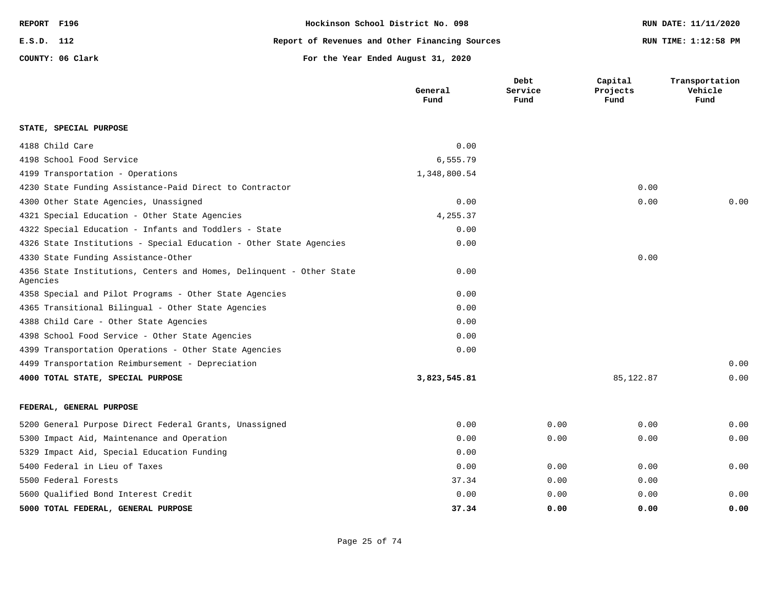| REPORT F196 |                  | Hockinson School District No. 098              | RUN DATE: 11/11/2020 |
|-------------|------------------|------------------------------------------------|----------------------|
| E.S.D. 112  |                  | Report of Revenues and Other Financing Sources | RUN TIME: 1:12:58 PM |
|             | COUNTY: 06 Clark | For the Year Ended August 31, 2020             |                      |

|                                                                                  | General<br>Fund | Debt<br>Service<br>Fund | Capital<br>Projects<br>Fund | Transportation<br>Vehicle<br>Fund |
|----------------------------------------------------------------------------------|-----------------|-------------------------|-----------------------------|-----------------------------------|
| STATE, SPECIAL PURPOSE                                                           |                 |                         |                             |                                   |
| 4188 Child Care                                                                  | 0.00            |                         |                             |                                   |
| 4198 School Food Service                                                         | 6,555.79        |                         |                             |                                   |
| 4199 Transportation - Operations                                                 | 1,348,800.54    |                         |                             |                                   |
| 4230 State Funding Assistance-Paid Direct to Contractor                          |                 |                         | 0.00                        |                                   |
| 4300 Other State Agencies, Unassigned                                            | 0.00            |                         | 0.00                        | 0.00                              |
| 4321 Special Education - Other State Agencies                                    | 4,255.37        |                         |                             |                                   |
| 4322 Special Education - Infants and Toddlers - State                            | 0.00            |                         |                             |                                   |
| 4326 State Institutions - Special Education - Other State Agencies               | 0.00            |                         |                             |                                   |
| 4330 State Funding Assistance-Other                                              |                 |                         | 0.00                        |                                   |
| 4356 State Institutions, Centers and Homes, Delinquent - Other State<br>Agencies | 0.00            |                         |                             |                                   |
| 4358 Special and Pilot Programs - Other State Agencies                           | 0.00            |                         |                             |                                   |
| 4365 Transitional Bilingual - Other State Agencies                               | 0.00            |                         |                             |                                   |
| 4388 Child Care - Other State Agencies                                           | 0.00            |                         |                             |                                   |
| 4398 School Food Service - Other State Agencies                                  | 0.00            |                         |                             |                                   |
| 4399 Transportation Operations - Other State Agencies                            | 0.00            |                         |                             |                                   |
| 4499 Transportation Reimbursement - Depreciation                                 |                 |                         |                             | 0.00                              |
| 4000 TOTAL STATE, SPECIAL PURPOSE                                                | 3,823,545.81    |                         | 85, 122.87                  | 0.00                              |
| FEDERAL, GENERAL PURPOSE                                                         |                 |                         |                             |                                   |
| 5200 General Purpose Direct Federal Grants, Unassigned                           | 0.00            | 0.00                    | 0.00                        | 0.00                              |
| 5300 Impact Aid, Maintenance and Operation                                       | 0.00            | 0.00                    | 0.00                        | 0.00                              |
| 5329 Impact Aid, Special Education Funding                                       | 0.00            |                         |                             |                                   |
| 5400 Federal in Lieu of Taxes                                                    | 0.00            | 0.00                    | 0.00                        | 0.00                              |
| 5500 Federal Forests                                                             | 37.34           | 0.00                    | 0.00                        |                                   |
| 5600 Oualified Bond Interest Credit                                              | 0.00            | 0.00                    | 0.00                        | 0.00                              |
| 5000 TOTAL FEDERAL, GENERAL PURPOSE                                              | 37.34           | 0.00                    | 0.00                        | 0.00                              |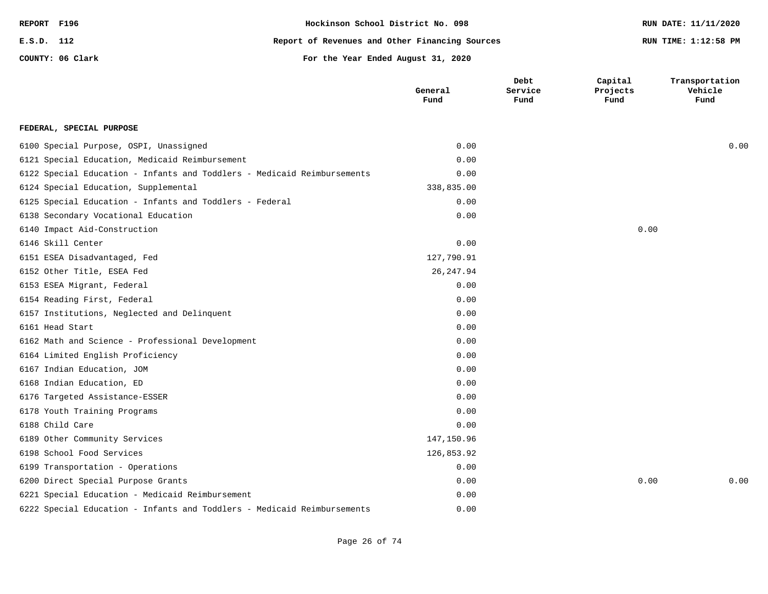| REPORT F196      | Hockinson School District No. 098              | RUN DATE: 11/11/2020 |
|------------------|------------------------------------------------|----------------------|
| E.S.D. 112       | Report of Revenues and Other Financing Sources | RUN TIME: 1:12:58 PM |
| COUNTY: 06 Clark | For the Year Ended August 31, 2020             |                      |
|                  |                                                |                      |

|                                                                         | General<br>Fund | Debt<br>Service<br>Fund | Capital<br>Projects<br>Fund | Transportation<br>Vehicle<br>Fund |
|-------------------------------------------------------------------------|-----------------|-------------------------|-----------------------------|-----------------------------------|
| FEDERAL, SPECIAL PURPOSE                                                |                 |                         |                             |                                   |
| 6100 Special Purpose, OSPI, Unassigned                                  | 0.00            |                         |                             | 0.00                              |
| 6121 Special Education, Medicaid Reimbursement                          | 0.00            |                         |                             |                                   |
| 6122 Special Education - Infants and Toddlers - Medicaid Reimbursements | 0.00            |                         |                             |                                   |
| 6124 Special Education, Supplemental                                    | 338,835.00      |                         |                             |                                   |
| 6125 Special Education - Infants and Toddlers - Federal                 | 0.00            |                         |                             |                                   |
| 6138 Secondary Vocational Education                                     | 0.00            |                         |                             |                                   |
| 6140 Impact Aid-Construction                                            |                 |                         | 0.00                        |                                   |
| 6146 Skill Center                                                       | 0.00            |                         |                             |                                   |
| 6151 ESEA Disadvantaged, Fed                                            | 127,790.91      |                         |                             |                                   |
| 6152 Other Title, ESEA Fed                                              | 26, 247.94      |                         |                             |                                   |
| 6153 ESEA Migrant, Federal                                              | 0.00            |                         |                             |                                   |
| 6154 Reading First, Federal                                             | 0.00            |                         |                             |                                   |
| 6157 Institutions, Neglected and Delinquent                             | 0.00            |                         |                             |                                   |
| 6161 Head Start                                                         | 0.00            |                         |                             |                                   |
| 6162 Math and Science - Professional Development                        | 0.00            |                         |                             |                                   |
| 6164 Limited English Proficiency                                        | 0.00            |                         |                             |                                   |
| 6167 Indian Education, JOM                                              | 0.00            |                         |                             |                                   |
| 6168 Indian Education, ED                                               | 0.00            |                         |                             |                                   |
| 6176 Targeted Assistance-ESSER                                          | 0.00            |                         |                             |                                   |
| 6178 Youth Training Programs                                            | 0.00            |                         |                             |                                   |
| 6188 Child Care                                                         | 0.00            |                         |                             |                                   |
| 6189 Other Community Services                                           | 147,150.96      |                         |                             |                                   |
| 6198 School Food Services                                               | 126,853.92      |                         |                             |                                   |
| 6199 Transportation - Operations                                        | 0.00            |                         |                             |                                   |
| 6200 Direct Special Purpose Grants                                      | 0.00            |                         | 0.00                        | 0.00                              |
| 6221 Special Education - Medicaid Reimbursement                         | 0.00            |                         |                             |                                   |
| 6222 Special Education - Infants and Toddlers - Medicaid Reimbursements | 0.00            |                         |                             |                                   |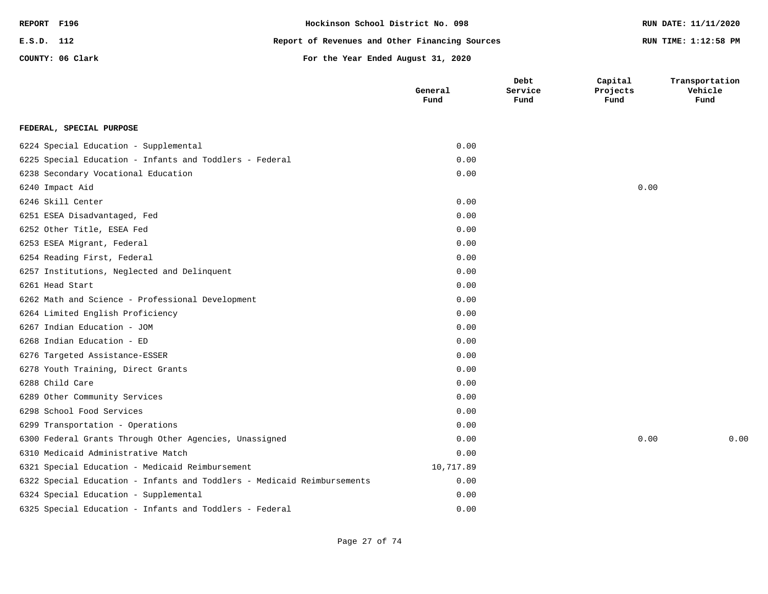| REPORT F196 |                  | Hockinson School District No. 098              | RUN DATE: 11/11/2020 |
|-------------|------------------|------------------------------------------------|----------------------|
| E.S.D. 112  |                  | Report of Revenues and Other Financing Sources | RUN TIME: 1:12:58 PM |
|             | COUNTY: 06 Clark | For the Year Ended August 31, 2020             |                      |

|                                                                         | General<br>Fund | Debt<br>Service<br>Fund | Capital<br>Projects<br>Fund | Transportation<br>Vehicle<br>Fund |
|-------------------------------------------------------------------------|-----------------|-------------------------|-----------------------------|-----------------------------------|
| FEDERAL, SPECIAL PURPOSE                                                |                 |                         |                             |                                   |
| 6224 Special Education - Supplemental                                   | 0.00            |                         |                             |                                   |
| 6225 Special Education - Infants and Toddlers - Federal                 | 0.00            |                         |                             |                                   |
| 6238 Secondary Vocational Education                                     | 0.00            |                         |                             |                                   |
| 6240 Impact Aid                                                         |                 |                         | 0.00                        |                                   |
| 6246 Skill Center                                                       | 0.00            |                         |                             |                                   |
| 6251 ESEA Disadvantaged, Fed                                            | 0.00            |                         |                             |                                   |
| 6252 Other Title, ESEA Fed                                              | 0.00            |                         |                             |                                   |
| 6253 ESEA Migrant, Federal                                              | 0.00            |                         |                             |                                   |
| 6254 Reading First, Federal                                             | 0.00            |                         |                             |                                   |
| 6257 Institutions, Neglected and Delinquent                             | 0.00            |                         |                             |                                   |
| 6261 Head Start                                                         | 0.00            |                         |                             |                                   |
| 6262 Math and Science - Professional Development                        | 0.00            |                         |                             |                                   |
| 6264 Limited English Proficiency                                        | 0.00            |                         |                             |                                   |
| 6267 Indian Education - JOM                                             | 0.00            |                         |                             |                                   |
| 6268 Indian Education - ED                                              | 0.00            |                         |                             |                                   |
| 6276 Targeted Assistance-ESSER                                          | 0.00            |                         |                             |                                   |
| 6278 Youth Training, Direct Grants                                      | 0.00            |                         |                             |                                   |
| 6288 Child Care                                                         | 0.00            |                         |                             |                                   |
| 6289 Other Community Services                                           | 0.00            |                         |                             |                                   |
| 6298 School Food Services                                               | 0.00            |                         |                             |                                   |
| 6299 Transportation - Operations                                        | 0.00            |                         |                             |                                   |
| 6300 Federal Grants Through Other Agencies, Unassigned                  | 0.00            |                         | 0.00                        | 0.00                              |
| 6310 Medicaid Administrative Match                                      | 0.00            |                         |                             |                                   |
| 6321 Special Education - Medicaid Reimbursement                         | 10,717.89       |                         |                             |                                   |
| 6322 Special Education - Infants and Toddlers - Medicaid Reimbursements | 0.00            |                         |                             |                                   |
| 6324 Special Education - Supplemental                                   | 0.00            |                         |                             |                                   |
| 6325 Special Education - Infants and Toddlers - Federal                 | 0.00            |                         |                             |                                   |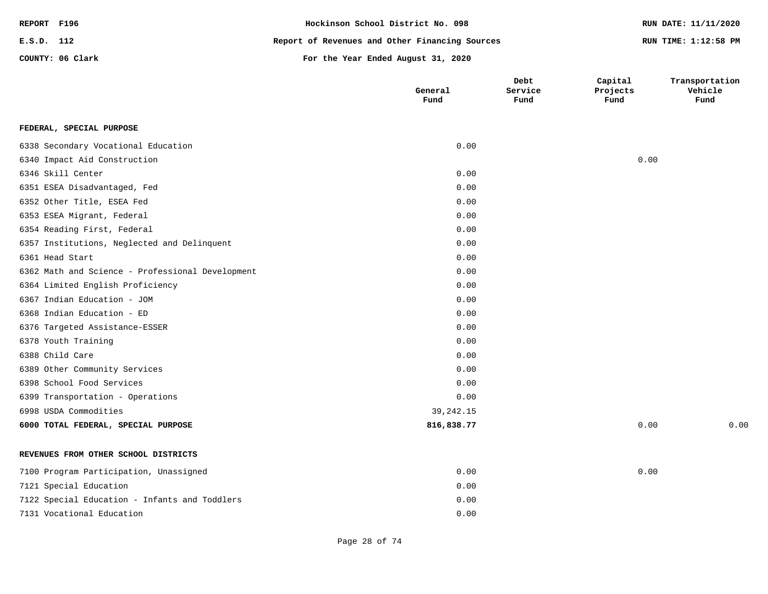| REPORT F196 |                  | Hockinson School District No. 098              | RUN DATE: 11/11/2020 |
|-------------|------------------|------------------------------------------------|----------------------|
| E.S.D. 112  |                  | Report of Revenues and Other Financing Sources | RUN TIME: 1:12:58 PM |
|             | COUNTY: 06 Clark | For the Year Ended August 31, 2020             |                      |

|                                                  | General<br>Fund | Debt<br>Service<br>Fund | Capital<br>Projects<br>Fund | Transportation<br>Vehicle<br>Fund |
|--------------------------------------------------|-----------------|-------------------------|-----------------------------|-----------------------------------|
| FEDERAL, SPECIAL PURPOSE                         |                 |                         |                             |                                   |
| 6338 Secondary Vocational Education              | 0.00            |                         |                             |                                   |
| 6340 Impact Aid Construction                     |                 |                         | 0.00                        |                                   |
| 6346 Skill Center                                | 0.00            |                         |                             |                                   |
| 6351 ESEA Disadvantaged, Fed                     | 0.00            |                         |                             |                                   |
| 6352 Other Title, ESEA Fed                       | 0.00            |                         |                             |                                   |
| 6353 ESEA Migrant, Federal                       | 0.00            |                         |                             |                                   |
| 6354 Reading First, Federal                      | 0.00            |                         |                             |                                   |
| 6357 Institutions, Neglected and Delinquent      | 0.00            |                         |                             |                                   |
| 6361 Head Start                                  | 0.00            |                         |                             |                                   |
| 6362 Math and Science - Professional Development | 0.00            |                         |                             |                                   |
| 6364 Limited English Proficiency                 | 0.00            |                         |                             |                                   |
| 6367 Indian Education - JOM                      | 0.00            |                         |                             |                                   |
| 6368 Indian Education - ED                       | 0.00            |                         |                             |                                   |
| 6376 Targeted Assistance-ESSER                   | 0.00            |                         |                             |                                   |
| 6378 Youth Training                              | 0.00            |                         |                             |                                   |
| 6388 Child Care                                  | 0.00            |                         |                             |                                   |
| 6389 Other Community Services                    | 0.00            |                         |                             |                                   |
| 6398 School Food Services                        | 0.00            |                         |                             |                                   |
| 6399 Transportation - Operations                 | 0.00            |                         |                             |                                   |
| 6998 USDA Commodities                            | 39, 242. 15     |                         |                             |                                   |
| 6000 TOTAL FEDERAL, SPECIAL PURPOSE              | 816,838.77      |                         | 0.00                        | 0.00                              |
| REVENUES FROM OTHER SCHOOL DISTRICTS             |                 |                         |                             |                                   |
| 7100 Program Participation, Unassigned           | 0.00            |                         | 0.00                        |                                   |
| 7121 Special Education                           | 0.00            |                         |                             |                                   |
| 7122 Special Education - Infants and Toddlers    | 0.00            |                         |                             |                                   |
| 7131 Vocational Education                        | 0.00            |                         |                             |                                   |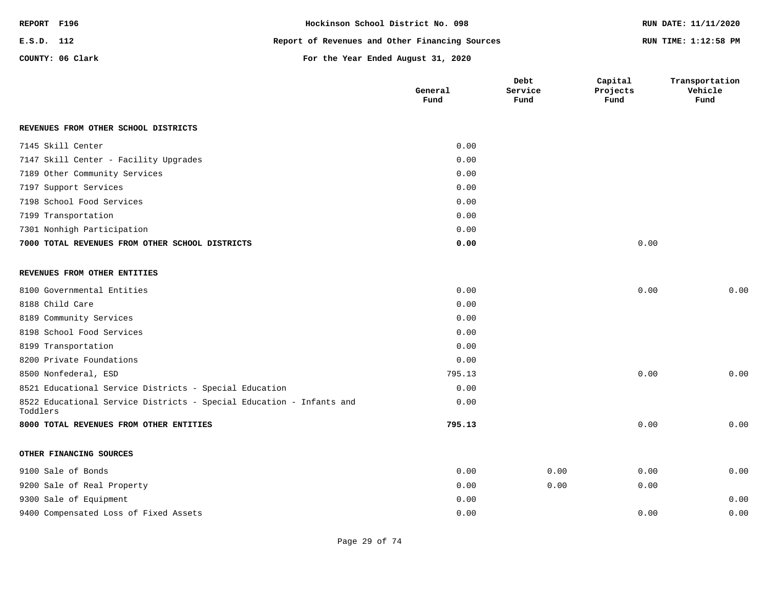| REPORT F196 |                  | Hockinson School District No. 098              | RUN DATE: 11/11/2020 |
|-------------|------------------|------------------------------------------------|----------------------|
| E.S.D. 112  |                  | Report of Revenues and Other Financing Sources | RUN TIME: 1:12:58 PM |
|             | COUNTY: 06 Clark | For the Year Ended August 31, 2020             |                      |

|                                                                                  | General<br>Fund | Debt<br>Service<br>Fund | Capital<br>Projects<br>Fund | Transportation<br>Vehicle<br>Fund |
|----------------------------------------------------------------------------------|-----------------|-------------------------|-----------------------------|-----------------------------------|
| REVENUES FROM OTHER SCHOOL DISTRICTS                                             |                 |                         |                             |                                   |
| 7145 Skill Center                                                                | 0.00            |                         |                             |                                   |
| 7147 Skill Center - Facility Upgrades                                            | 0.00            |                         |                             |                                   |
| 7189 Other Community Services                                                    | 0.00            |                         |                             |                                   |
| 7197 Support Services                                                            | 0.00            |                         |                             |                                   |
| 7198 School Food Services                                                        | 0.00            |                         |                             |                                   |
| 7199 Transportation                                                              | 0.00            |                         |                             |                                   |
| 7301 Nonhigh Participation                                                       | 0.00            |                         |                             |                                   |
| 7000 TOTAL REVENUES FROM OTHER SCHOOL DISTRICTS                                  | 0.00            |                         | 0.00                        |                                   |
| REVENUES FROM OTHER ENTITIES                                                     |                 |                         |                             |                                   |
| 8100 Governmental Entities                                                       | 0.00            |                         | 0.00                        | 0.00                              |
| 8188 Child Care                                                                  | 0.00            |                         |                             |                                   |
| 8189 Community Services                                                          | 0.00            |                         |                             |                                   |
| 8198 School Food Services                                                        | 0.00            |                         |                             |                                   |
| 8199 Transportation                                                              | 0.00            |                         |                             |                                   |
| 8200 Private Foundations                                                         | 0.00            |                         |                             |                                   |
| 8500 Nonfederal, ESD                                                             | 795.13          |                         | 0.00                        | 0.00                              |
| 8521 Educational Service Districts - Special Education                           | 0.00            |                         |                             |                                   |
| 8522 Educational Service Districts - Special Education - Infants and<br>Toddlers | 0.00            |                         |                             |                                   |
| 8000 TOTAL REVENUES FROM OTHER ENTITIES                                          | 795.13          |                         | 0.00                        | 0.00                              |
| OTHER FINANCING SOURCES                                                          |                 |                         |                             |                                   |
| 9100 Sale of Bonds                                                               | 0.00            | 0.00                    | 0.00                        | 0.00                              |
| 9200 Sale of Real Property                                                       | 0.00            | 0.00                    | 0.00                        |                                   |
| 9300 Sale of Equipment                                                           | 0.00            |                         |                             | 0.00                              |
| 9400 Compensated Loss of Fixed Assets                                            | 0.00            |                         | 0.00                        | 0.00                              |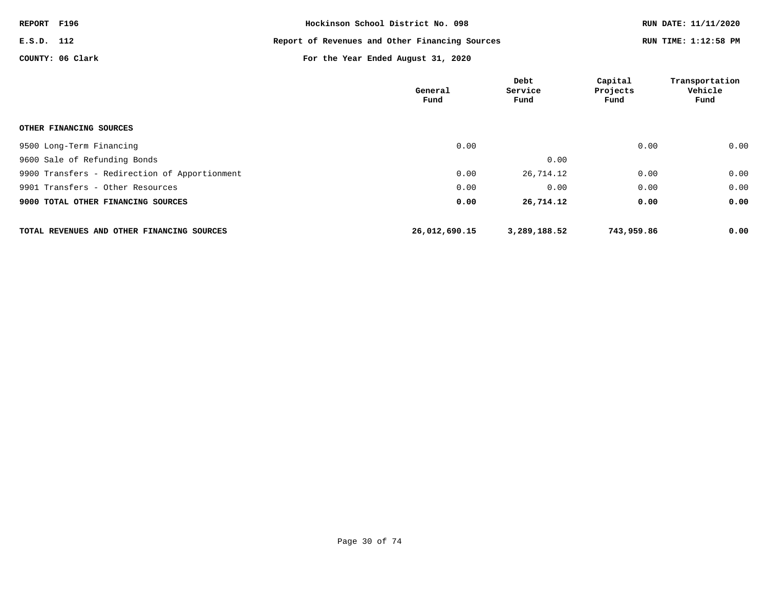| REPORT F196 |                  | Hockinson School District No. 098              | RUN DATE: 11/11/2020 |
|-------------|------------------|------------------------------------------------|----------------------|
| E.S.D. 112  |                  | Report of Revenues and Other Financing Sources | RUN TIME: 1:12:58 PM |
|             | COUNTY: 06 Clark | For the Year Ended August 31, 2020             |                      |

|                                               | General<br>Fund | Debt<br>Service<br>Fund | Capital<br>Projects<br>Fund | Transportation<br>Vehicle<br>Fund |
|-----------------------------------------------|-----------------|-------------------------|-----------------------------|-----------------------------------|
| OTHER FINANCING SOURCES                       |                 |                         |                             |                                   |
| 9500 Long-Term Financing                      | 0.00            |                         | 0.00                        | 0.00                              |
| 9600 Sale of Refunding Bonds                  |                 | 0.00                    |                             |                                   |
| 9900 Transfers - Redirection of Apportionment | 0.00            | 26,714.12               | 0.00                        | 0.00                              |
| 9901 Transfers - Other Resources              | 0.00            | 0.00                    | 0.00                        | 0.00                              |
| 9000 TOTAL OTHER FINANCING SOURCES            | 0.00            | 26,714.12               | 0.00                        | 0.00                              |
| TOTAL REVENUES AND OTHER FINANCING SOURCES    | 26,012,690.15   | 3,289,188.52            | 743,959.86                  | 0.00                              |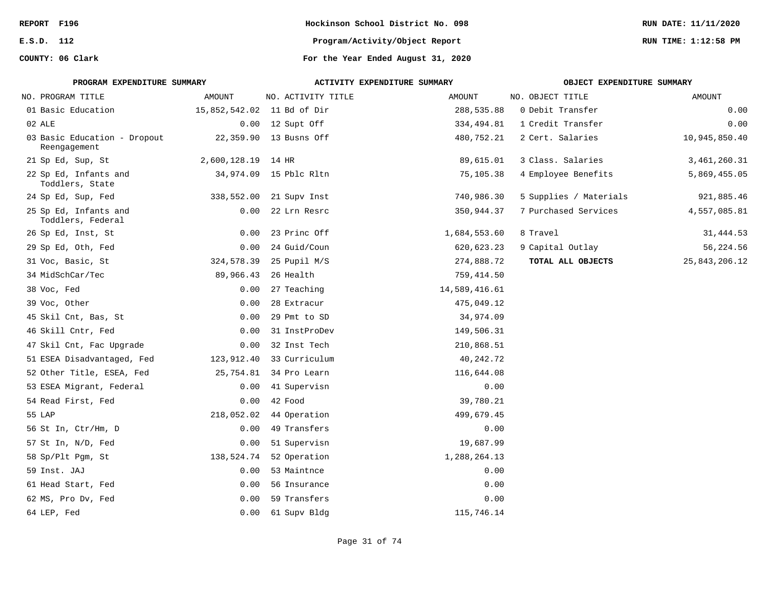| REPORT F196                                                                               |                            |                        | Hockinson School District No. 098  |                        | RUN DATE: 11/11/2020 |
|-------------------------------------------------------------------------------------------|----------------------------|------------------------|------------------------------------|------------------------|----------------------|
| E.S.D. 112                                                                                |                            |                        | Program/Activity/Object Report     |                        | RUN TIME: 1:12:58 PM |
| COUNTY: 06 Clark                                                                          |                            |                        | For the Year Ended August 31, 2020 |                        |                      |
| PROGRAM EXPENDITURE SUMMARY<br>ACTIVITY EXPENDITURE SUMMARY<br>OBJECT EXPENDITURE SUMMARY |                            |                        |                                    |                        |                      |
| NO. PROGRAM TITLE                                                                         | AMOUNT                     | NO. ACTIVITY TITLE     | AMOUNT                             | NO. OBJECT TITLE       | <b>AMOUNT</b>        |
| 01 Basic Education                                                                        | 15,852,542.02 11 Bd of Dir |                        | 288,535.88                         | 0 Debit Transfer       | 0.00                 |
| 02 ALE                                                                                    |                            | 0.00 12 Supt Off       | 334,494.81                         | 1 Credit Transfer      | 0.00                 |
| 03 Basic Education - Dropout<br>Reengagement                                              |                            | 22,359.90 13 Busns Off | 480,752.21                         | 2 Cert. Salaries       | 10,945,850.40        |
| 21 Sp Ed, Sup, St                                                                         | 2,600,128.19 14 HR         |                        | 89,615.01                          | 3 Class. Salaries      | 3,461,260.31         |
| 22 Sp Ed, Infants and<br>Toddlers, State                                                  |                            | 34,974.09 15 Pblc Rltn | 75,105.38                          | 4 Employee Benefits    | 5,869,455.05         |
| 24 Sp Ed, Sup, Fed                                                                        | 338,552.00                 | 21 Supv Inst           | 740,986.30                         | 5 Supplies / Materials | 921,885.46           |
| 25 Sp Ed, Infants and<br>Toddlers, Federal                                                | 0.00                       | 22 Lrn Resrc           | 350,944.37                         | 7 Purchased Services   | 4,557,085.81         |
| 26 Sp Ed, Inst, St                                                                        | 0.00                       | 23 Princ Off           | 1,684,553.60                       | 8 Travel               | 31,444.53            |
| 29 Sp Ed, Oth, Fed                                                                        | 0.00                       | 24 Guid/Coun           | 620, 623.23                        | 9 Capital Outlay       | 56,224.56            |
| 31 Voc, Basic, St                                                                         | 324,578.39                 | 25 Pupil M/S           | 274,888.72                         | TOTAL ALL OBJECTS      | 25, 843, 206. 12     |
| 34 MidSchCar/Tec                                                                          | 89,966.43                  | 26 Health              | 759, 414.50                        |                        |                      |
| 38 Voc, Fed                                                                               | 0.00                       | 27 Teaching            | 14,589,416.61                      |                        |                      |
| 39 Voc, Other                                                                             | 0.00                       | 28 Extracur            | 475,049.12                         |                        |                      |
| 45 Skil Cnt, Bas, St                                                                      | 0.00                       | 29 Pmt to SD           | 34,974.09                          |                        |                      |
| 46 Skill Cntr, Fed                                                                        | 0.00                       | 31 InstProDev          | 149,506.31                         |                        |                      |
| 47 Skil Cnt, Fac Upgrade                                                                  | 0.00                       | 32 Inst Tech           | 210,868.51                         |                        |                      |
| 51 ESEA Disadvantaged, Fed                                                                | 123,912.40                 | 33 Curriculum          | 40,242.72                          |                        |                      |
| 52 Other Title, ESEA, Fed                                                                 | 25,754.81                  | 34 Pro Learn           | 116,644.08                         |                        |                      |
| 53 ESEA Migrant, Federal                                                                  | 0.00                       | 41 Supervisn           | 0.00                               |                        |                      |
| 54 Read First, Fed                                                                        | 0.00                       | 42 Food                | 39,780.21                          |                        |                      |
| 55 LAP                                                                                    | 218,052.02                 | 44 Operation           | 499,679.45                         |                        |                      |
| 56 St In, Ctr/Hm, D                                                                       | 0.00                       | 49 Transfers           | 0.00                               |                        |                      |
| 57 St In, N/D, Fed                                                                        | 0.00                       | 51 Supervisn           | 19,687.99                          |                        |                      |
| 58 Sp/Plt Pgm, St                                                                         | 138,524.74                 | 52 Operation           | 1,288,264.13                       |                        |                      |
| 59 Inst. JAJ                                                                              | 0.00                       | 53 Maintnce            | 0.00                               |                        |                      |
| 61 Head Start, Fed                                                                        | 0.00                       | 56 Insurance           | 0.00                               |                        |                      |
| 62 MS, Pro Dv, Fed                                                                        | 0.00                       | 59 Transfers           | 0.00                               |                        |                      |
| 64 LEP, Fed                                                                               | 0.00                       | 61 Supv Bldg           | 115,746.14                         |                        |                      |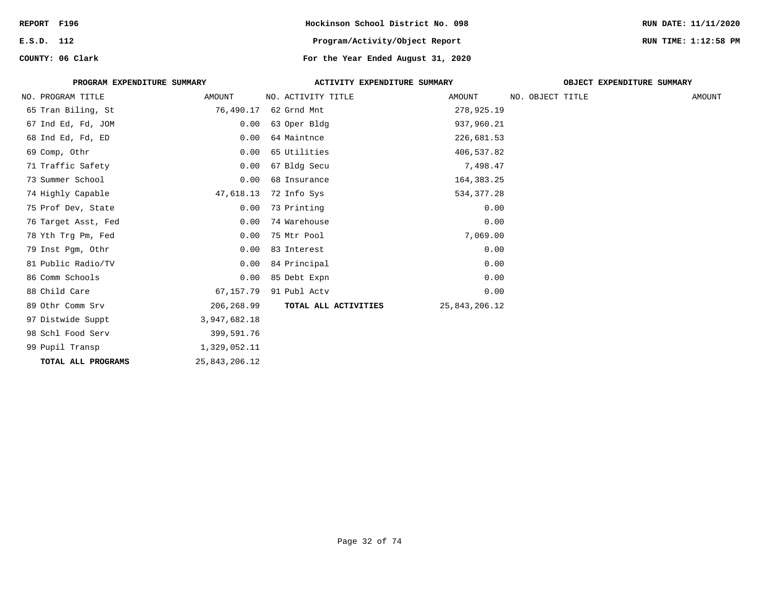| REPORT F196 |                             |                  | Hockinson School District No. 098  |               |                  |                            | RUN DATE: 11/11/2020 |
|-------------|-----------------------------|------------------|------------------------------------|---------------|------------------|----------------------------|----------------------|
| E.S.D. 112  |                             |                  | Program/Activity/Object Report     |               |                  |                            | RUN TIME: 1:12:58 PM |
|             | COUNTY: 06 Clark            |                  | For the Year Ended August 31, 2020 |               |                  |                            |                      |
|             | PROGRAM EXPENDITURE SUMMARY |                  | ACTIVITY EXPENDITURE SUMMARY       |               |                  | OBJECT EXPENDITURE SUMMARY |                      |
|             | NO. PROGRAM TITLE           | AMOUNT           | NO. ACTIVITY TITLE                 | AMOUNT        | NO. OBJECT TITLE |                            | AMOUNT               |
|             | 65 Tran Biling, St          | 76,490.17        | 62 Grnd Mnt                        | 278,925.19    |                  |                            |                      |
|             | 67 Ind Ed, Fd, JOM          | 0.00             | 63 Oper Bldg                       | 937,960.21    |                  |                            |                      |
|             | 68 Ind Ed, Fd, ED           | 0.00             | 64 Maintnce                        | 226,681.53    |                  |                            |                      |
|             | 69 Comp, Othr               | 0.00             | 65 Utilities                       | 406,537.82    |                  |                            |                      |
|             | 71 Traffic Safety           | 0.00             | 67 Bldg Secu                       | 7,498.47      |                  |                            |                      |
|             | 73 Summer School            | 0.00             | 68 Insurance                       | 164,383.25    |                  |                            |                      |
|             | 74 Highly Capable           | 47,618.13        | 72 Info Sys                        | 534, 377.28   |                  |                            |                      |
|             | 75 Prof Dev, State          | 0.00             | 73 Printing                        | 0.00          |                  |                            |                      |
|             | 76 Target Asst, Fed         | 0.00             | 74 Warehouse                       | 0.00          |                  |                            |                      |
|             | 78 Yth Trg Pm, Fed          | 0.00             | 75 Mtr Pool                        | 7,069.00      |                  |                            |                      |
|             | 79 Inst Pqm, Othr           | 0.00             | 83 Interest                        | 0.00          |                  |                            |                      |
|             | 81 Public Radio/TV          | 0.00             | 84 Principal                       | 0.00          |                  |                            |                      |
|             | 86 Comm Schools             | 0.00             | 85 Debt Expn                       | 0.00          |                  |                            |                      |
|             | 88 Child Care               | 67,157.79        | 91 Publ Actv                       | 0.00          |                  |                            |                      |
|             | 89 Othr Comm Srv            | 206,268.99       | TOTAL ALL ACTIVITIES               | 25,843,206.12 |                  |                            |                      |
|             | 97 Distwide Suppt           | 3,947,682.18     |                                    |               |                  |                            |                      |
|             | 98 Schl Food Serv           | 399,591.76       |                                    |               |                  |                            |                      |
|             | 99 Pupil Transp             | 1,329,052.11     |                                    |               |                  |                            |                      |
|             | TOTAL ALL PROGRAMS          | 25, 843, 206. 12 |                                    |               |                  |                            |                      |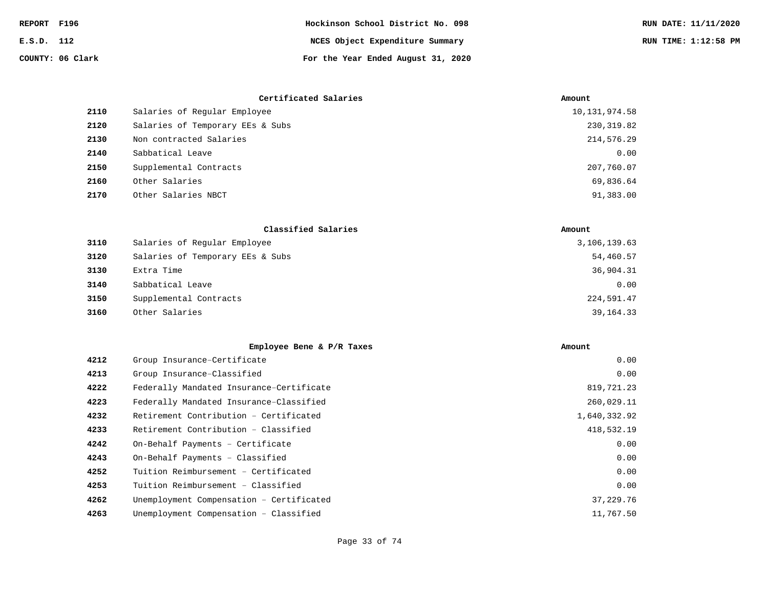| REPORT F196 |                  | Hockinson School District No. 098  | RUN DATE: 11/11/2020 |
|-------------|------------------|------------------------------------|----------------------|
| E.S.D. 112  |                  | NCES Object Expenditure Summary    | RUN TIME: 1:12:58 PM |
|             | COUNTY: 06 Clark | For the Year Ended August 31, 2020 |                      |

|      | Certificated Salaries            | Amount          |
|------|----------------------------------|-----------------|
| 2110 | Salaries of Reqular Employee     | 10, 131, 974.58 |
| 2120 | Salaries of Temporary EEs & Subs | 230, 319.82     |
| 2130 | Non contracted Salaries          | 214,576.29      |
| 2140 | Sabbatical Leave                 | 0.00            |
| 2150 | Supplemental Contracts           | 207,760.07      |
| 2160 | Other Salaries                   | 69,836.64       |
| 2170 | Other Salaries NBCT              | 91,383.00       |

|      | Classified Salaries              | Amount       |
|------|----------------------------------|--------------|
| 3110 | Salaries of Regular Employee     | 3,106,139.63 |
| 3120 | Salaries of Temporary EEs & Subs | 54,460.57    |
| 3130 | Extra Time                       | 36,904.31    |
| 3140 | Sabbatical Leave                 | 0.00         |
| 3150 | Supplemental Contracts           | 224,591.47   |
| 3160 | Other Salaries                   | 39,164.33    |

|      | Employee Bene & P/R Taxes                | Amount       |
|------|------------------------------------------|--------------|
| 4212 | Group Insurance-Certificate              | 0.00         |
| 4213 | Group Insurance-Classified               | 0.00         |
| 4222 | Federally Mandated Insurance-Certificate | 819,721.23   |
| 4223 | Federally Mandated Insurance-Classified  | 260,029.11   |
| 4232 | Retirement Contribution - Certificated   | 1,640,332.92 |
| 4233 | Retirement Contribution - Classified     | 418,532.19   |
| 4242 | On-Behalf Payments - Certificate         | 0.00         |
| 4243 | On-Behalf Payments - Classified          | 0.00         |
| 4252 | Tuition Reimbursement - Certificated     | 0.00         |
| 4253 | Tuition Reimbursement - Classified       | 0.00         |
| 4262 | Unemployment Compensation - Certificated | 37,229.76    |
| 4263 | Unemployment Compensation - Classified   | 11,767.50    |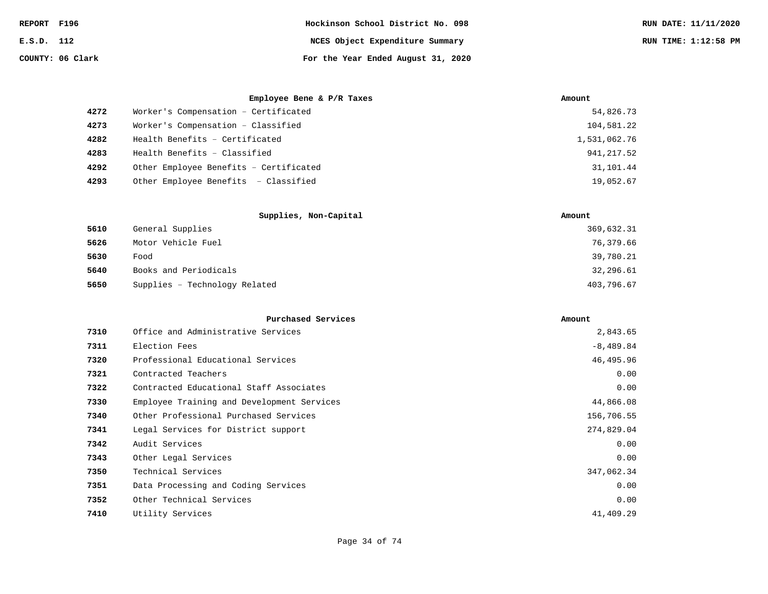| REPORT F196 |                  | Hockinson School District No. 098  | RUN DATE: 11/11/2020 |
|-------------|------------------|------------------------------------|----------------------|
| E.S.D. 112  |                  | NCES Object Expenditure Summary    | RUN TIME: 1:12:58 PM |
|             | COUNTY: 06 Clark | For the Year Ended August 31, 2020 |                      |

|      | Employee Bene & P/R Taxes              | Amount       |
|------|----------------------------------------|--------------|
| 4272 | Worker's Compensation - Certificated   | 54,826.73    |
| 4273 | Worker's Compensation - Classified     | 104,581.22   |
| 4282 | Health Benefits - Certificated         | 1,531,062.76 |
| 4283 | Health Benefits - Classified           | 941, 217.52  |
| 4292 | Other Employee Benefits - Certificated | 31,101.44    |
| 4293 | Other Employee Benefits - Classified   | 19,052.67    |

|      | Supplies, Non-Capital         | Amount     |
|------|-------------------------------|------------|
| 5610 | General Supplies              | 369,632.31 |
| 5626 | Motor Vehicle Fuel            | 76,379.66  |
| 5630 | Food                          | 39,780.21  |
| 5640 | Books and Periodicals         | 32,296.61  |
| 5650 | Supplies - Technology Related | 403,796.67 |

|      | Purchased Services                         | Amount      |
|------|--------------------------------------------|-------------|
| 7310 | Office and Administrative Services         | 2,843.65    |
| 7311 | Election Fees                              | $-8,489.84$ |
| 7320 | Professional Educational Services          | 46,495.96   |
| 7321 | Contracted Teachers                        | 0.00        |
| 7322 | Contracted Educational Staff Associates    | 0.00        |
| 7330 | Employee Training and Development Services | 44,866.08   |
| 7340 | Other Professional Purchased Services      | 156,706.55  |
| 7341 | Legal Services for District support        | 274,829.04  |
| 7342 | Audit Services                             | 0.00        |
| 7343 | Other Legal Services                       | 0.00        |
| 7350 | Technical Services                         | 347,062.34  |
| 7351 | Data Processing and Coding Services        | 0.00        |
| 7352 | Other Technical Services                   | 0.00        |
| 7410 | Utility Services                           | 41,409.29   |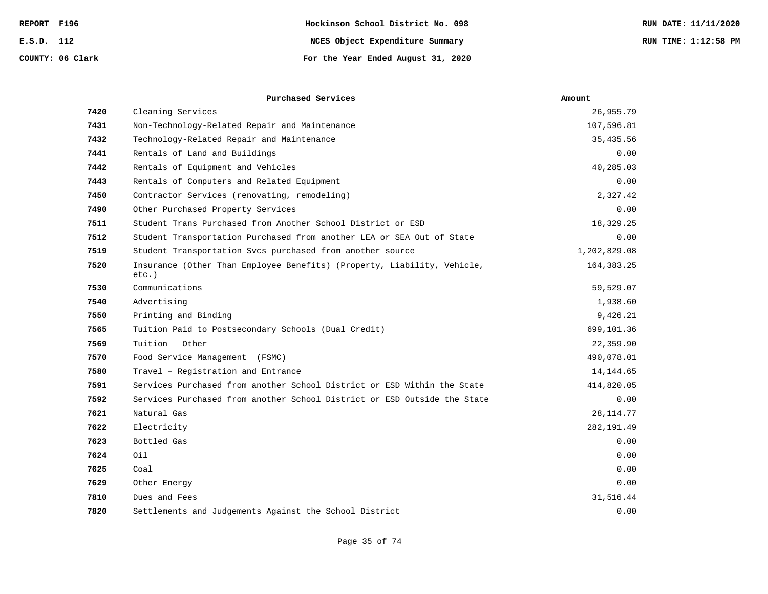| F196<br>REPORT   | Hockinson School District No. 098  | RUN DATE: 11/11/2020 |
|------------------|------------------------------------|----------------------|
| E.S.D. 112       | NCES Object Expenditure Summary    | RUN TIME: 1:12:58 PM |
| COUNTY: 06 Clark | For the Year Ended August 31, 2020 |                      |

|      | Purchased Services                                                                  | Amount       |
|------|-------------------------------------------------------------------------------------|--------------|
| 7420 | Cleaning Services                                                                   | 26,955.79    |
| 7431 | Non-Technology-Related Repair and Maintenance                                       | 107,596.81   |
| 7432 | Technology-Related Repair and Maintenance                                           | 35,435.56    |
| 7441 | Rentals of Land and Buildings                                                       | 0.00         |
| 7442 | Rentals of Equipment and Vehicles                                                   | 40,285.03    |
| 7443 | Rentals of Computers and Related Equipment                                          | 0.00         |
| 7450 | Contractor Services (renovating, remodeling)                                        | 2,327.42     |
| 7490 | Other Purchased Property Services                                                   | 0.00         |
| 7511 | Student Trans Purchased from Another School District or ESD                         | 18,329.25    |
| 7512 | Student Transportation Purchased from another LEA or SEA Out of State               | 0.00         |
| 7519 | Student Transportation Svcs purchased from another source                           | 1,202,829.08 |
| 7520 | Insurance (Other Than Employee Benefits) (Property, Liability, Vehicle,<br>$etc.$ ) | 164, 383. 25 |
| 7530 | Communications                                                                      | 59,529.07    |
| 7540 | Advertising                                                                         | 1,938.60     |
| 7550 | Printing and Binding                                                                | 9,426.21     |
| 7565 | Tuition Paid to Postsecondary Schools (Dual Credit)                                 | 699,101.36   |
| 7569 | Tuition - Other                                                                     | 22,359.90    |
| 7570 | Food Service Management (FSMC)                                                      | 490,078.01   |
| 7580 | Travel - Registration and Entrance                                                  | 14,144.65    |
| 7591 | Services Purchased from another School District or ESD Within the State             | 414,820.05   |
| 7592 | Services Purchased from another School District or ESD Outside the State            | 0.00         |
| 7621 | Natural Gas                                                                         | 28, 114.77   |
| 7622 | Electricity                                                                         | 282, 191.49  |
| 7623 | Bottled Gas                                                                         | 0.00         |
| 7624 | Oil                                                                                 | 0.00         |
| 7625 | Coal                                                                                | 0.00         |
| 7629 | Other Energy                                                                        | 0.00         |
| 7810 | Dues and Fees                                                                       | 31,516.44    |
| 7820 | Settlements and Judgements Against the School District                              | 0.00         |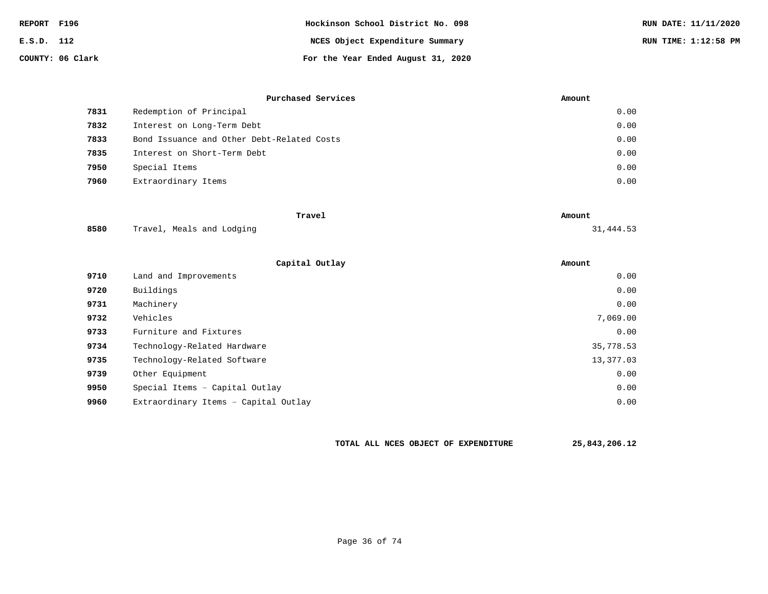| REPORT F196 |                  | Hockinson School District No. 098  | RUN DATE: 11/11/2020 |
|-------------|------------------|------------------------------------|----------------------|
| E.S.D. 112  |                  | NCES Object Expenditure Summary    | RUN TIME: 1:12:58 PM |
|             | COUNTY: 06 Clark | For the Year Ended August 31, 2020 |                      |

|      | Purchased Services                         | Amount |
|------|--------------------------------------------|--------|
| 7831 | Redemption of Principal                    | 0.00   |
| 7832 | Interest on Long-Term Debt                 | 0.00   |
| 7833 | Bond Issuance and Other Debt-Related Costs | 0.00   |
| 7835 | Interest on Short-Term Debt                | 0.00   |
| 7950 | Special Items                              | 0.00   |
| 7960 | Extraordinary Items                        | 0.00   |

|      | Travel                    | Amount    |
|------|---------------------------|-----------|
| 8580 | Travel, Meals and Lodging | 31,444.53 |

|      | Capital Outlay                       | Amount    |
|------|--------------------------------------|-----------|
| 9710 | Land and Improvements                | 0.00      |
| 9720 | Buildings                            | 0.00      |
| 9731 | Machinery                            | 0.00      |
| 9732 | Vehicles                             | 7,069.00  |
| 9733 | Furniture and Fixtures               | 0.00      |
| 9734 | Technology-Related Hardware          | 35,778.53 |
| 9735 | Technology-Related Software          | 13,377.03 |
| 9739 | Other Equipment                      | 0.00      |
| 9950 | Special Items - Capital Outlay       | 0.00      |
| 9960 | Extraordinary Items - Capital Outlay | 0.00      |

**TOTAL ALL NCES OBJECT OF EXPENDITURE 25,843,206.12**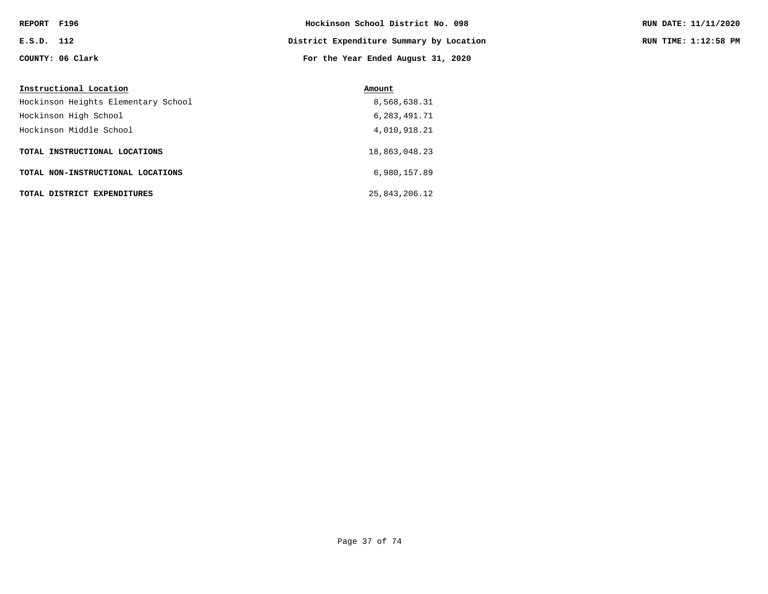| REPORT F196 |                  | Hockinson School District No. 098        | RUN DATE: 11/11/2020 |
|-------------|------------------|------------------------------------------|----------------------|
| E.S.D. 112  |                  | District Expenditure Summary by Location | RUN TIME: 1:12:58 PM |
|             | COUNTY: 06 Clark | For the Year Ended August 31, 2020       |                      |

| Instructional Location              | Amount          |
|-------------------------------------|-----------------|
| Hockinson Heights Elementary School | 8,568,638.31    |
| Hockinson High School               | 6, 283, 491. 71 |
| Hockinson Middle School             | 4,010,918.21    |
| TOTAL INSTRUCTIONAL LOCATIONS       | 18,863,048.23   |
| TOTAL NON-INSTRUCTIONAL LOCATIONS   | 6,980,157.89    |
| TOTAL DISTRICT EXPENDITURES         | 25,843,206.12   |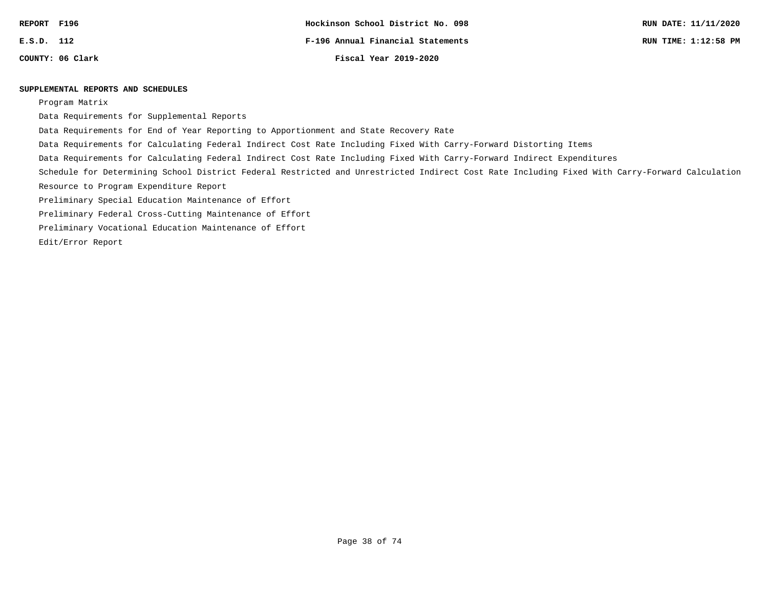| REPORT | F196 |
|--------|------|
| E.S.D. | 112  |

### **SUPPLEMENTAL REPORTS AND SCHEDULES**

Program Matrix

Data Requirements for Supplemental Reports

Data Requirements for End of Year Reporting to Apportionment and State Recovery Rate

Data Requirements for Calculating Federal Indirect Cost Rate Including Fixed With Carry-Forward Distorting Items

Data Requirements for Calculating Federal Indirect Cost Rate Including Fixed With Carry-Forward Indirect Expenditures

Schedule for Determining School District Federal Restricted and Unrestricted Indirect Cost Rate Including Fixed With Carry-Forward Calculation

Resource to Program Expenditure Report

Preliminary Special Education Maintenance of Effort

Preliminary Federal Cross-Cutting Maintenance of Effort

Preliminary Vocational Education Maintenance of Effort

Edit/Error Report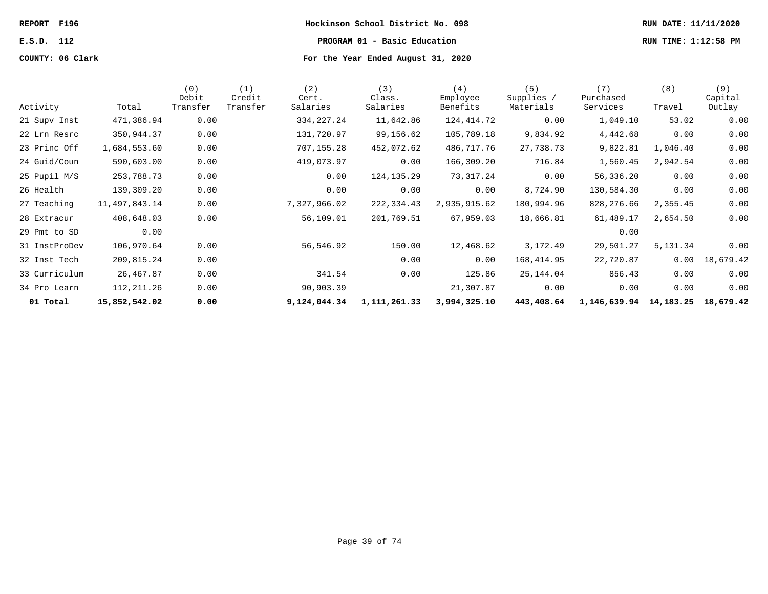| REPORT F196      | Hockinson School District No. 098                    |                                    |              |              |               |                 |                   |                 | RUN DATE: 11/11/2020 |                |
|------------------|------------------------------------------------------|------------------------------------|--------------|--------------|---------------|-----------------|-------------------|-----------------|----------------------|----------------|
| E.S.D. 112       | RUN TIME: 1:12:58 PM<br>PROGRAM 01 - Basic Education |                                    |              |              |               |                 |                   |                 |                      |                |
| COUNTY: 06 Clark |                                                      | For the Year Ended August 31, 2020 |              |              |               |                 |                   |                 |                      |                |
|                  |                                                      | (0)<br>Debit                       | (1<br>Credit | (2)<br>Cert. | (3)<br>Class. | (4)<br>Employee | (5)<br>Supplies / | 7)<br>Purchased | (8)                  | (9)<br>Capital |
| Activity         | Total                                                | Transfer                           | Transfer     | Salaries     | Salaries      | Benefits        | Materials         | Services        | Travel               | Outlay         |

| 01 Total      | 15,852,542.02 | 0.00     |          | 9,124,044.34 | 1,111,261.33 | 3,994,325.10 | 443,408.64 | 1,146,639.94 | 14,183.25 | 18,679.42 |
|---------------|---------------|----------|----------|--------------|--------------|--------------|------------|--------------|-----------|-----------|
| 34 Pro Learn  | 112, 211.26   | 0.00     |          | 90,903.39    |              | 21,307.87    | 0.00       | 0.00         | 0.00      | 0.00      |
| 33 Curriculum | 26,467.87     | 0.00     |          | 341.54       | 0.00         | 125.86       | 25,144.04  | 856.43       | 0.00      | 0.00      |
| 32 Inst Tech  | 209,815.24    | 0.00     |          |              | 0.00         | 0.00         | 168,414.95 | 22,720.87    | 0.00      | 18,679.42 |
| 31 InstProDev | 106,970.64    | 0.00     |          | 56,546.92    | 150.00       | 12,468.62    | 3,172.49   | 29,501.27    | 5,131.34  | 0.00      |
| 29 Pmt to SD  | 0.00          |          |          |              |              |              |            | 0.00         |           |           |
| 28 Extracur   | 408,648.03    | 0.00     |          | 56,109.01    | 201,769.51   | 67,959.03    | 18,666.81  | 61,489.17    | 2,654.50  | 0.00      |
| 27 Teaching   | 11,497,843.14 | 0.00     |          | 7,327,966.02 | 222,334.43   | 2,935,915.62 | 180,994.96 | 828,276.66   | 2,355.45  | 0.00      |
| 26 Health     | 139,309.20    | 0.00     |          | 0.00         | 0.00         | 0.00         | 8,724.90   | 130,584.30   | 0.00      | 0.00      |
| 25 Pupil M/S  | 253,788.73    | 0.00     |          | 0.00         | 124, 135. 29 | 73,317.24    | 0.00       | 56,336.20    | 0.00      | 0.00      |
| 24 Guid/Coun  | 590,603.00    | 0.00     |          | 419,073.97   | 0.00         | 166,309.20   | 716.84     | 1,560.45     | 2,942.54  | 0.00      |
| 23 Princ Off  | 1,684,553.60  | 0.00     |          | 707,155.28   | 452,072.62   | 486,717.76   | 27,738.73  | 9,822.81     | 1,046.40  | 0.00      |
| 22 Lrn Resrc  | 350,944.37    | 0.00     |          | 131,720.97   | 99,156.62    | 105,789.18   | 9,834.92   | 4,442.68     | 0.00      | 0.00      |
| 21 Supv Inst  | 471,386.94    | 0.00     |          | 334, 227. 24 | 11,642.86    | 124,414.72   | 0.00       | 1,049.10     | 53.02     | 0.00      |
| Activity      | Total         | Transfer | Transfer | Salaries     | Salaries     | Benefits     | Materials  | Services     | Travel    | Outlay    |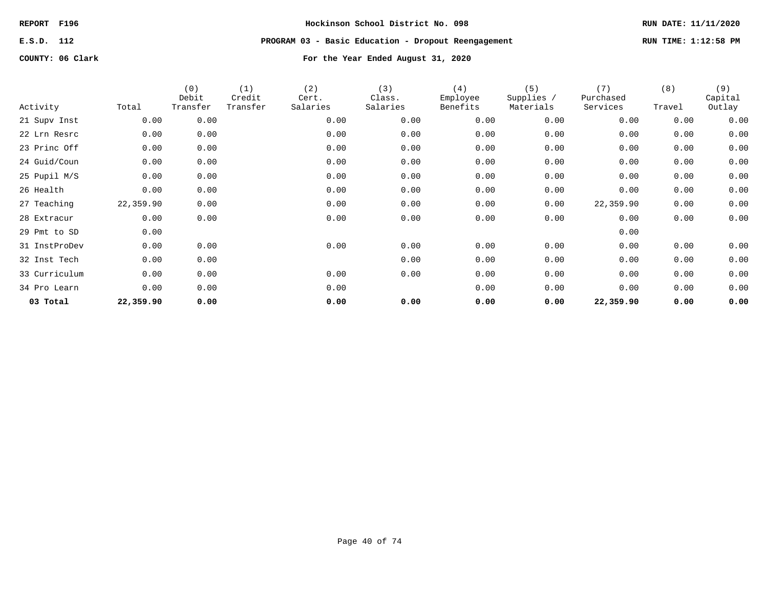# **E.S.D. 112 PROGRAM 03 - Basic Education - Dropout Reengagement RUN TIME: 1:12:58 PM**

| Activity      | Total     | (0)<br>Debit<br>Transfer | (1)<br>Credit<br>Transfer | (2)<br>Cert.<br>Salaries | (3)<br>Class.<br>Salaries | (4)<br>Employee<br>Benefits | (5)<br>Supplies /<br>Materials | (7)<br>Purchased<br>Services | (8)<br>Travel | (9)<br>Capital<br>Outlay |
|---------------|-----------|--------------------------|---------------------------|--------------------------|---------------------------|-----------------------------|--------------------------------|------------------------------|---------------|--------------------------|
| 21 Supv Inst  | 0.00      | 0.00                     |                           | 0.00                     | 0.00                      | 0.00                        | 0.00                           | 0.00                         | 0.00          | 0.00                     |
| 22 Lrn Resrc  | 0.00      | 0.00                     |                           | 0.00                     | 0.00                      | 0.00                        | 0.00                           | 0.00                         | 0.00          | 0.00                     |
| 23 Princ Off  | 0.00      | 0.00                     |                           | 0.00                     | 0.00                      | 0.00                        | 0.00                           | 0.00                         | 0.00          | 0.00                     |
| 24 Guid/Coun  | 0.00      | 0.00                     |                           | 0.00                     | 0.00                      | 0.00                        | 0.00                           | 0.00                         | 0.00          | 0.00                     |
| 25 Pupil M/S  | 0.00      | 0.00                     |                           | 0.00                     | 0.00                      | 0.00                        | 0.00                           | 0.00                         | 0.00          | 0.00                     |
| 26 Health     | 0.00      | 0.00                     |                           | 0.00                     | 0.00                      | 0.00                        | 0.00                           | 0.00                         | 0.00          | 0.00                     |
| 27 Teaching   | 22,359.90 | 0.00                     |                           | 0.00                     | 0.00                      | 0.00                        | 0.00                           | 22,359.90                    | 0.00          | 0.00                     |
| 28 Extracur   | 0.00      | 0.00                     |                           | 0.00                     | 0.00                      | 0.00                        | 0.00                           | 0.00                         | 0.00          | 0.00                     |
| 29 Pmt to SD  | 0.00      |                          |                           |                          |                           |                             |                                | 0.00                         |               |                          |
| 31 InstProDev | 0.00      | 0.00                     |                           | 0.00                     | 0.00                      | 0.00                        | 0.00                           | 0.00                         | 0.00          | 0.00                     |
| 32 Inst Tech  | 0.00      | 0.00                     |                           |                          | 0.00                      | 0.00                        | 0.00                           | 0.00                         | 0.00          | 0.00                     |
| 33 Curriculum | 0.00      | 0.00                     |                           | 0.00                     | 0.00                      | 0.00                        | 0.00                           | 0.00                         | 0.00          | 0.00                     |
| 34 Pro Learn  | 0.00      | 0.00                     |                           | 0.00                     |                           | 0.00                        | 0.00                           | 0.00                         | 0.00          | 0.00                     |
| 03 Total      | 22,359.90 | 0.00                     |                           | 0.00                     | 0.00                      | 0.00                        | 0.00                           | 22,359.90                    | 0.00          | 0.00                     |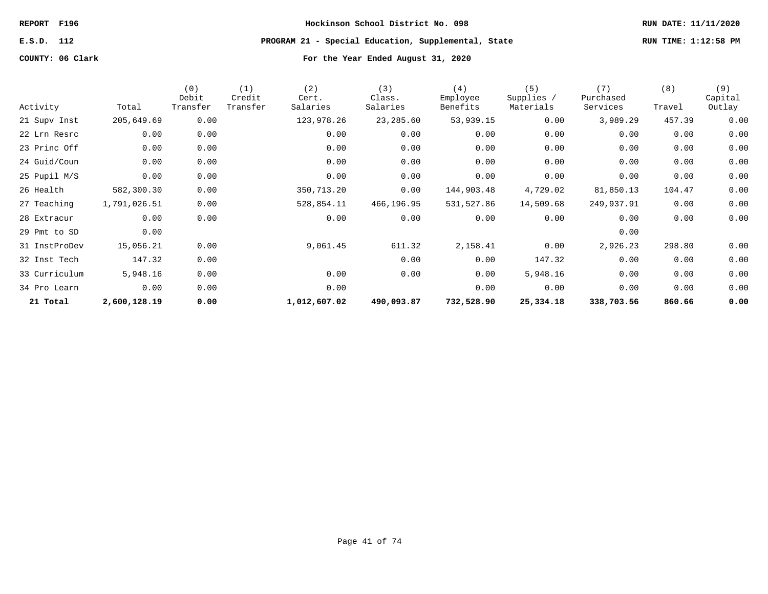**E.S.D. 112 PROGRAM 21 - Special Education, Supplemental, State RUN TIME: 1:12:58 PM**

| Activity      | Total        | (0)<br>Debit<br>Transfer | (1)<br>Credit<br>Transfer | (2)<br>Cert.<br>Salaries | (3)<br>Class.<br>Salaries | (4)<br>Employee<br>Benefits | (5)<br>Supplies /<br>Materials | (7)<br>Purchased<br>Services | (8)<br>Travel | (9)<br>Capital<br>Outlay |
|---------------|--------------|--------------------------|---------------------------|--------------------------|---------------------------|-----------------------------|--------------------------------|------------------------------|---------------|--------------------------|
| 21 Supv Inst  | 205,649.69   | 0.00                     |                           | 123,978.26               | 23,285.60                 | 53,939.15                   | 0.00                           | 3,989.29                     | 457.39        | 0.00                     |
| 22 Lrn Resrc  | 0.00         | 0.00                     |                           | 0.00                     | 0.00                      | 0.00                        | 0.00                           | 0.00                         | 0.00          | 0.00                     |
| 23 Princ Off  | 0.00         | 0.00                     |                           | 0.00                     | 0.00                      | 0.00                        | 0.00                           | 0.00                         | 0.00          | 0.00                     |
| 24 Guid/Coun  | 0.00         | 0.00                     |                           | 0.00                     | 0.00                      | 0.00                        | 0.00                           | 0.00                         | 0.00          | 0.00                     |
| 25 Pupil M/S  | 0.00         | 0.00                     |                           | 0.00                     | 0.00                      | 0.00                        | 0.00                           | 0.00                         | 0.00          | 0.00                     |
| 26 Health     | 582,300.30   | 0.00                     |                           | 350,713.20               | 0.00                      | 144,903.48                  | 4,729.02                       | 81,850.13                    | 104.47        | 0.00                     |
| 27 Teaching   | 1,791,026.51 | 0.00                     |                           | 528,854.11               | 466,196.95                | 531,527.86                  | 14,509.68                      | 249,937.91                   | 0.00          | 0.00                     |
| 28 Extracur   | 0.00         | 0.00                     |                           | 0.00                     | 0.00                      | 0.00                        | 0.00                           | 0.00                         | 0.00          | 0.00                     |
| 29 Pmt to SD  | 0.00         |                          |                           |                          |                           |                             |                                | 0.00                         |               |                          |
| 31 InstProDev | 15,056.21    | 0.00                     |                           | 9,061.45                 | 611.32                    | 2,158.41                    | 0.00                           | 2,926.23                     | 298.80        | 0.00                     |
| 32 Inst Tech  | 147.32       | 0.00                     |                           |                          | 0.00                      | 0.00                        | 147.32                         | 0.00                         | 0.00          | 0.00                     |
| 33 Curriculum | 5,948.16     | 0.00                     |                           | 0.00                     | 0.00                      | 0.00                        | 5,948.16                       | 0.00                         | 0.00          | 0.00                     |
| 34 Pro Learn  | 0.00         | 0.00                     |                           | 0.00                     |                           | 0.00                        | 0.00                           | 0.00                         | 0.00          | 0.00                     |
| 21 Total      | 2,600,128.19 | 0.00                     |                           | 1,012,607.02             | 490,093.87                | 732,528.90                  | 25,334.18                      | 338,703.56                   | 860.66        | 0.00                     |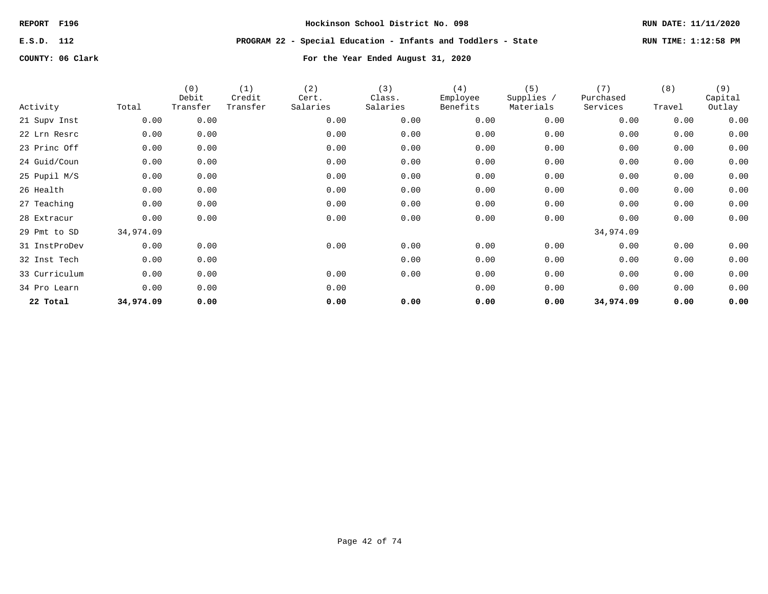**E.S.D. 112 PROGRAM 22 - Special Education - Infants and Toddlers - State RUN TIME: 1:12:58 PM**

| Activity      | Total     | (0)<br>Debit<br>Transfer | (1)<br>Credit<br>Transfer | (2)<br>Cert.<br>Salaries | (3)<br>Class.<br>Salaries | (4)<br>Employee<br>Benefits | (5)<br>Supplies /<br>Materials | (7)<br>Purchased<br>Services | (8)<br>Travel | (9)<br>Capital<br>Outlay |
|---------------|-----------|--------------------------|---------------------------|--------------------------|---------------------------|-----------------------------|--------------------------------|------------------------------|---------------|--------------------------|
|               |           |                          |                           |                          |                           |                             |                                |                              |               |                          |
| 21 Supv Inst  | 0.00      | 0.00                     |                           | 0.00                     | 0.00                      | 0.00                        | 0.00                           | 0.00                         | 0.00          | 0.00                     |
| 22 Lrn Resrc  | 0.00      | 0.00                     |                           | 0.00                     | 0.00                      | 0.00                        | 0.00                           | 0.00                         | 0.00          | 0.00                     |
| 23 Princ Off  | 0.00      | 0.00                     |                           | 0.00                     | 0.00                      | 0.00                        | 0.00                           | 0.00                         | 0.00          | 0.00                     |
| 24 Guid/Coun  | 0.00      | 0.00                     |                           | 0.00                     | 0.00                      | 0.00                        | 0.00                           | 0.00                         | 0.00          | 0.00                     |
| 25 Pupil M/S  | 0.00      | 0.00                     |                           | 0.00                     | 0.00                      | 0.00                        | 0.00                           | 0.00                         | 0.00          | 0.00                     |
| 26 Health     | 0.00      | 0.00                     |                           | 0.00                     | 0.00                      | 0.00                        | 0.00                           | 0.00                         | 0.00          | 0.00                     |
| 27 Teaching   | 0.00      | 0.00                     |                           | 0.00                     | 0.00                      | 0.00                        | 0.00                           | 0.00                         | 0.00          | 0.00                     |
| 28 Extracur   | 0.00      | 0.00                     |                           | 0.00                     | 0.00                      | 0.00                        | 0.00                           | 0.00                         | 0.00          | 0.00                     |
| 29 Pmt to SD  | 34,974.09 |                          |                           |                          |                           |                             |                                | 34,974.09                    |               |                          |
| 31 InstProDev | 0.00      | 0.00                     |                           | 0.00                     | 0.00                      | 0.00                        | 0.00                           | 0.00                         | 0.00          | 0.00                     |
| 32 Inst Tech  | 0.00      | 0.00                     |                           |                          | 0.00                      | 0.00                        | 0.00                           | 0.00                         | 0.00          | 0.00                     |
| 33 Curriculum | 0.00      | 0.00                     |                           | 0.00                     | 0.00                      | 0.00                        | 0.00                           | 0.00                         | 0.00          | 0.00                     |
| 34 Pro Learn  | 0.00      | 0.00                     |                           | 0.00                     |                           | 0.00                        | 0.00                           | 0.00                         | 0.00          | 0.00                     |
| 22 Total      | 34,974.09 | 0.00                     |                           | 0.00                     | 0.00                      | 0.00                        | 0.00                           | 34,974.09                    | 0.00          | 0.00                     |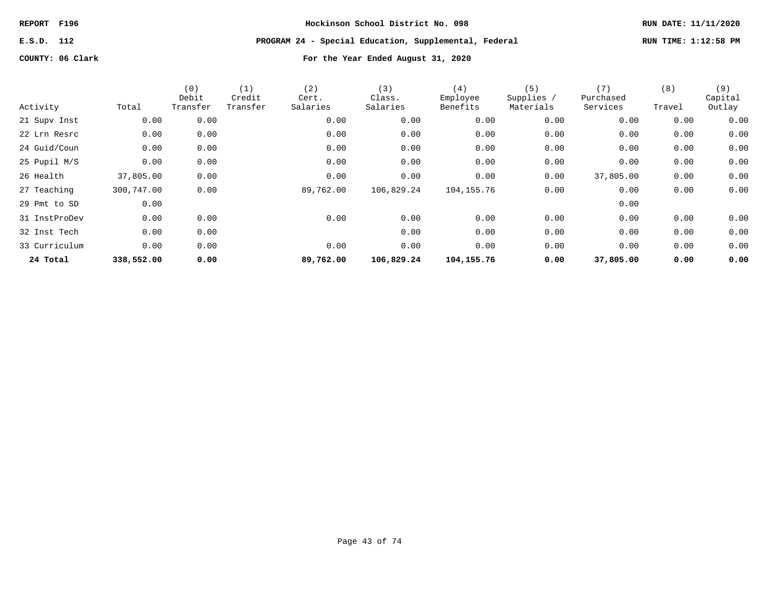**E.S.D. 112 PROGRAM 24 - Special Education, Supplemental, Federal RUN TIME: 1:12:58 PM**

| Activity      | Total      | (0)<br>Debit<br>Transfer | (1)<br>Credit<br>Transfer | (2)<br>Cert.<br>Salaries | (3)<br>Class.<br>Salaries | (4)<br>Employee<br>Benefits | (5)<br>Supplies /<br>Materials | (7)<br>Purchased<br>Services | (8)<br>Travel | (9)<br>Capital<br>Outlay |
|---------------|------------|--------------------------|---------------------------|--------------------------|---------------------------|-----------------------------|--------------------------------|------------------------------|---------------|--------------------------|
| 21 Supv Inst  | 0.00       | 0.00                     |                           | 0.00                     | 0.00                      | 0.00                        | 0.00                           | 0.00                         | 0.00          | 0.00                     |
| 22 Lrn Resrc  | 0.00       | 0.00                     |                           | 0.00                     | 0.00                      | 0.00                        | 0.00                           | 0.00                         | 0.00          | 0.00                     |
| 24 Guid/Coun  | 0.00       | 0.00                     |                           | 0.00                     | 0.00                      | 0.00                        | 0.00                           | 0.00                         | 0.00          | 0.00                     |
| 25 Pupil M/S  | 0.00       | 0.00                     |                           | 0.00                     | 0.00                      | 0.00                        | 0.00                           | 0.00                         | 0.00          | 0.00                     |
| 26 Health     | 37,805.00  | 0.00                     |                           | 0.00                     | 0.00                      | 0.00                        | 0.00                           | 37,805.00                    | 0.00          | 0.00                     |
| 27 Teaching   | 300,747.00 | 0.00                     |                           | 89,762.00                | 106,829.24                | 104, 155. 76                | 0.00                           | 0.00                         | 0.00          | 0.00                     |
| 29 Pmt to SD  | 0.00       |                          |                           |                          |                           |                             |                                | 0.00                         |               |                          |
| 31 InstProDev | 0.00       | 0.00                     |                           | 0.00                     | 0.00                      | 0.00                        | 0.00                           | 0.00                         | 0.00          | 0.00                     |
| 32 Inst Tech  | 0.00       | 0.00                     |                           |                          | 0.00                      | 0.00                        | 0.00                           | 0.00                         | 0.00          | 0.00                     |
| 33 Curriculum | 0.00       | 0.00                     |                           | 0.00                     | 0.00                      | 0.00                        | 0.00                           | 0.00                         | 0.00          | 0.00                     |
| 24 Total      | 338,552.00 | 0.00                     |                           | 89,762.00                | 106,829.24                | 104,155.76                  | 0.00                           | 37,805.00                    | 0.00          | 0.00                     |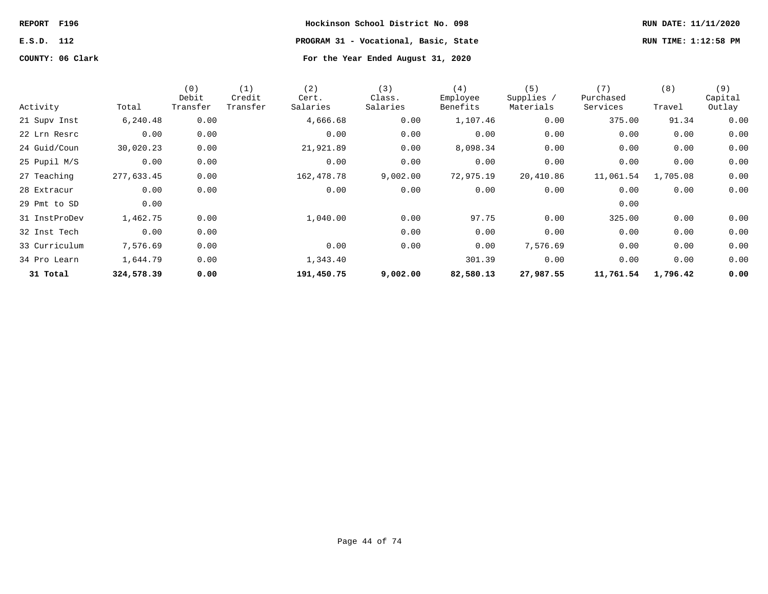**REPORT F196 Hockinson School District No. 098 RUN DATE: 11/11/2020 E.S.D. 112 PROGRAM 31 - Vocational, Basic, State RUN TIME: 1:12:58 PM**

|               |            | (0)<br>Debit | (1)<br>Credit | (2)<br>Cert. | (3)<br>Class. | (4)<br>Employee | (5)<br>Supplies / | (7)<br>Purchased | (8)      | (9)<br>Capital |
|---------------|------------|--------------|---------------|--------------|---------------|-----------------|-------------------|------------------|----------|----------------|
| Activity      | Total      | Transfer     | Transfer      | Salaries     | Salaries      | Benefits        | Materials         | Services         | Travel   | Outlay         |
| 21 Supv Inst  | 6,240.48   | 0.00         |               | 4,666.68     | 0.00          | 1,107.46        | 0.00              | 375.00           | 91.34    | 0.00           |
| 22 Lrn Resrc  | 0.00       | 0.00         |               | 0.00         | 0.00          | 0.00            | 0.00              | 0.00             | 0.00     | 0.00           |
| 24 Guid/Coun  | 30,020.23  | 0.00         |               | 21,921.89    | 0.00          | 8,098.34        | 0.00              | 0.00             | 0.00     | 0.00           |
| 25 Pupil M/S  | 0.00       | 0.00         |               | 0.00         | 0.00          | 0.00            | 0.00              | 0.00             | 0.00     | 0.00           |
| 27 Teaching   | 277,633.45 | 0.00         |               | 162,478.78   | 9,002.00      | 72,975.19       | 20,410.86         | 11,061.54        | 1,705.08 | 0.00           |
| 28 Extracur   | 0.00       | 0.00         |               | 0.00         | 0.00          | 0.00            | 0.00              | 0.00             | 0.00     | 0.00           |
| 29 Pmt to SD  | 0.00       |              |               |              |               |                 |                   | 0.00             |          |                |
| 31 InstProDev | 1,462.75   | 0.00         |               | 1,040.00     | 0.00          | 97.75           | 0.00              | 325.00           | 0.00     | 0.00           |
| 32 Inst Tech  | 0.00       | 0.00         |               |              | 0.00          | 0.00            | 0.00              | 0.00             | 0.00     | 0.00           |
| 33 Curriculum | 7,576.69   | 0.00         |               | 0.00         | 0.00          | 0.00            | 7,576.69          | 0.00             | 0.00     | 0.00           |
| 34 Pro Learn  | 1,644.79   | 0.00         |               | 1,343.40     |               | 301.39          | 0.00              | 0.00             | 0.00     | 0.00           |
| 31 Total      | 324,578.39 | 0.00         |               | 191,450.75   | 9,002.00      | 82,580.13       | 27,987.55         | 11,761.54        | 1,796.42 | 0.00           |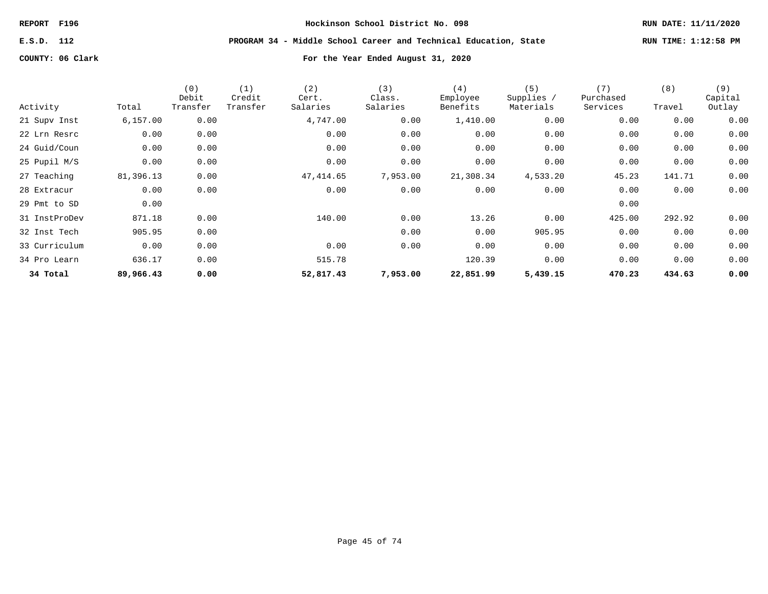**E.S.D. 112 PROGRAM 34 - Middle School Career and Technical Education, State RUN TIME: 1:12:58 PM**

| Activity      | Total     | (0)<br>Debit<br>Transfer | (1)<br>Credit<br>Transfer | (2)<br>Cert.<br>Salaries | (3)<br>Class.<br>Salaries | (4)<br>Employee<br>Benefits | (5)<br>Supplies /<br>Materials | (7)<br>Purchased<br>Services | (8)<br>Travel | (9)<br>Capital<br>Outlay |
|---------------|-----------|--------------------------|---------------------------|--------------------------|---------------------------|-----------------------------|--------------------------------|------------------------------|---------------|--------------------------|
| 21 Supv Inst  | 6, 157.00 | 0.00                     |                           | 4,747.00                 | 0.00                      | 1,410.00                    | 0.00                           | 0.00                         | 0.00          | 0.00                     |
| 22 Lrn Resrc  | 0.00      | 0.00                     |                           | 0.00                     | 0.00                      | 0.00                        | 0.00                           | 0.00                         | 0.00          | 0.00                     |
| 24 Guid/Coun  | 0.00      | 0.00                     |                           | 0.00                     | 0.00                      | 0.00                        | 0.00                           | 0.00                         | 0.00          | 0.00                     |
| 25 Pupil M/S  | 0.00      | 0.00                     |                           | 0.00                     | 0.00                      | 0.00                        | 0.00                           | 0.00                         | 0.00          | 0.00                     |
| 27 Teaching   | 81,396.13 | 0.00                     |                           | 47,414.65                | 7,953.00                  | 21,308.34                   | 4,533.20                       | 45.23                        | 141.71        | 0.00                     |
| 28 Extracur   | 0.00      | 0.00                     |                           | 0.00                     | 0.00                      | 0.00                        | 0.00                           | 0.00                         | 0.00          | 0.00                     |
| 29 Pmt to SD  | 0.00      |                          |                           |                          |                           |                             |                                | 0.00                         |               |                          |
| 31 InstProDev | 871.18    | 0.00                     |                           | 140.00                   | 0.00                      | 13.26                       | 0.00                           | 425.00                       | 292.92        | 0.00                     |
| 32 Inst Tech  | 905.95    | 0.00                     |                           |                          | 0.00                      | 0.00                        | 905.95                         | 0.00                         | 0.00          | 0.00                     |
| 33 Curriculum | 0.00      | 0.00                     |                           | 0.00                     | 0.00                      | 0.00                        | 0.00                           | 0.00                         | 0.00          | 0.00                     |
| 34 Pro Learn  | 636.17    | 0.00                     |                           | 515.78                   |                           | 120.39                      | 0.00                           | 0.00                         | 0.00          | 0.00                     |
| 34 Total      | 89,966.43 | 0.00                     |                           | 52,817.43                | 7,953.00                  | 22,851.99                   | 5,439.15                       | 470.23                       | 434.63        | 0.00                     |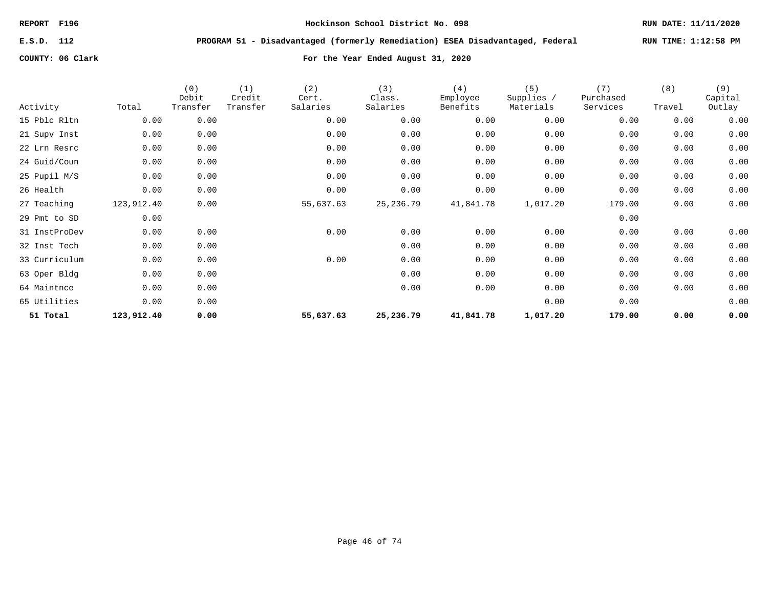**E.S.D. 112 PROGRAM 51 - Disadvantaged (formerly Remediation) ESEA Disadvantaged, Federal RUN TIME: 1:12:58 PM**

| Activity      | Total      | (0)<br>Debit<br>Transfer | (1)<br>Credit<br>Transfer | (2)<br>Cert.<br>Salaries | (3)<br>Class.<br>Salaries | (4)<br>Employee<br>Benefits | (5)<br>Supplies /<br>Materials | (7)<br>Purchased<br>Services | (8)<br>Travel | (9)<br>Capital<br>Outlay |
|---------------|------------|--------------------------|---------------------------|--------------------------|---------------------------|-----------------------------|--------------------------------|------------------------------|---------------|--------------------------|
| 15 Pblc Rltn  | 0.00       | 0.00                     |                           | 0.00                     | 0.00                      | 0.00                        | 0.00                           | 0.00                         | 0.00          | 0.00                     |
| 21 Supv Inst  | 0.00       | 0.00                     |                           | 0.00                     | 0.00                      | 0.00                        | 0.00                           | 0.00                         | 0.00          | 0.00                     |
| 22 Lrn Resrc  | 0.00       | 0.00                     |                           | 0.00                     | 0.00                      | 0.00                        | 0.00                           | 0.00                         | 0.00          | 0.00                     |
| 24 Guid/Coun  | 0.00       | 0.00                     |                           | 0.00                     | 0.00                      | 0.00                        | 0.00                           | 0.00                         | 0.00          | 0.00                     |
| 25 Pupil M/S  | 0.00       | 0.00                     |                           | 0.00                     | 0.00                      | 0.00                        | 0.00                           | 0.00                         | 0.00          | 0.00                     |
| 26 Health     | 0.00       | 0.00                     |                           | 0.00                     | 0.00                      | 0.00                        | 0.00                           | 0.00                         | 0.00          | 0.00                     |
| 27 Teaching   | 123,912.40 | 0.00                     |                           | 55,637.63                | 25,236.79                 | 41,841.78                   | 1,017.20                       | 179.00                       | 0.00          | 0.00                     |
| 29 Pmt to SD  | 0.00       |                          |                           |                          |                           |                             |                                | 0.00                         |               |                          |
| 31 InstProDev | 0.00       | 0.00                     |                           | 0.00                     | 0.00                      | 0.00                        | 0.00                           | 0.00                         | 0.00          | 0.00                     |
| 32 Inst Tech  | 0.00       | 0.00                     |                           |                          | 0.00                      | 0.00                        | 0.00                           | 0.00                         | 0.00          | 0.00                     |
| 33 Curriculum | 0.00       | 0.00                     |                           | 0.00                     | 0.00                      | 0.00                        | 0.00                           | 0.00                         | 0.00          | 0.00                     |
| 63 Oper Bldg  | 0.00       | 0.00                     |                           |                          | 0.00                      | 0.00                        | 0.00                           | 0.00                         | 0.00          | 0.00                     |
| 64 Maintnce   | 0.00       | 0.00                     |                           |                          | 0.00                      | 0.00                        | 0.00                           | 0.00                         | 0.00          | 0.00                     |
| 65 Utilities  | 0.00       | 0.00                     |                           |                          |                           |                             | 0.00                           | 0.00                         |               | 0.00                     |
| 51 Total      | 123,912.40 | 0.00                     |                           | 55,637.63                | 25,236.79                 | 41,841.78                   | 1,017.20                       | 179.00                       | 0.00          | 0.00                     |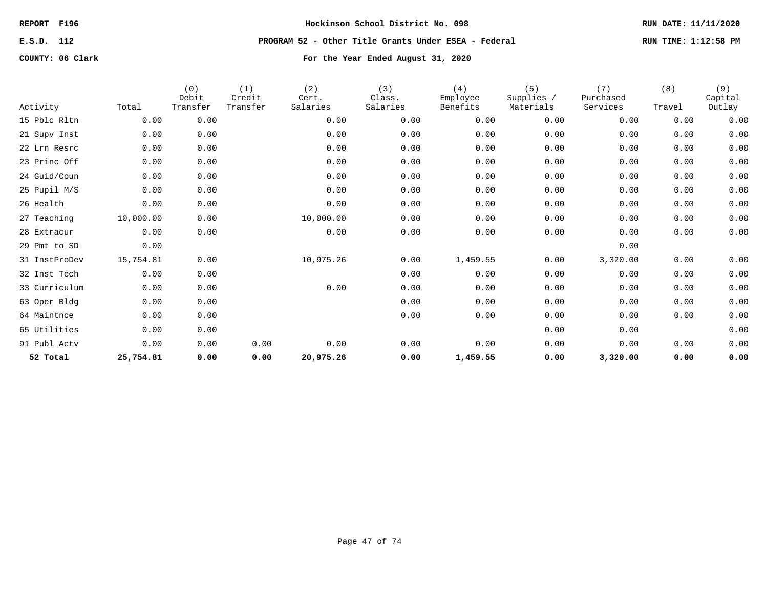**E.S.D. 112 PROGRAM 52 - Other Title Grants Under ESEA - Federal RUN TIME: 1:12:58 PM**

| Activity      | Total     | (0)<br>Debit<br>Transfer | (1)<br>Credit<br>Transfer | (2)<br>Cert.<br>Salaries | (3)<br>Class.<br>Salaries | (4)<br>Employee<br>Benefits | (5)<br>Supplies /<br>Materials | (7)<br>Purchased<br>Services | (8)<br>Travel | (9)<br>Capital<br>Outlay |
|---------------|-----------|--------------------------|---------------------------|--------------------------|---------------------------|-----------------------------|--------------------------------|------------------------------|---------------|--------------------------|
| 15 Pblc Rltn  | 0.00      | 0.00                     |                           | 0.00                     | 0.00                      | 0.00                        | 0.00                           | 0.00                         | 0.00          | 0.00                     |
| 21 Supv Inst  | 0.00      | 0.00                     |                           | 0.00                     | 0.00                      | 0.00                        | 0.00                           | 0.00                         | 0.00          | 0.00                     |
| 22 Lrn Resrc  | 0.00      | 0.00                     |                           | 0.00                     | 0.00                      | 0.00                        | 0.00                           | 0.00                         | 0.00          | 0.00                     |
| 23 Princ Off  | 0.00      | 0.00                     |                           | 0.00                     | 0.00                      | 0.00                        | 0.00                           | 0.00                         | 0.00          | 0.00                     |
| 24 Guid/Coun  | 0.00      | 0.00                     |                           | 0.00                     | 0.00                      | 0.00                        | 0.00                           | 0.00                         | 0.00          | 0.00                     |
| 25 Pupil M/S  | 0.00      | 0.00                     |                           | 0.00                     | 0.00                      | 0.00                        | 0.00                           | 0.00                         | 0.00          | 0.00                     |
| 26 Health     | 0.00      | 0.00                     |                           | 0.00                     | 0.00                      | 0.00                        | 0.00                           | 0.00                         | 0.00          | 0.00                     |
| 27 Teaching   | 10,000.00 | 0.00                     |                           | 10,000.00                | 0.00                      | 0.00                        | 0.00                           | 0.00                         | 0.00          | 0.00                     |
| 28 Extracur   | 0.00      | 0.00                     |                           | 0.00                     | 0.00                      | 0.00                        | 0.00                           | 0.00                         | 0.00          | 0.00                     |
| 29 Pmt to SD  | 0.00      |                          |                           |                          |                           |                             |                                | 0.00                         |               |                          |
| 31 InstProDev | 15,754.81 | 0.00                     |                           | 10,975.26                | 0.00                      | 1,459.55                    | 0.00                           | 3,320.00                     | 0.00          | 0.00                     |
| 32 Inst Tech  | 0.00      | 0.00                     |                           |                          | 0.00                      | 0.00                        | 0.00                           | 0.00                         | 0.00          | 0.00                     |
| 33 Curriculum | 0.00      | 0.00                     |                           | 0.00                     | 0.00                      | 0.00                        | 0.00                           | 0.00                         | 0.00          | 0.00                     |
| 63 Oper Bldg  | 0.00      | 0.00                     |                           |                          | 0.00                      | 0.00                        | 0.00                           | 0.00                         | 0.00          | 0.00                     |
| 64 Maintnce   | 0.00      | 0.00                     |                           |                          | 0.00                      | 0.00                        | 0.00                           | 0.00                         | 0.00          | 0.00                     |
| 65 Utilities  | 0.00      | 0.00                     |                           |                          |                           |                             | 0.00                           | 0.00                         |               | 0.00                     |
| 91 Publ Actv  | 0.00      | 0.00                     | 0.00                      | 0.00                     | 0.00                      | 0.00                        | 0.00                           | 0.00                         | 0.00          | 0.00                     |
| 52 Total      | 25,754.81 | 0.00                     | 0.00                      | 20,975.26                | 0.00                      | 1,459.55                    | 0.00                           | 3,320.00                     | 0.00          | 0.00                     |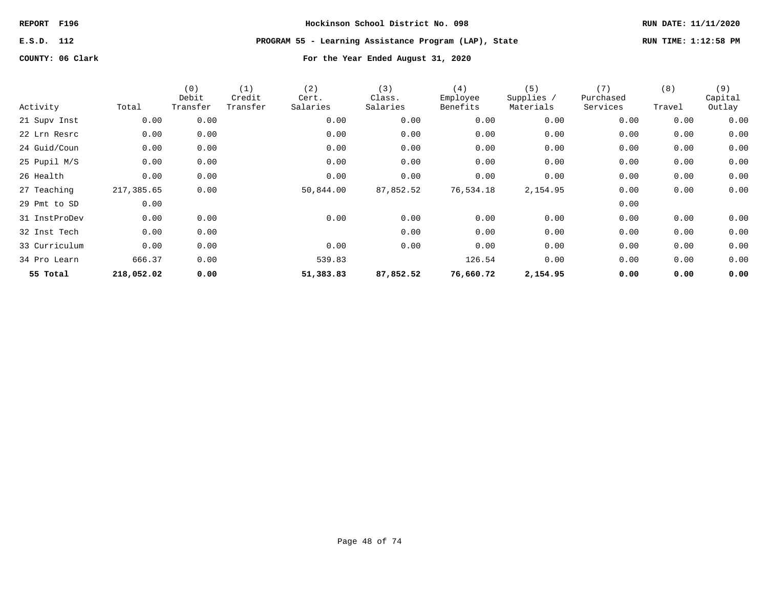# **E.S.D. 112 PROGRAM 55 - Learning Assistance Program (LAP), State RUN TIME: 1:12:58 PM**

|               |            | (0)<br>Debit | (1)<br>Credit | (2)<br>Cert. | (3)<br>Class. | (4)<br>Employee | (5)<br>Supplies / | (7)<br>Purchased | (8)    | (9)<br>Capital |
|---------------|------------|--------------|---------------|--------------|---------------|-----------------|-------------------|------------------|--------|----------------|
| Activity      | Total      | Transfer     | Transfer      | Salaries     | Salaries      | Benefits        | Materials         | Services         | Travel | Outlay         |
| 21 Supv Inst  | 0.00       | 0.00         |               | 0.00         | 0.00          | 0.00            | 0.00              | 0.00             | 0.00   | 0.00           |
| 22 Lrn Resrc  | 0.00       | 0.00         |               | 0.00         | 0.00          | 0.00            | 0.00              | 0.00             | 0.00   | 0.00           |
| 24 Guid/Coun  | 0.00       | 0.00         |               | 0.00         | 0.00          | 0.00            | 0.00              | 0.00             | 0.00   | 0.00           |
| 25 Pupil M/S  | 0.00       | 0.00         |               | 0.00         | 0.00          | 0.00            | 0.00              | 0.00             | 0.00   | 0.00           |
| 26 Health     | 0.00       | 0.00         |               | 0.00         | 0.00          | 0.00            | 0.00              | 0.00             | 0.00   | 0.00           |
| 27 Teaching   | 217,385.65 | 0.00         |               | 50,844.00    | 87,852.52     | 76,534.18       | 2,154.95          | 0.00             | 0.00   | 0.00           |
| 29 Pmt to SD  | 0.00       |              |               |              |               |                 |                   | 0.00             |        |                |
| 31 InstProDev | 0.00       | 0.00         |               | 0.00         | 0.00          | 0.00            | 0.00              | 0.00             | 0.00   | 0.00           |
| 32 Inst Tech  | 0.00       | 0.00         |               |              | 0.00          | 0.00            | 0.00              | 0.00             | 0.00   | 0.00           |
| 33 Curriculum | 0.00       | 0.00         |               | 0.00         | 0.00          | 0.00            | 0.00              | 0.00             | 0.00   | 0.00           |
| 34 Pro Learn  | 666.37     | 0.00         |               | 539.83       |               | 126.54          | 0.00              | 0.00             | 0.00   | 0.00           |
| 55 Total      | 218,052.02 | 0.00         |               | 51,383.83    | 87,852.52     | 76,660.72       | 2,154.95          | 0.00             | 0.00   | 0.00           |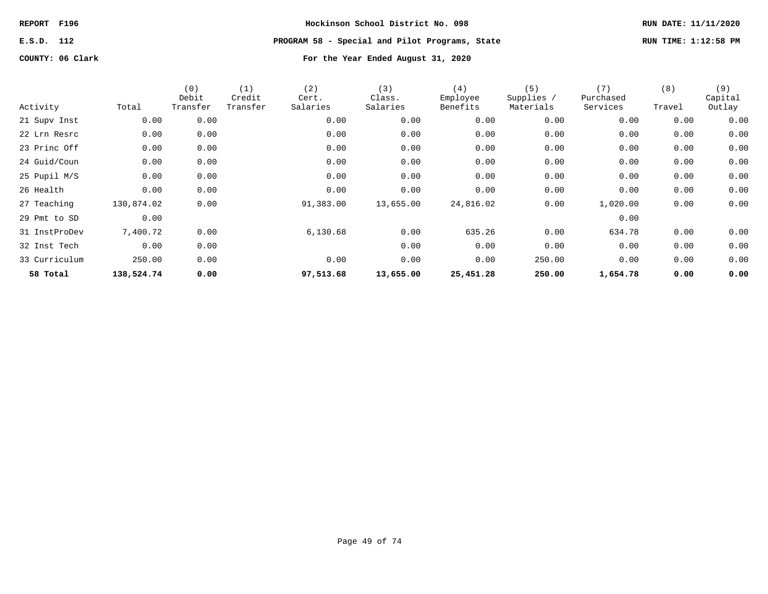# **E.S.D. 112 PROGRAM 58 - Special and Pilot Programs, State RUN TIME: 1:12:58 PM**

| Activity      | Total      | (0)<br>Debit<br>Transfer | (1)<br>Credit<br>Transfer | (2)<br>Cert.<br>Salaries | (3)<br>Class.<br>Salaries | (4)<br>Employee<br>Benefits | (5)<br>Supplies /<br>Materials | (7)<br>Purchased<br>Services | (8)<br>Travel | (9)<br>Capital<br>Outlay |
|---------------|------------|--------------------------|---------------------------|--------------------------|---------------------------|-----------------------------|--------------------------------|------------------------------|---------------|--------------------------|
| 21 Supv Inst  | 0.00       | 0.00                     |                           | 0.00                     | 0.00                      | 0.00                        | 0.00                           | 0.00                         | 0.00          | 0.00                     |
| 22 Lrn Resrc  | 0.00       | 0.00                     |                           | 0.00                     | 0.00                      | 0.00                        | 0.00                           | 0.00                         | 0.00          | 0.00                     |
| 23 Princ Off  | 0.00       | 0.00                     |                           | 0.00                     | 0.00                      | 0.00                        | 0.00                           | 0.00                         | 0.00          | 0.00                     |
| 24 Guid/Coun  | 0.00       | 0.00                     |                           | 0.00                     | 0.00                      | 0.00                        | 0.00                           | 0.00                         | 0.00          | 0.00                     |
| 25 Pupil M/S  | 0.00       | 0.00                     |                           | 0.00                     | 0.00                      | 0.00                        | 0.00                           | 0.00                         | 0.00          | 0.00                     |
| 26 Health     | 0.00       | 0.00                     |                           | 0.00                     | 0.00                      | 0.00                        | 0.00                           | 0.00                         | 0.00          | 0.00                     |
| 27 Teaching   | 130,874.02 | 0.00                     |                           | 91,383.00                | 13,655.00                 | 24,816.02                   | 0.00                           | 1,020.00                     | 0.00          | 0.00                     |
| 29 Pmt to SD  | 0.00       |                          |                           |                          |                           |                             |                                | 0.00                         |               |                          |
| 31 InstProDev | 7,400.72   | 0.00                     |                           | 6,130.68                 | 0.00                      | 635.26                      | 0.00                           | 634.78                       | 0.00          | 0.00                     |
| 32 Inst Tech  | 0.00       | 0.00                     |                           |                          | 0.00                      | 0.00                        | 0.00                           | 0.00                         | 0.00          | 0.00                     |
| 33 Curriculum | 250.00     | 0.00                     |                           | 0.00                     | 0.00                      | 0.00                        | 250.00                         | 0.00                         | 0.00          | 0.00                     |
| 58 Total      | 138,524.74 | 0.00                     |                           | 97,513.68                | 13,655.00                 | 25,451.28                   | 250.00                         | 1,654.78                     | 0.00          | 0.00                     |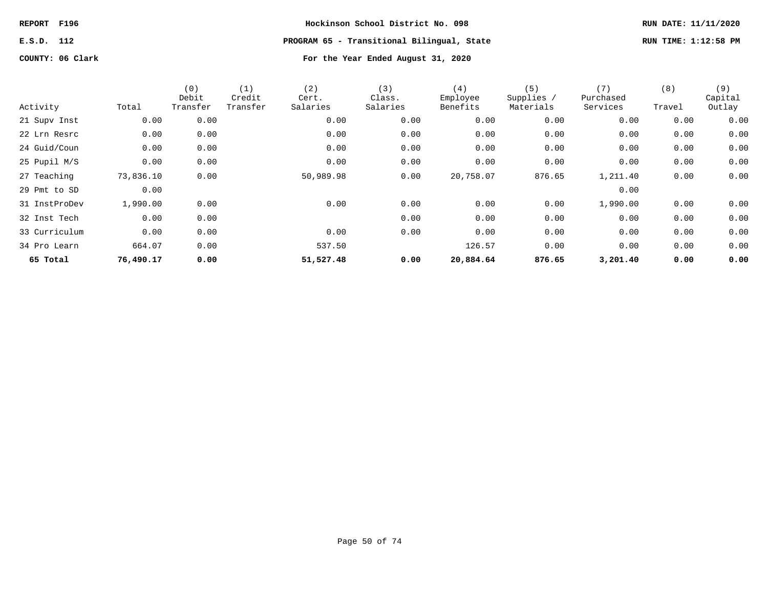# **E.S.D. 112 PROGRAM 65 - Transitional Bilingual, State RUN TIME: 1:12:58 PM**

| Activity      | Total     | (0)<br>Debit<br>Transfer | (1)<br>Credit<br>Transfer | (2)<br>Cert.<br>Salaries | (3)<br>Class.<br>Salaries | (4)<br>Employee<br>Benefits | (5)<br>Supplies /<br>Materials | (7)<br>Purchased<br>Services | (8)<br>Travel | (9)<br>Capital<br>Outlay |
|---------------|-----------|--------------------------|---------------------------|--------------------------|---------------------------|-----------------------------|--------------------------------|------------------------------|---------------|--------------------------|
| 21 Supv Inst  | 0.00      | 0.00                     |                           | 0.00                     | 0.00                      | 0.00                        | 0.00                           | 0.00                         | 0.00          | 0.00                     |
| 22 Lrn Resrc  | 0.00      | 0.00                     |                           | 0.00                     | 0.00                      | 0.00                        | 0.00                           | 0.00                         | 0.00          | 0.00                     |
| 24 Guid/Coun  | 0.00      | 0.00                     |                           | 0.00                     | 0.00                      | 0.00                        | 0.00                           | 0.00                         | 0.00          | 0.00                     |
| 25 Pupil M/S  | 0.00      | 0.00                     |                           | 0.00                     | 0.00                      | 0.00                        | 0.00                           | 0.00                         | 0.00          | 0.00                     |
| 27 Teaching   | 73,836.10 | 0.00                     |                           | 50,989.98                | 0.00                      | 20,758.07                   | 876.65                         | 1,211.40                     | 0.00          | 0.00                     |
| 29 Pmt to SD  | 0.00      |                          |                           |                          |                           |                             |                                | 0.00                         |               |                          |
| 31 InstProDev | 1,990.00  | 0.00                     |                           | 0.00                     | 0.00                      | 0.00                        | 0.00                           | 1,990.00                     | 0.00          | 0.00                     |
| 32 Inst Tech  | 0.00      | 0.00                     |                           |                          | 0.00                      | 0.00                        | 0.00                           | 0.00                         | 0.00          | 0.00                     |
| 33 Curriculum | 0.00      | 0.00                     |                           | 0.00                     | 0.00                      | 0.00                        | 0.00                           | 0.00                         | 0.00          | 0.00                     |
| 34 Pro Learn  | 664.07    | 0.00                     |                           | 537.50                   |                           | 126.57                      | 0.00                           | 0.00                         | 0.00          | 0.00                     |
| 65 Total      | 76,490.17 | 0.00                     |                           | 51,527.48                | 0.00                      | 20,884.64                   | 876.65                         | 3,201.40                     | 0.00          | 0.00                     |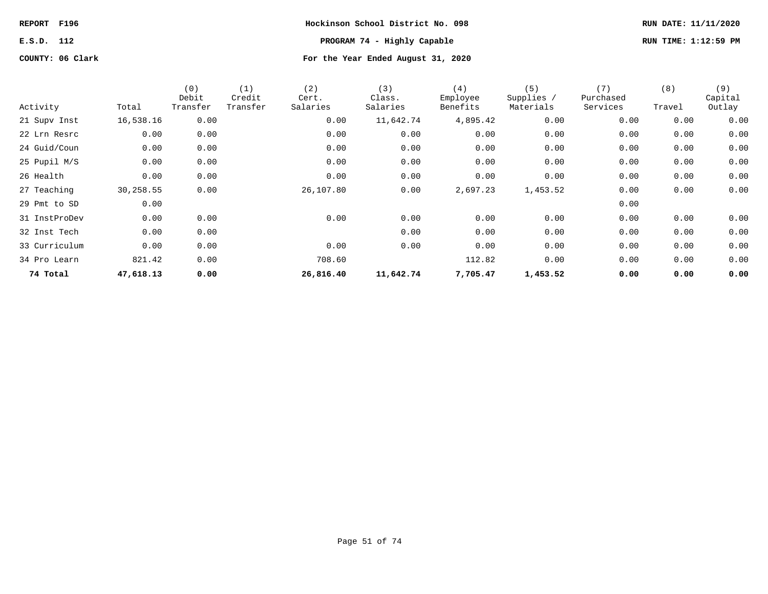# **E.S.D. 112 PROGRAM 74 - Highly Capable RUN TIME: 1:12:59 PM**

| Activity      | Total     | (0)<br>Debit<br>Transfer | (1)<br>Credit<br>Transfer | (2)<br>Cert.<br>Salaries | (3)<br>Class.<br>Salaries | (4)<br>Employee<br>Benefits | (5)<br>Supplies /<br>Materials | (7)<br>Purchased<br>Services | (8)<br>Travel | (9)<br>Capital<br>Outlay |
|---------------|-----------|--------------------------|---------------------------|--------------------------|---------------------------|-----------------------------|--------------------------------|------------------------------|---------------|--------------------------|
| 21 Supv Inst  | 16,538.16 | 0.00                     |                           | 0.00                     | 11,642.74                 | 4,895.42                    | 0.00                           | 0.00                         | 0.00          | 0.00                     |
| 22 Lrn Resrc  | 0.00      | 0.00                     |                           | 0.00                     | 0.00                      | 0.00                        | 0.00                           | 0.00                         | 0.00          | 0.00                     |
| 24 Guid/Coun  | 0.00      | 0.00                     |                           | 0.00                     | 0.00                      | 0.00                        | 0.00                           | 0.00                         | 0.00          | 0.00                     |
| 25 Pupil M/S  | 0.00      | 0.00                     |                           | 0.00                     | 0.00                      | 0.00                        | 0.00                           | 0.00                         | 0.00          | 0.00                     |
| 26 Health     | 0.00      | 0.00                     |                           | 0.00                     | 0.00                      | 0.00                        | 0.00                           | 0.00                         | 0.00          | 0.00                     |
| 27 Teaching   | 30,258.55 | 0.00                     |                           | 26,107.80                | 0.00                      | 2,697.23                    | 1,453.52                       | 0.00                         | 0.00          | 0.00                     |
| 29 Pmt to SD  | 0.00      |                          |                           |                          |                           |                             |                                | 0.00                         |               |                          |
| 31 InstProDev | 0.00      | 0.00                     |                           | 0.00                     | 0.00                      | 0.00                        | 0.00                           | 0.00                         | 0.00          | 0.00                     |
| 32 Inst Tech  | 0.00      | 0.00                     |                           |                          | 0.00                      | 0.00                        | 0.00                           | 0.00                         | 0.00          | 0.00                     |
| 33 Curriculum | 0.00      | 0.00                     |                           | 0.00                     | 0.00                      | 0.00                        | 0.00                           | 0.00                         | 0.00          | 0.00                     |
| 34 Pro Learn  | 821.42    | 0.00                     |                           | 708.60                   |                           | 112.82                      | 0.00                           | 0.00                         | 0.00          | 0.00                     |
| 74 Total      | 47,618.13 | 0.00                     |                           | 26,816.40                | 11,642.74                 | 7,705.47                    | 1,453.52                       | 0.00                         | 0.00          | 0.00                     |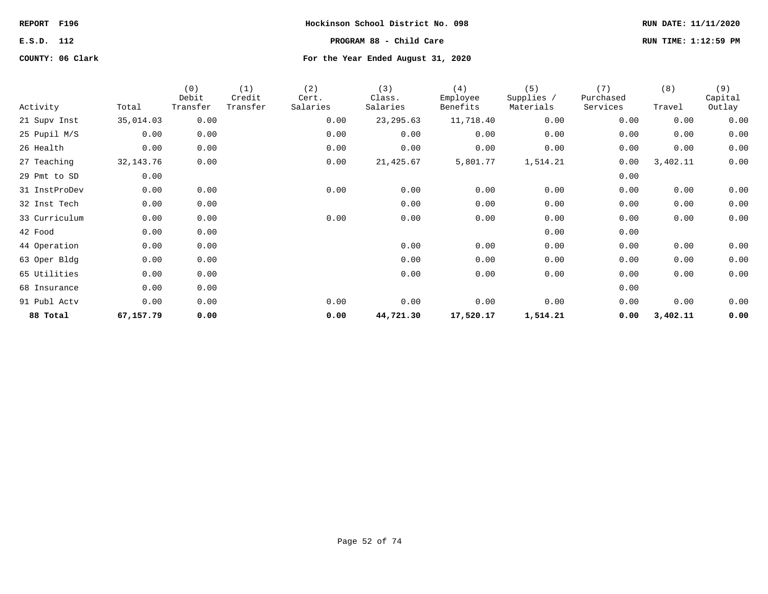**E.S.D. 112 PROGRAM 88 - Child Care RUN TIME: 1:12:59 PM**

| Activity      | Total       | (0)<br>Debit<br>Transfer | (1)<br>Credit<br>Transfer | (2)<br>Cert.<br>Salaries | (3)<br>Class.<br>Salaries | (4)<br>Employee<br>Benefits | (5)<br>Supplies /<br>Materials | (7)<br>Purchased<br>Services | (8)<br>Travel | (9)<br>Capital<br>Outlay |
|---------------|-------------|--------------------------|---------------------------|--------------------------|---------------------------|-----------------------------|--------------------------------|------------------------------|---------------|--------------------------|
| 21 Supv Inst  | 35,014.03   | 0.00                     |                           | 0.00                     | 23, 295.63                | 11,718.40                   | 0.00                           | 0.00                         | 0.00          | 0.00                     |
| 25 Pupil M/S  | 0.00        | 0.00                     |                           | 0.00                     | 0.00                      | 0.00                        | 0.00                           | 0.00                         | 0.00          | 0.00                     |
| 26 Health     | 0.00        | 0.00                     |                           | 0.00                     | 0.00                      | 0.00                        | 0.00                           | 0.00                         | 0.00          | 0.00                     |
| 27 Teaching   | 32, 143. 76 | 0.00                     |                           | 0.00                     | 21,425.67                 | 5,801.77                    | 1,514.21                       | 0.00                         | 3,402.11      | 0.00                     |
| 29 Pmt to SD  | 0.00        |                          |                           |                          |                           |                             |                                | 0.00                         |               |                          |
| 31 InstProDev | 0.00        | 0.00                     |                           | 0.00                     | 0.00                      | 0.00                        | 0.00                           | 0.00                         | 0.00          | 0.00                     |
| 32 Inst Tech  | 0.00        | 0.00                     |                           |                          | 0.00                      | 0.00                        | 0.00                           | 0.00                         | 0.00          | 0.00                     |
| 33 Curriculum | 0.00        | 0.00                     |                           | 0.00                     | 0.00                      | 0.00                        | 0.00                           | 0.00                         | 0.00          | 0.00                     |
| 42 Food       | 0.00        | 0.00                     |                           |                          |                           |                             | 0.00                           | 0.00                         |               |                          |
| 44 Operation  | 0.00        | 0.00                     |                           |                          | 0.00                      | 0.00                        | 0.00                           | 0.00                         | 0.00          | 0.00                     |
| 63 Oper Bldg  | 0.00        | 0.00                     |                           |                          | 0.00                      | 0.00                        | 0.00                           | 0.00                         | 0.00          | 0.00                     |
| 65 Utilities  | 0.00        | 0.00                     |                           |                          | 0.00                      | 0.00                        | 0.00                           | 0.00                         | 0.00          | 0.00                     |
| 68 Insurance  | 0.00        | 0.00                     |                           |                          |                           |                             |                                | 0.00                         |               |                          |
| 91 Publ Actv  | 0.00        | 0.00                     |                           | 0.00                     | 0.00                      | 0.00                        | 0.00                           | 0.00                         | 0.00          | 0.00                     |
| 88 Total      | 67,157.79   | 0.00                     |                           | 0.00                     | 44,721.30                 | 17,520.17                   | 1,514.21                       | 0.00                         | 3,402.11      | 0.00                     |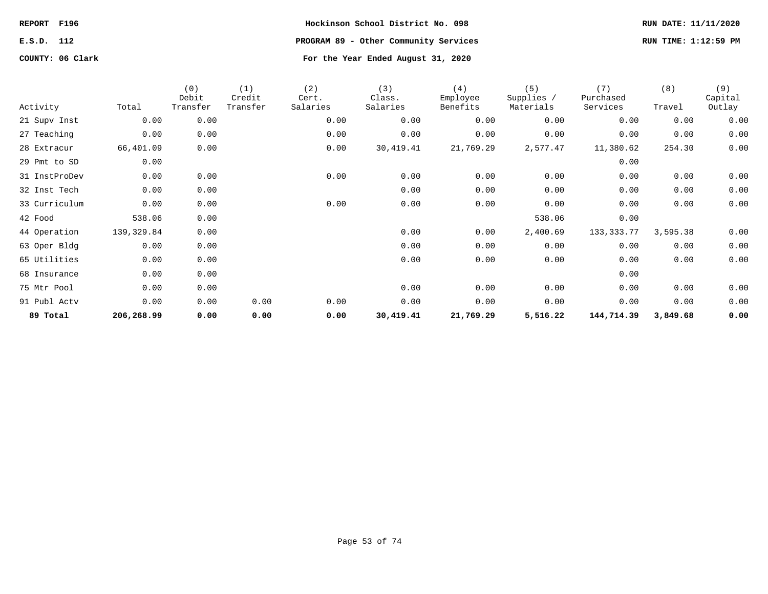**COUNTY: 06 Clark For the Year Ended August 31, 2020**

**REPORT F196 Hockinson School District No. 098 RUN DATE: 11/11/2020 E.S.D. 112 PROGRAM 89 - Other Community Services RUN TIME: 1:12:59 PM**

|               |            | (0)<br>Debit | (1)<br>Credit | (2)<br>Cert. | (3)<br>Class. | (4)<br>Employee | (5)<br>Supplies / | (7)<br>Purchased | (8)      | (9)<br>Capital |
|---------------|------------|--------------|---------------|--------------|---------------|-----------------|-------------------|------------------|----------|----------------|
| Activity      | Total      | Transfer     | Transfer      | Salaries     | Salaries      | Benefits        | Materials         | Services         | Travel   | Outlay         |
| 21 Supv Inst  | 0.00       | 0.00         |               | 0.00         | 0.00          | 0.00            | 0.00              | 0.00             | 0.00     | 0.00           |
| 27 Teaching   | 0.00       | 0.00         |               | 0.00         | 0.00          | 0.00            | 0.00              | 0.00             | 0.00     | 0.00           |
| 28 Extracur   | 66,401.09  | 0.00         |               | 0.00         | 30,419.41     | 21,769.29       | 2,577.47          | 11,380.62        | 254.30   | 0.00           |
| 29 Pmt to SD  | 0.00       |              |               |              |               |                 |                   | 0.00             |          |                |
| 31 InstProDev | 0.00       | 0.00         |               | 0.00         | 0.00          | 0.00            | 0.00              | 0.00             | 0.00     | 0.00           |
| 32 Inst Tech  | 0.00       | 0.00         |               |              | 0.00          | 0.00            | 0.00              | 0.00             | 0.00     | 0.00           |
| 33 Curriculum | 0.00       | 0.00         |               | 0.00         | 0.00          | 0.00            | 0.00              | 0.00             | 0.00     | 0.00           |
| 42 Food       | 538.06     | 0.00         |               |              |               |                 | 538.06            | 0.00             |          |                |
| 44 Operation  | 139,329.84 | 0.00         |               |              | 0.00          | 0.00            | 2,400.69          | 133, 333. 77     | 3,595.38 | 0.00           |
| 63 Oper Bldg  | 0.00       | 0.00         |               |              | 0.00          | 0.00            | 0.00              | 0.00             | 0.00     | 0.00           |
| 65 Utilities  | 0.00       | 0.00         |               |              | 0.00          | 0.00            | 0.00              | 0.00             | 0.00     | 0.00           |
| 68 Insurance  | 0.00       | 0.00         |               |              |               |                 |                   | 0.00             |          |                |
| 75 Mtr Pool   | 0.00       | 0.00         |               |              | 0.00          | 0.00            | 0.00              | 0.00             | 0.00     | 0.00           |
| 91 Publ Actv  | 0.00       | 0.00         | 0.00          | 0.00         | 0.00          | 0.00            | 0.00              | 0.00             | 0.00     | 0.00           |
| 89 Total      | 206,268.99 | 0.00         | 0.00          | 0.00         | 30,419.41     | 21,769.29       | 5,516.22          | 144,714.39       | 3,849.68 | 0.00           |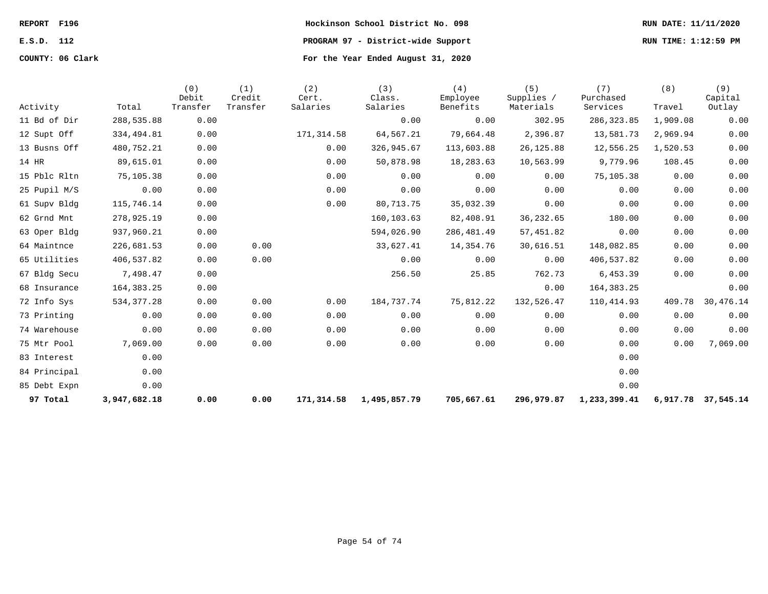**REPORT F196 Hockinson School District No. 098 RUN DATE: 11/11/2020 E.S.D. 112 PROGRAM 97 - District-wide Support RUN TIME: 1:12:59 PM COUNTY: 06 Clark For the Year Ended August 31, 2020**

| Activity     | Total        | (0)<br>Debit<br>Transfer | (1)<br>Credit<br>Transfer | (2)<br>Cert.<br>Salaries | (3)<br>Class.<br>Salaries | (4)<br>Employee<br>Benefits | (5)<br>Supplies /<br>Materials | (7)<br>Purchased<br>Services | (8)<br>Travel | (9)<br>Capital<br>Outlay |
|--------------|--------------|--------------------------|---------------------------|--------------------------|---------------------------|-----------------------------|--------------------------------|------------------------------|---------------|--------------------------|
| 11 Bd of Dir | 288,535.88   | 0.00                     |                           |                          | 0.00                      | 0.00                        | 302.95                         | 286, 323.85                  | 1,909.08      | 0.00                     |
| 12 Supt Off  | 334,494.81   | 0.00                     |                           | 171,314.58               | 64,567.21                 | 79,664.48                   | 2,396.87                       | 13,581.73                    | 2,969.94      | 0.00                     |
| 13 Busns Off | 480,752.21   | 0.00                     |                           | 0.00                     | 326,945.67                | 113,603.88                  | 26, 125.88                     | 12,556.25                    | 1,520.53      | 0.00                     |
| 14 HR        | 89,615.01    | 0.00                     |                           | 0.00                     | 50,878.98                 | 18,283.63                   | 10,563.99                      | 9,779.96                     | 108.45        | 0.00                     |
| 15 Pblc Rltn | 75,105.38    | 0.00                     |                           | 0.00                     | 0.00                      | 0.00                        | 0.00                           | 75,105.38                    | 0.00          | 0.00                     |
| 25 Pupil M/S | 0.00         | 0.00                     |                           | 0.00                     | 0.00                      | 0.00                        | 0.00                           | 0.00                         | 0.00          | 0.00                     |
| 61 Supv Bldg | 115,746.14   | 0.00                     |                           | 0.00                     | 80,713.75                 | 35,032.39                   | 0.00                           | 0.00                         | 0.00          | 0.00                     |
| 62 Grnd Mnt  | 278,925.19   | 0.00                     |                           |                          | 160,103.63                | 82,408.91                   | 36,232.65                      | 180.00                       | 0.00          | 0.00                     |
| 63 Oper Bldg | 937,960.21   | 0.00                     |                           |                          | 594,026.90                | 286, 481.49                 | 57,451.82                      | 0.00                         | 0.00          | 0.00                     |
| 64 Maintnce  | 226,681.53   | 0.00                     | 0.00                      |                          | 33,627.41                 | 14,354.76                   | 30,616.51                      | 148,082.85                   | 0.00          | 0.00                     |
| 65 Utilities | 406,537.82   | 0.00                     | 0.00                      |                          | 0.00                      | 0.00                        | 0.00                           | 406,537.82                   | 0.00          | 0.00                     |
| 67 Bldg Secu | 7,498.47     | 0.00                     |                           |                          | 256.50                    | 25.85                       | 762.73                         | 6,453.39                     | 0.00          | 0.00                     |
| 68 Insurance | 164, 383. 25 | 0.00                     |                           |                          |                           |                             | 0.00                           | 164, 383. 25                 |               | 0.00                     |
| 72 Info Sys  | 534, 377.28  | 0.00                     | 0.00                      | 0.00                     | 184,737.74                | 75,812.22                   | 132,526.47                     | 110, 414.93                  | 409.78        | 30,476.14                |
| 73 Printing  | 0.00         | 0.00                     | 0.00                      | 0.00                     | 0.00                      | 0.00                        | 0.00                           | 0.00                         | 0.00          | 0.00                     |
| 74 Warehouse | 0.00         | 0.00                     | 0.00                      | 0.00                     | 0.00                      | 0.00                        | 0.00                           | 0.00                         | 0.00          | 0.00                     |
| 75 Mtr Pool  | 7,069.00     | 0.00                     | 0.00                      | 0.00                     | 0.00                      | 0.00                        | 0.00                           | 0.00                         | 0.00          | 7,069.00                 |
| 83 Interest  | 0.00         |                          |                           |                          |                           |                             |                                | 0.00                         |               |                          |
| 84 Principal | 0.00         |                          |                           |                          |                           |                             |                                | 0.00                         |               |                          |
| 85 Debt Expn | 0.00         |                          |                           |                          |                           |                             |                                | 0.00                         |               |                          |
| 97 Total     | 3,947,682.18 | 0.00                     | 0.00                      | 171,314.58               | 1,495,857.79              | 705,667.61                  | 296,979.87                     | 1,233,399.41                 | 6,917.78      | 37,545.14                |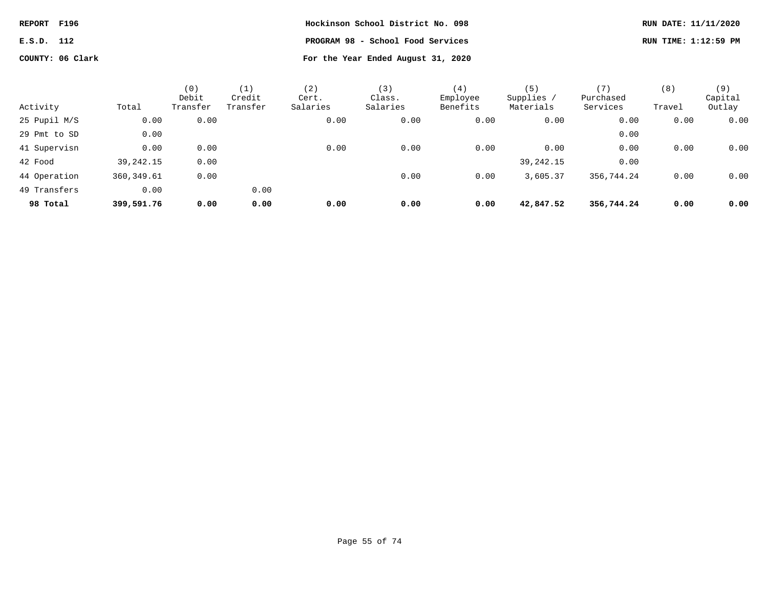| REPORT F196 |                  | Hockinson School District No. 098  | RUN DATE: 11/11/2020 |
|-------------|------------------|------------------------------------|----------------------|
| E.S.D. 112  |                  | PROGRAM 98 - School Food Services  | RUN TIME: 1:12:59 PM |
|             | COUNTY: 06 Clark | For the Year Ended August 31, 2020 |                      |

|              |             | (0)<br>Debit | $\left(1\right)$<br>Credit | (2)<br>Cert. | (3)<br>Class. | (4)<br>Employee | (5)<br>Supplies / | Purchased  | (8)    | (9)<br>Capital |
|--------------|-------------|--------------|----------------------------|--------------|---------------|-----------------|-------------------|------------|--------|----------------|
| Activity     | Total       | Transfer     | Transfer                   | Salaries     | Salaries      | Benefits        | Materials         | Services   | Travel | Outlay         |
| 25 Pupil M/S | 0.00        | 0.00         |                            | 0.00         | 0.00          | 0.00            | 0.00              | 0.00       | 0.00   | 0.00           |
| 29 Pmt to SD | 0.00        |              |                            |              |               |                 |                   | 0.00       |        |                |
| 41 Supervisn | 0.00        | 0.00         |                            | 0.00         | 0.00          | 0.00            | 0.00              | 0.00       | 0.00   | 0.00           |
| 42 Food      | 39,242.15   | 0.00         |                            |              |               |                 | 39,242.15         | 0.00       |        |                |
| 44 Operation | 360, 349.61 | 0.00         |                            |              | 0.00          | 0.00            | 3,605.37          | 356,744.24 | 0.00   | 0.00           |
| 49 Transfers | 0.00        |              | 0.00                       |              |               |                 |                   |            |        |                |
| 98 Total     | 399,591.76  | 0.00         | 0.00                       | 0.00         | 0.00          | 0.00            | 42,847.52         | 356,744.24 | 0.00   | 0.00           |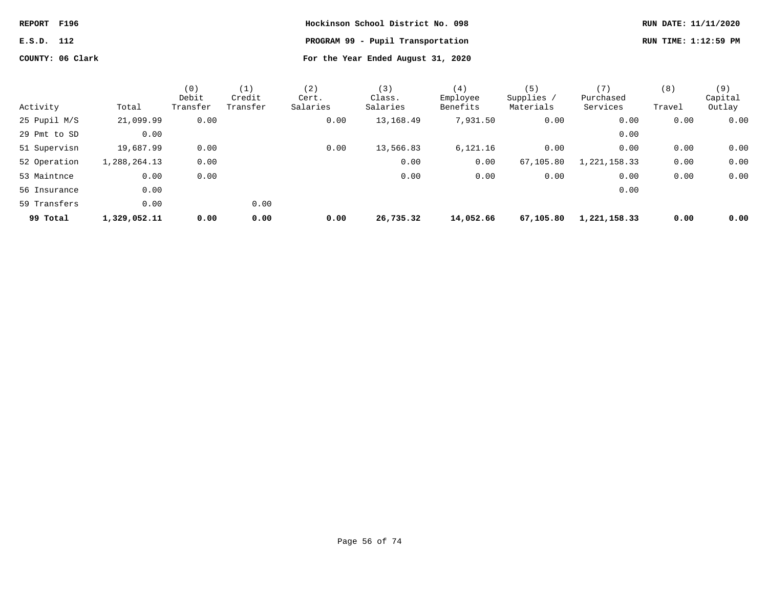| REPORT F196      | Hockinson School District No. 098  | RUN DATE: 11/11/2020 |
|------------------|------------------------------------|----------------------|
| E.S.D. 112       | PROGRAM 99 - Pupil Transportation  | RUN TIME: 1:12:59 PM |
| COUNTY: 06 Clark | For the Year Ended August 31, 2020 |                      |

|              |              | (0)      | (1)      | (2)      | (3)       | (4)       | (5)        | (7)          | (8)    | (9)     |
|--------------|--------------|----------|----------|----------|-----------|-----------|------------|--------------|--------|---------|
|              |              | Debit    | Credit   | Cert.    | Class.    | Employee  | Supplies / | Purchased    |        | Capital |
| Activity     | Total        | Transfer | Transfer | Salaries | Salaries  | Benefits  | Materials  | Services     | Travel | Outlay  |
| 25 Pupil M/S | 21,099.99    | 0.00     |          | 0.00     | 13,168.49 | 7,931.50  | 0.00       | 0.00         | 0.00   | 0.00    |
| 29 Pmt to SD | 0.00         |          |          |          |           |           |            | 0.00         |        |         |
| 51 Supervisn | 19,687.99    | 0.00     |          | 0.00     | 13,566.83 | 6,121.16  | 0.00       | 0.00         | 0.00   | 0.00    |
| 52 Operation | 1,288,264.13 | 0.00     |          |          | 0.00      | 0.00      | 67,105.80  | 1,221,158.33 | 0.00   | 0.00    |
| 53 Maintnce  | 0.00         | 0.00     |          |          | 0.00      | 0.00      | 0.00       | 0.00         | 0.00   | 0.00    |
| 56 Insurance | 0.00         |          |          |          |           |           |            | 0.00         |        |         |
| 59 Transfers | 0.00         |          | 0.00     |          |           |           |            |              |        |         |
| 99 Total     | 1,329,052.11 | 0.00     | 0.00     | 0.00     | 26,735.32 | 14,052.66 | 67,105.80  | 1,221,158.33 | 0.00   | 0.00    |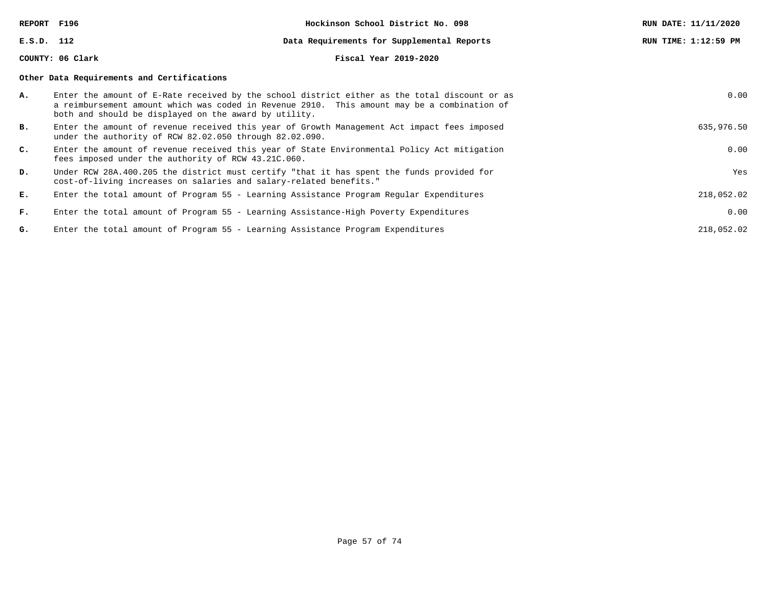**REPORT F196 Hockinson School District No. 098 RUN DATE: 11/11/2020 E.S.D. 112 Data Requirements for Supplemental Reports RUN TIME: 1:12:59 PM COUNTY: 06 Clark Fiscal Year 2019-2020 Other Data Requirements and Certifications A.** Enter the amount of E-Rate received by the school district either as the total discount or as a reimbursement amount which was coded in Revenue 2910. This amount may be a combination of both and should be displayed on the award by utility. 0.00 **B.** Enter the amount of revenue received this year of Growth Management Act impact fees imposed under the authority of RCW 82.02.050 through 82.02.090. 635,976.50 **C.** Enter the amount of revenue received this year of State Environmental Policy Act mitigation fees imposed under the authority of RCW 43.21C.060. 0.00 **D.** Under RCW 28A.400.205 the district must certify "that it has spent the funds provided for cost-of-living increases on salaries and salary-related benefits." Yes **E.** Enter the total amount of Program 55 - Learning Assistance Program Regular Expenditures 218,052.02 **F.** Enter the total amount of Program 55 - Learning Assistance-High Poverty Expenditures 0.00 **G.** Enter the total amount of Program 55 - Learning Assistance Program Expenditures 218,052.02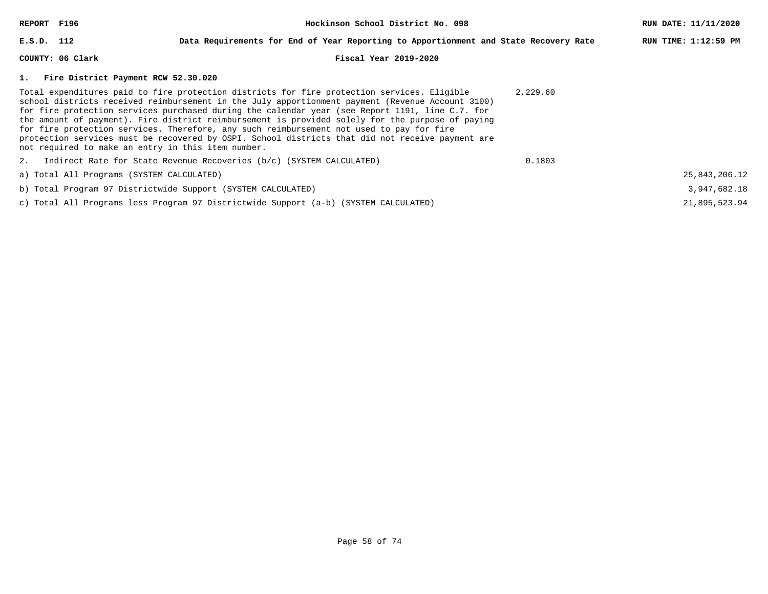| REPORT F196                                        | Hockinson School District No. 098                                                                                                                                                                                                                                                                                                                                                                                                                                                                                                                                                                      |          |                      |  |  |  |  |
|----------------------------------------------------|--------------------------------------------------------------------------------------------------------------------------------------------------------------------------------------------------------------------------------------------------------------------------------------------------------------------------------------------------------------------------------------------------------------------------------------------------------------------------------------------------------------------------------------------------------------------------------------------------------|----------|----------------------|--|--|--|--|
| E.S.D. 112                                         | Data Requirements for End of Year Reporting to Apportionment and State Recovery Rate                                                                                                                                                                                                                                                                                                                                                                                                                                                                                                                   |          | RUN TIME: 1:12:59 PM |  |  |  |  |
| COUNTY: 06 Clark                                   | Fiscal Year 2019-2020                                                                                                                                                                                                                                                                                                                                                                                                                                                                                                                                                                                  |          |                      |  |  |  |  |
| 1. Fire District Payment RCW 52.30.020             |                                                                                                                                                                                                                                                                                                                                                                                                                                                                                                                                                                                                        |          |                      |  |  |  |  |
| not required to make an entry in this item number. | Total expenditures paid to fire protection districts for fire protection services. Eligible<br>school districts received reimbursement in the July apportionment payment (Revenue Account 3100)<br>for fire protection services purchased during the calendar year (see Report 1191, line C.7. for<br>the amount of payment). Fire district reimbursement is provided solely for the purpose of paying<br>for fire protection services. Therefore, any such reimbursement not used to pay for fire<br>protection services must be recovered by OSPI. School districts that did not receive payment are | 2,229.60 |                      |  |  |  |  |
|                                                    | 2. Indirect Rate for State Revenue Recoveries $(b/c)$ (SYSTEM CALCULATED)                                                                                                                                                                                                                                                                                                                                                                                                                                                                                                                              | 0.1803   |                      |  |  |  |  |
| a) Total All Programs (SYSTEM CALCULATED)          |                                                                                                                                                                                                                                                                                                                                                                                                                                                                                                                                                                                                        |          | 25,843,206.12        |  |  |  |  |
|                                                    | b) Total Program 97 Districtwide Support (SYSTEM CALCULATED)                                                                                                                                                                                                                                                                                                                                                                                                                                                                                                                                           |          | 3,947,682.18         |  |  |  |  |
|                                                    | c) Total All Programs less Program 97 Districtwide Support (a-b) (SYSTEM CALCULATED)                                                                                                                                                                                                                                                                                                                                                                                                                                                                                                                   |          | 21,895,523.94        |  |  |  |  |
|                                                    |                                                                                                                                                                                                                                                                                                                                                                                                                                                                                                                                                                                                        |          |                      |  |  |  |  |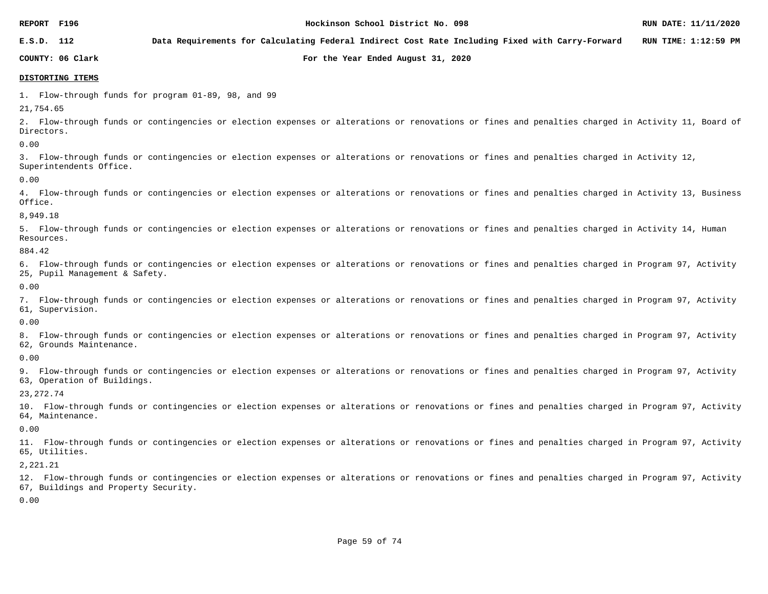**E.S.D. 112 Data Requirements for Calculating Federal Indirect Cost Rate Including Fixed with Carry-Forward RUN TIME: 1:12:59 PM**

**COUNTY: 06 Clark For the Year Ended August 31, 2020**

### **DISTORTING ITEMS**

1. Flow-through funds for program 01-89, 98, and 99

21,754.65

2. Flow-through funds or contingencies or election expenses or alterations or renovations or fines and penalties charged in Activity 11, Board of Directors.

0.00

3. Flow-through funds or contingencies or election expenses or alterations or renovations or fines and penalties charged in Activity 12, Superintendents Office.

0.00

4. Flow-through funds or contingencies or election expenses or alterations or renovations or fines and penalties charged in Activity 13, Business Office.

8,949.18

5. Flow-through funds or contingencies or election expenses or alterations or renovations or fines and penalties charged in Activity 14, Human Resources.

884.42

6. Flow-through funds or contingencies or election expenses or alterations or renovations or fines and penalties charged in Program 97, Activity 25, Pupil Management & Safety.

0.00

7. Flow-through funds or contingencies or election expenses or alterations or renovations or fines and penalties charged in Program 97, Activity 61, Supervision.

0.00

8. Flow-through funds or contingencies or election expenses or alterations or renovations or fines and penalties charged in Program 97, Activity 62, Grounds Maintenance.

0.00

9. Flow-through funds or contingencies or election expenses or alterations or renovations or fines and penalties charged in Program 97, Activity 63, Operation of Buildings.

23,272.74

10. Flow-through funds or contingencies or election expenses or alterations or renovations or fines and penalties charged in Program 97, Activity 64, Maintenance.

0.00

11. Flow-through funds or contingencies or election expenses or alterations or renovations or fines and penalties charged in Program 97, Activity 65, Utilities.

2,221.21

12. Flow-through funds or contingencies or election expenses or alterations or renovations or fines and penalties charged in Program 97, Activity 67, Buildings and Property Security.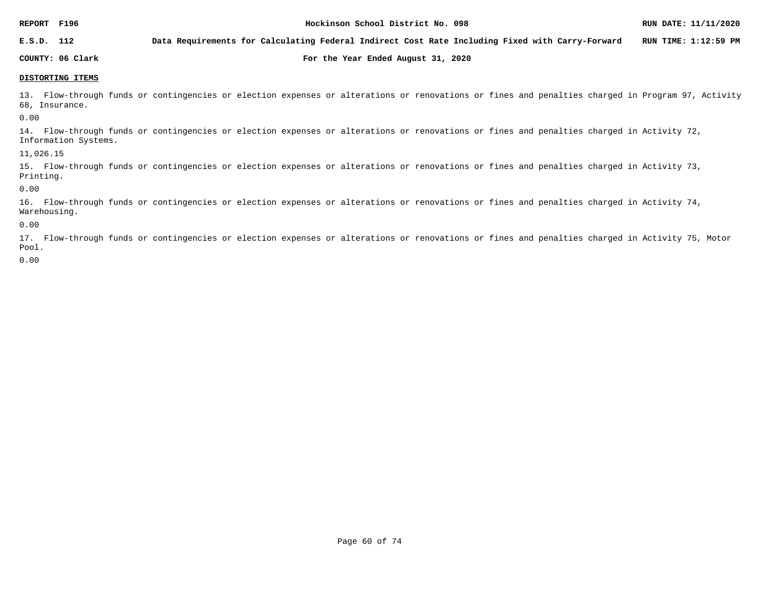**E.S.D. 112 Data Requirements for Calculating Federal Indirect Cost Rate Including Fixed with Carry-Forward RUN TIME: 1:12:59 PM**

**COUNTY: 06 Clark For the Year Ended August 31, 2020**

**DISTORTING ITEMS**

13. Flow-through funds or contingencies or election expenses or alterations or renovations or fines and penalties charged in Program 97, Activity 68, Insurance.

0.00

14. Flow-through funds or contingencies or election expenses or alterations or renovations or fines and penalties charged in Activity 72, Information Systems.

11,026.15

15. Flow-through funds or contingencies or election expenses or alterations or renovations or fines and penalties charged in Activity 73, Printing.

0.00

16. Flow-through funds or contingencies or election expenses or alterations or renovations or fines and penalties charged in Activity 74, Warehousing.

0.00

17. Flow-through funds or contingencies or election expenses or alterations or renovations or fines and penalties charged in Activity 75, Motor Pool.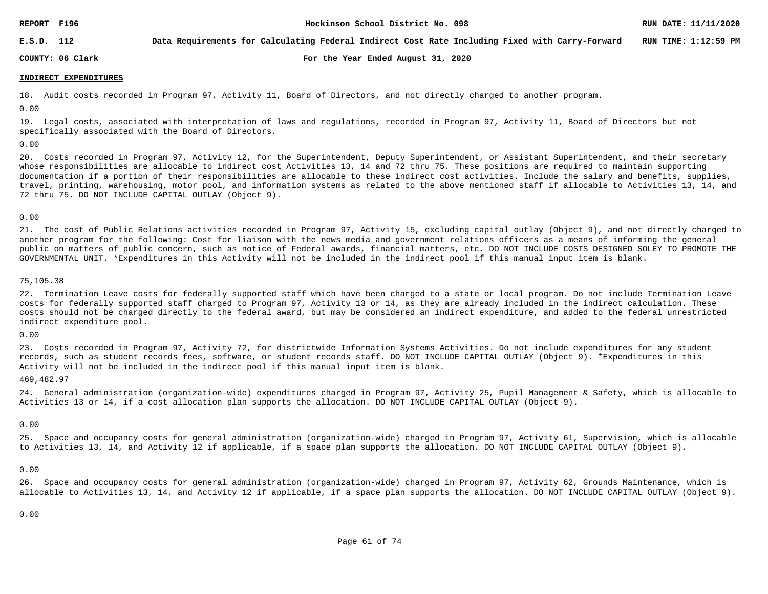**E.S.D. 112 Data Requirements for Calculating Federal Indirect Cost Rate Including Fixed with Carry-Forward RUN TIME: 1:12:59 PM**

**COUNTY: 06 Clark For the Year Ended August 31, 2020**

### **INDIRECT EXPENDITURES**

18. Audit costs recorded in Program 97, Activity 11, Board of Directors, and not directly charged to another program.

0.00

19. Legal costs, associated with interpretation of laws and regulations, recorded in Program 97, Activity 11, Board of Directors but not specifically associated with the Board of Directors.

### 0.00

20. Costs recorded in Program 97, Activity 12, for the Superintendent, Deputy Superintendent, or Assistant Superintendent, and their secretary whose responsibilities are allocable to indirect cost Activities 13, 14 and 72 thru 75. These positions are required to maintain supporting documentation if a portion of their responsibilities are allocable to these indirect cost activities. Include the salary and benefits, supplies, travel, printing, warehousing, motor pool, and information systems as related to the above mentioned staff if allocable to Activities 13, 14, and 72 thru 75. DO NOT INCLUDE CAPITAL OUTLAY (Object 9).

### 0.00

21. The cost of Public Relations activities recorded in Program 97, Activity 15, excluding capital outlay (Object 9), and not directly charged to another program for the following: Cost for liaison with the news media and government relations officers as a means of informing the general public on matters of public concern, such as notice of Federal awards, financial matters, etc. DO NOT INCLUDE COSTS DESIGNED SOLEY TO PROMOTE THE GOVERNMENTAL UNIT. \*Expenditures in this Activity will not be included in the indirect pool if this manual input item is blank.

### 75,105.38

22. Termination Leave costs for federally supported staff which have been charged to a state or local program. Do not include Termination Leave costs for federally supported staff charged to Program 97, Activity 13 or 14, as they are already included in the indirect calculation. These costs should not be charged directly to the federal award, but may be considered an indirect expenditure, and added to the federal unrestricted indirect expenditure pool.

### 0.00

23. Costs recorded in Program 97, Activity 72, for districtwide Information Systems Activities. Do not include expenditures for any student records, such as student records fees, software, or student records staff. DO NOT INCLUDE CAPITAL OUTLAY (Object 9). \*Expenditures in this Activity will not be included in the indirect pool if this manual input item is blank.

### 469,482.97

24. General administration (organization-wide) expenditures charged in Program 97, Activity 25, Pupil Management & Safety, which is allocable to Activities 13 or 14, if a cost allocation plan supports the allocation. DO NOT INCLUDE CAPITAL OUTLAY (Object 9).

### 0.00

25. Space and occupancy costs for general administration (organization-wide) charged in Program 97, Activity 61, Supervision, which is allocable to Activities 13, 14, and Activity 12 if applicable, if a space plan supports the allocation. DO NOT INCLUDE CAPITAL OUTLAY (Object 9).

### 0.00

26. Space and occupancy costs for general administration (organization-wide) charged in Program 97, Activity 62, Grounds Maintenance, which is allocable to Activities 13, 14, and Activity 12 if applicable, if a space plan supports the allocation. DO NOT INCLUDE CAPITAL OUTLAY (Object 9).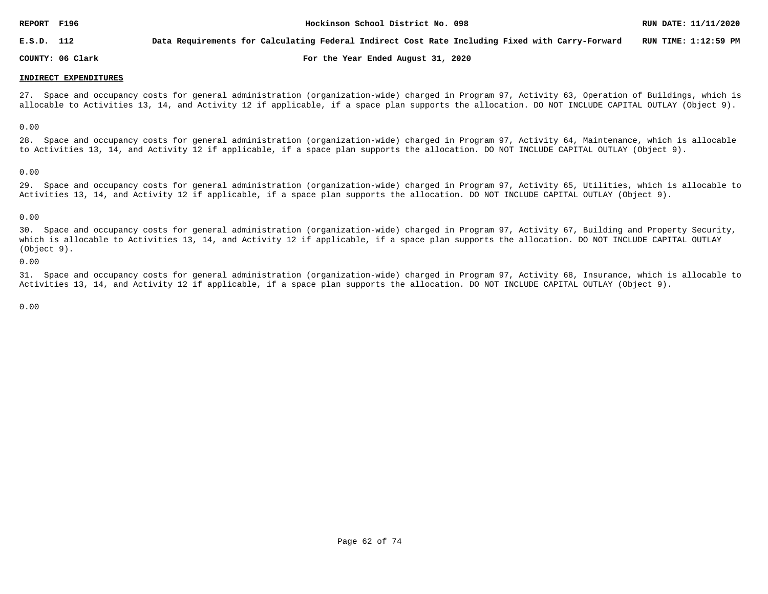**E.S.D. 112 Data Requirements for Calculating Federal Indirect Cost Rate Including Fixed with Carry-Forward RUN TIME: 1:12:59 PM**

**COUNTY: 06 Clark For the Year Ended August 31, 2020**

### **INDIRECT EXPENDITURES**

27. Space and occupancy costs for general administration (organization-wide) charged in Program 97, Activity 63, Operation of Buildings, which is allocable to Activities 13, 14, and Activity 12 if applicable, if a space plan supports the allocation. DO NOT INCLUDE CAPITAL OUTLAY (Object 9).

0.00

28. Space and occupancy costs for general administration (organization-wide) charged in Program 97, Activity 64, Maintenance, which is allocable to Activities 13, 14, and Activity 12 if applicable, if a space plan supports the allocation. DO NOT INCLUDE CAPITAL OUTLAY (Object 9).

0.00

29. Space and occupancy costs for general administration (organization-wide) charged in Program 97, Activity 65, Utilities, which is allocable to Activities 13, 14, and Activity 12 if applicable, if a space plan supports the allocation. DO NOT INCLUDE CAPITAL OUTLAY (Object 9).

### 0.00

30. Space and occupancy costs for general administration (organization-wide) charged in Program 97, Activity 67, Building and Property Security, which is allocable to Activities 13, 14, and Activity 12 if applicable, if a space plan supports the allocation. DO NOT INCLUDE CAPITAL OUTLAY (Object 9).

0.00

31. Space and occupancy costs for general administration (organization-wide) charged in Program 97, Activity 68, Insurance, which is allocable to Activities 13, 14, and Activity 12 if applicable, if a space plan supports the allocation. DO NOT INCLUDE CAPITAL OUTLAY (Object 9).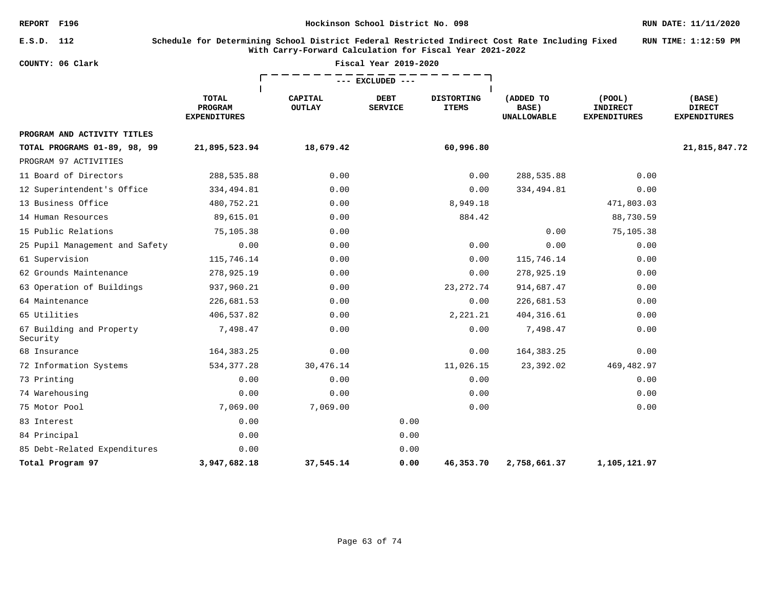### **E.S.D. 112 Schedule for Determining School District Federal Restricted Indirect Cost Rate Including Fixed With Carry-Forward Calculation for Fiscal Year 2021-2022 RUN TIME: 1:12:59 PM**

| COUNTY: 06 Clark                     |                                                |                                 | Fiscal Year 2019-2020         |                                   |                                          |                                                        |                                                |
|--------------------------------------|------------------------------------------------|---------------------------------|-------------------------------|-----------------------------------|------------------------------------------|--------------------------------------------------------|------------------------------------------------|
|                                      |                                                |                                 | --- EXCLUDED ---              |                                   |                                          |                                                        |                                                |
|                                      | <b>TOTAL</b><br>PROGRAM<br><b>EXPENDITURES</b> | <b>CAPITAL</b><br><b>OUTLAY</b> | <b>DEBT</b><br><b>SERVICE</b> | <b>DISTORTING</b><br><b>ITEMS</b> | (ADDED TO<br>BASE)<br><b>UNALLOWABLE</b> | $($ POOL $)$<br><b>INDIRECT</b><br><b>EXPENDITURES</b> | (BASE)<br><b>DIRECT</b><br><b>EXPENDITURES</b> |
| PROGRAM AND ACTIVITY TITLES          |                                                |                                 |                               |                                   |                                          |                                                        |                                                |
| TOTAL PROGRAMS 01-89, 98, 99         | 21,895,523.94                                  | 18,679.42                       |                               | 60,996.80                         |                                          |                                                        | 21,815,847.72                                  |
| PROGRAM 97 ACTIVITIES                |                                                |                                 |                               |                                   |                                          |                                                        |                                                |
| 11 Board of Directors                | 288,535.88                                     | 0.00                            |                               | 0.00                              | 288,535.88                               | 0.00                                                   |                                                |
| 12 Superintendent's Office           | 334,494.81                                     | 0.00                            |                               | 0.00                              | 334,494.81                               | 0.00                                                   |                                                |
| 13 Business Office                   | 480,752.21                                     | 0.00                            |                               | 8,949.18                          |                                          | 471,803.03                                             |                                                |
| 14 Human Resources                   | 89,615.01                                      | 0.00                            |                               | 884.42                            |                                          | 88,730.59                                              |                                                |
| 15 Public Relations                  | 75,105.38                                      | 0.00                            |                               |                                   | 0.00                                     | 75,105.38                                              |                                                |
| 25 Pupil Management and Safety       | 0.00                                           | 0.00                            |                               | 0.00                              | 0.00                                     | 0.00                                                   |                                                |
| 61 Supervision                       | 115,746.14                                     | 0.00                            |                               | 0.00                              | 115,746.14                               | 0.00                                                   |                                                |
| 62 Grounds Maintenance               | 278,925.19                                     | 0.00                            |                               | 0.00                              | 278,925.19                               | 0.00                                                   |                                                |
| 63 Operation of Buildings            | 937,960.21                                     | 0.00                            |                               | 23, 272. 74                       | 914,687.47                               | 0.00                                                   |                                                |
| 64 Maintenance                       | 226,681.53                                     | 0.00                            |                               | 0.00                              | 226,681.53                               | 0.00                                                   |                                                |
| 65 Utilities                         | 406,537.82                                     | 0.00                            |                               | 2,221.21                          | 404, 316.61                              | 0.00                                                   |                                                |
| 67 Building and Property<br>Security | 7,498.47                                       | 0.00                            |                               | 0.00                              | 7,498.47                                 | 0.00                                                   |                                                |
| 68 Insurance                         | 164, 383. 25                                   | 0.00                            |                               | 0.00                              | 164, 383. 25                             | 0.00                                                   |                                                |
| 72 Information Systems               | 534, 377.28                                    | 30,476.14                       |                               | 11,026.15                         | 23,392.02                                | 469,482.97                                             |                                                |
| 73 Printing                          | 0.00                                           | 0.00                            |                               | 0.00                              |                                          | 0.00                                                   |                                                |
| 74 Warehousing                       | 0.00                                           | 0.00                            |                               | 0.00                              |                                          | 0.00                                                   |                                                |
| 75 Motor Pool                        | 7,069.00                                       | 7,069.00                        |                               | 0.00                              |                                          | 0.00                                                   |                                                |
| 83 Interest                          | 0.00                                           |                                 | 0.00                          |                                   |                                          |                                                        |                                                |
| 84 Principal                         | 0.00                                           |                                 | 0.00                          |                                   |                                          |                                                        |                                                |
| 85 Debt-Related Expenditures         | 0.00                                           |                                 | 0.00                          |                                   |                                          |                                                        |                                                |
| Total Program 97                     | 3,947,682.18                                   | 37,545.14                       | 0.00                          | 46,353.70                         | 2,758,661.37                             | 1,105,121.97                                           |                                                |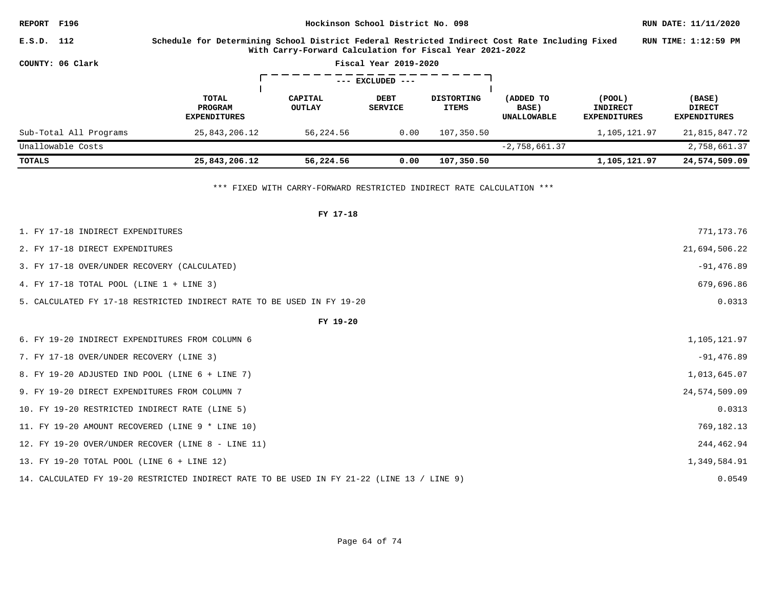| REPORT F196            |                                                                                                                                                            |                          | RUN DATE: 11/11/2020          |                                   |                                   |                                           |                                                |
|------------------------|------------------------------------------------------------------------------------------------------------------------------------------------------------|--------------------------|-------------------------------|-----------------------------------|-----------------------------------|-------------------------------------------|------------------------------------------------|
| E.S.D. 112             | Schedule for Determining School District Federal Restricted Indirect Cost Rate Including Fixed<br>With Carry-Forward Calculation for Fiscal Year 2021-2022 |                          | RUN TIME: 1:12:59 PM          |                                   |                                   |                                           |                                                |
| COUNTY: 06 Clark       |                                                                                                                                                            |                          |                               |                                   |                                   |                                           |                                                |
|                        |                                                                                                                                                            |                          |                               |                                   |                                   |                                           |                                                |
|                        | TOTAL<br>PROGRAM<br><b>EXPENDITURES</b>                                                                                                                    | CAPITAL<br><b>OUTLAY</b> | <b>DEBT</b><br><b>SERVICE</b> | <b>DISTORTING</b><br><b>ITEMS</b> | (ADDED TO<br>BASE)<br>UNALLOWABLE | (POOL)<br>INDIRECT<br><b>EXPENDITURES</b> | (BASE)<br><b>DIRECT</b><br><b>EXPENDITURES</b> |
| Sub-Total All Programs | 25,843,206.12                                                                                                                                              | 56,224.56                | 0.00                          | 107,350.50                        |                                   | 1,105,121.97                              | 21,815,847.72                                  |
| Unallowable Costs      |                                                                                                                                                            |                          |                               |                                   | $-2,758,661.37$                   |                                           | 2,758,661.37                                   |
| TOTALS                 | 25,843,206.12                                                                                                                                              | 56,224.56                | 0.00                          | 107,350.50                        |                                   | 1,105,121.97                              | 24,574,509.09                                  |

\*\*\* FIXED WITH CARRY-FORWARD RESTRICTED INDIRECT RATE CALCULATION \*\*\*

| FY 17-18                                                                                   |               |
|--------------------------------------------------------------------------------------------|---------------|
| 1. FY 17-18 INDIRECT EXPENDITURES                                                          | 771,173.76    |
| 2. FY 17-18 DIRECT EXPENDITURES                                                            | 21,694,506.22 |
| 3. FY 17-18 OVER/UNDER RECOVERY (CALCULATED)                                               | $-91,476.89$  |
| 4. FY 17-18 TOTAL POOL (LINE 1 + LINE 3)                                                   | 679,696.86    |
| 5. CALCULATED FY 17-18 RESTRICTED INDIRECT RATE TO BE USED IN FY 19-20                     | 0.0313        |
| FY 19-20                                                                                   |               |
| 6. FY 19-20 INDIRECT EXPENDITURES FROM COLUMN 6                                            | 1,105,121.97  |
| 7. FY 17-18 OVER/UNDER RECOVERY (LINE 3)                                                   | $-91,476.89$  |
| 8. FY 19-20 ADJUSTED IND POOL (LINE 6 + LINE 7)                                            | 1,013,645.07  |
| 9. FY 19-20 DIRECT EXPENDITURES FROM COLUMN 7                                              | 24,574,509.09 |
| 10. FY 19-20 RESTRICTED INDIRECT RATE (LINE 5)                                             | 0.0313        |
| 11. FY 19-20 AMOUNT RECOVERED (LINE 9 * LINE 10)                                           | 769,182.13    |
| 12. FY 19-20 OVER/UNDER RECOVER (LINE 8 - LINE 11)                                         | 244,462.94    |
| 13. FY 19-20 TOTAL POOL (LINE 6 + LINE 12)                                                 | 1,349,584.91  |
| 14. CALCULATED FY 19-20 RESTRICTED INDIRECT RATE TO BE USED IN FY 21-22 (LINE 13 / LINE 9) | 0.0549        |
|                                                                                            |               |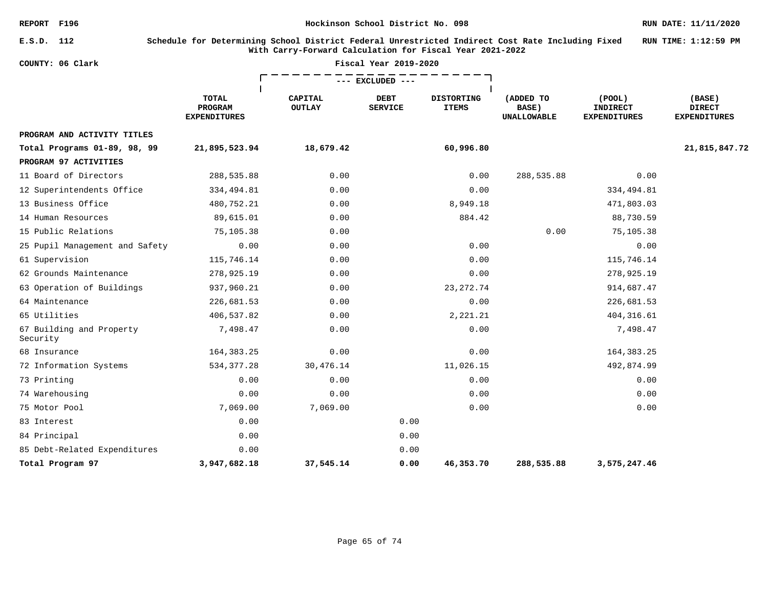**E.S.D. 112 Schedule for Determining School District Federal Unrestricted Indirect Cost Rate Including Fixed With Carry-Forward Calculation for Fiscal Year 2021-2022 RUN TIME: 1:12:59 PM**

| COUNTY: 06 Clark                     |                                                |                          | Fiscal Year 2019-2020         |                                   |                                          |                                                  |                                                |
|--------------------------------------|------------------------------------------------|--------------------------|-------------------------------|-----------------------------------|------------------------------------------|--------------------------------------------------|------------------------------------------------|
|                                      |                                                |                          | --- EXCLUDED ---              |                                   |                                          |                                                  |                                                |
|                                      | <b>TOTAL</b><br>PROGRAM<br><b>EXPENDITURES</b> | CAPITAL<br><b>OUTLAY</b> | <b>DEBT</b><br><b>SERVICE</b> | <b>DISTORTING</b><br><b>ITEMS</b> | (ADDED TO<br>BASE)<br><b>UNALLOWABLE</b> | (POOL)<br><b>INDIRECT</b><br><b>EXPENDITURES</b> | (BASE)<br><b>DIRECT</b><br><b>EXPENDITURES</b> |
| PROGRAM AND ACTIVITY TITLES          |                                                |                          |                               |                                   |                                          |                                                  |                                                |
| Total Programs 01-89, 98, 99         | 21,895,523.94                                  | 18,679.42                |                               | 60,996.80                         |                                          |                                                  | 21,815,847.72                                  |
| PROGRAM 97 ACTIVITIES                |                                                |                          |                               |                                   |                                          |                                                  |                                                |
| 11 Board of Directors                | 288,535.88                                     | 0.00                     |                               | 0.00                              | 288,535.88                               | 0.00                                             |                                                |
| 12 Superintendents Office            | 334,494.81                                     | 0.00                     |                               | 0.00                              |                                          | 334,494.81                                       |                                                |
| 13 Business Office                   | 480,752.21                                     | 0.00                     |                               | 8,949.18                          |                                          | 471,803.03                                       |                                                |
| 14 Human Resources                   | 89,615.01                                      | 0.00                     |                               | 884.42                            |                                          | 88,730.59                                        |                                                |
| 15 Public Relations                  | 75,105.38                                      | 0.00                     |                               |                                   | 0.00                                     | 75,105.38                                        |                                                |
| 25 Pupil Management and Safety       | 0.00                                           | 0.00                     |                               | 0.00                              |                                          | 0.00                                             |                                                |
| 61 Supervision                       | 115,746.14                                     | 0.00                     |                               | 0.00                              |                                          | 115,746.14                                       |                                                |
| 62 Grounds Maintenance               | 278,925.19                                     | 0.00                     |                               | 0.00                              |                                          | 278,925.19                                       |                                                |
| 63 Operation of Buildings            | 937,960.21                                     | 0.00                     |                               | 23, 272. 74                       |                                          | 914,687.47                                       |                                                |
| 64 Maintenance                       | 226,681.53                                     | 0.00                     |                               | 0.00                              |                                          | 226,681.53                                       |                                                |
| 65 Utilities                         | 406,537.82                                     | 0.00                     |                               | 2,221.21                          |                                          | 404,316.61                                       |                                                |
| 67 Building and Property<br>Security | 7,498.47                                       | 0.00                     |                               | 0.00                              |                                          | 7,498.47                                         |                                                |
| 68 Insurance                         | 164, 383. 25                                   | 0.00                     |                               | 0.00                              |                                          | 164, 383. 25                                     |                                                |
| 72 Information Systems               | 534, 377.28                                    | 30,476.14                |                               | 11,026.15                         |                                          | 492,874.99                                       |                                                |
| 73 Printing                          | 0.00                                           | 0.00                     |                               | 0.00                              |                                          | 0.00                                             |                                                |
| 74 Warehousing                       | 0.00                                           | 0.00                     |                               | 0.00                              |                                          | 0.00                                             |                                                |
| 75 Motor Pool                        | 7,069.00                                       | 7,069.00                 |                               | 0.00                              |                                          | 0.00                                             |                                                |
| 83 Interest                          | 0.00                                           |                          | 0.00                          |                                   |                                          |                                                  |                                                |
| 84 Principal                         | 0.00                                           |                          | 0.00                          |                                   |                                          |                                                  |                                                |
| 85 Debt-Related Expenditures         | 0.00                                           |                          | 0.00                          |                                   |                                          |                                                  |                                                |
| Total Program 97                     | 3,947,682.18                                   | 37,545.14                | 0.00                          | 46,353.70                         | 288,535.88                               | 3,575,247.46                                     |                                                |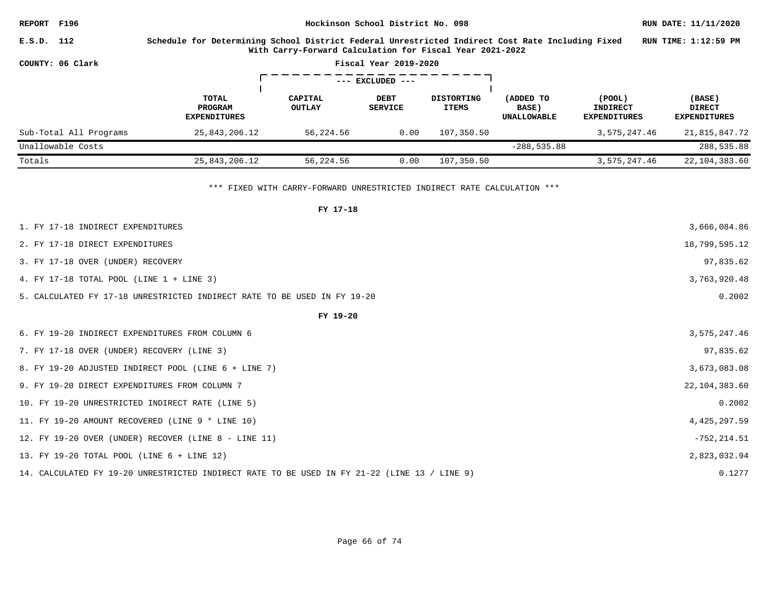| REPORT F196 |                        | Hockinson School District No. 098                                                                                                                            |                          |                               |                                   |                                          |                                           |                                                |  |  |  |  |  |
|-------------|------------------------|--------------------------------------------------------------------------------------------------------------------------------------------------------------|--------------------------|-------------------------------|-----------------------------------|------------------------------------------|-------------------------------------------|------------------------------------------------|--|--|--|--|--|
| E.S.D. 112  |                        | Schedule for Determining School District Federal Unrestricted Indirect Cost Rate Including Fixed<br>With Carry-Forward Calculation for Fiscal Year 2021-2022 |                          |                               |                                   |                                          |                                           |                                                |  |  |  |  |  |
|             | COUNTY: 06 Clark       |                                                                                                                                                              |                          | Fiscal Year 2019-2020         |                                   |                                          |                                           |                                                |  |  |  |  |  |
|             | $---$ EXCLUDED $---$   |                                                                                                                                                              |                          |                               |                                   |                                          |                                           |                                                |  |  |  |  |  |
|             |                        | TOTAL<br><b>PROGRAM</b><br><b>EXPENDITURES</b>                                                                                                               | CAPITAL<br><b>OUTLAY</b> | <b>DEBT</b><br><b>SERVICE</b> | <b>DISTORTING</b><br><b>ITEMS</b> | (ADDED TO<br>BASE)<br><b>UNALLOWABLE</b> | (POOL)<br>INDIRECT<br><b>EXPENDITURES</b> | (BASE)<br><b>DIRECT</b><br><b>EXPENDITURES</b> |  |  |  |  |  |
|             | Sub-Total All Programs | 25,843,206.12                                                                                                                                                | 56,224.56                | 0.00                          | 107,350.50                        |                                          | 3,575,247.46                              | 21,815,847.72                                  |  |  |  |  |  |
|             | Unallowable Costs      |                                                                                                                                                              |                          |                               |                                   | $-288, 535.88$                           |                                           | 288,535.88                                     |  |  |  |  |  |
| Totals      |                        | 25,843,206.12                                                                                                                                                | 56,224.56                | 0.00                          | 107,350.50                        |                                          | 3,575,247.46                              | 22,104,383.60                                  |  |  |  |  |  |

\*\*\* FIXED WITH CARRY-FORWARD UNRESTRICTED INDIRECT RATE CALCULATION \*\*\*

| FY 17-18                                                                                     |                 |
|----------------------------------------------------------------------------------------------|-----------------|
| 1. FY 17-18 INDIRECT EXPENDITURES                                                            | 3,666,084.86    |
| 2. FY 17-18 DIRECT EXPENDITURES                                                              | 18,799,595.12   |
| 3. FY 17-18 OVER (UNDER) RECOVERY                                                            | 97,835.62       |
| 4. FY 17-18 TOTAL POOL (LINE 1 + LINE 3)                                                     | 3,763,920.48    |
| 5. CALCULATED FY 17-18 UNRESTRICTED INDIRECT RATE TO BE USED IN FY 19-20                     | 0.2002          |
| FY 19-20                                                                                     |                 |
| 6. FY 19-20 INDIRECT EXPENDITURES FROM COLUMN 6                                              | 3,575,247.46    |
| 7. FY 17-18 OVER (UNDER) RECOVERY (LINE 3)                                                   | 97,835.62       |
| 8. FY 19-20 ADJUSTED INDIRECT POOL (LINE 6 + LINE 7)                                         | 3,673,083.08    |
| 9. FY 19-20 DIRECT EXPENDITURES FROM COLUMN 7                                                | 22, 104, 383.60 |
| 10. FY 19-20 UNRESTRICTED INDIRECT RATE (LINE 5)                                             | 0.2002          |
| 11. FY 19-20 AMOUNT RECOVERED (LINE 9 * LINE 10)                                             | 4,425,297.59    |
| 12. FY 19-20 OVER (UNDER) RECOVER (LINE 8 - LINE 11)                                         | $-752, 214.51$  |
| 13. FY 19-20 TOTAL POOL (LINE 6 + LINE 12)                                                   | 2,823,032.94    |
| 14. CALCULATED FY 19-20 UNRESTRICTED INDIRECT RATE TO BE USED IN FY 21-22 (LINE 13 / LINE 9) | 0.1277          |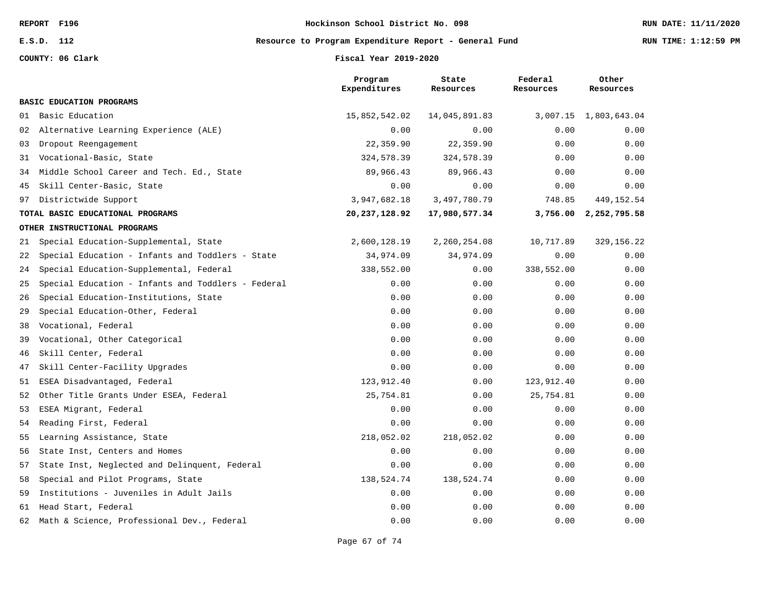**E.S.D. 112 Resource to Program Expenditure Report - General Fund RUN TIME: 1:12:59 PM**

**COUNTY: 06 Clark Fiscal Year 2019-2020**

|    |                                                    | Program<br>Expenditures | State<br>Resources | Federal<br>Resources | Other<br>Resources    |
|----|----------------------------------------------------|-------------------------|--------------------|----------------------|-----------------------|
|    | BASIC EDUCATION PROGRAMS                           |                         |                    |                      |                       |
| 01 | Basic Education                                    | 15,852,542.02           | 14,045,891.83      |                      | 3,007.15 1,803,643.04 |
| 02 | Alternative Learning Experience (ALE)              | 0.00                    | 0.00               | 0.00                 | 0.00                  |
| 03 | Dropout Reengagement                               | 22,359.90               | 22,359.90          | 0.00                 | 0.00                  |
| 31 | Vocational-Basic, State                            | 324,578.39              | 324,578.39         | 0.00                 | 0.00                  |
| 34 | Middle School Career and Tech. Ed., State          | 89,966.43               | 89,966.43          | 0.00                 | 0.00                  |
| 45 | Skill Center-Basic, State                          | 0.00                    | 0.00               | 0.00                 | 0.00                  |
| 97 | Districtwide Support                               | 3,947,682.18            | 3,497,780.79       | 748.85               | 449, 152.54           |
|    | TOTAL BASIC EDUCATIONAL PROGRAMS                   | 20, 237, 128.92         | 17,980,577.34      |                      | 3,756.00 2,252,795.58 |
|    | OTHER INSTRUCTIONAL PROGRAMS                       |                         |                    |                      |                       |
| 21 | Special Education-Supplemental, State              | 2,600,128.19            | 2,260,254.08       | 10,717.89            | 329, 156.22           |
| 22 | Special Education - Infants and Toddlers - State   | 34,974.09               | 34,974.09          | 0.00                 | 0.00                  |
| 24 | Special Education-Supplemental, Federal            | 338,552.00              | 0.00               | 338,552.00           | 0.00                  |
| 25 | Special Education - Infants and Toddlers - Federal | 0.00                    | 0.00               | 0.00                 | 0.00                  |
| 26 | Special Education-Institutions, State              | 0.00                    | 0.00               | 0.00                 | 0.00                  |
| 29 | Special Education-Other, Federal                   | 0.00                    | 0.00               | 0.00                 | 0.00                  |
| 38 | Vocational, Federal                                | 0.00                    | 0.00               | 0.00                 | 0.00                  |
| 39 | Vocational, Other Categorical                      | 0.00                    | 0.00               | 0.00                 | 0.00                  |
| 46 | Skill Center, Federal                              | 0.00                    | 0.00               | 0.00                 | 0.00                  |
| 47 | Skill Center-Facility Upgrades                     | 0.00                    | 0.00               | 0.00                 | 0.00                  |
| 51 | ESEA Disadvantaged, Federal                        | 123,912.40              | 0.00               | 123,912.40           | 0.00                  |
| 52 | Other Title Grants Under ESEA, Federal             | 25,754.81               | 0.00               | 25,754.81            | 0.00                  |
| 53 | ESEA Migrant, Federal                              | 0.00                    | 0.00               | 0.00                 | 0.00                  |
| 54 | Reading First, Federal                             | 0.00                    | 0.00               | 0.00                 | 0.00                  |
| 55 | Learning Assistance, State                         | 218,052.02              | 218,052.02         | 0.00                 | 0.00                  |
| 56 | State Inst, Centers and Homes                      | 0.00                    | 0.00               | 0.00                 | 0.00                  |
| 57 | State Inst, Neglected and Delinquent, Federal      | 0.00                    | 0.00               | 0.00                 | 0.00                  |
| 58 | Special and Pilot Programs, State                  | 138,524.74              | 138,524.74         | 0.00                 | 0.00                  |
| 59 | Institutions - Juveniles in Adult Jails            | 0.00                    | 0.00               | 0.00                 | 0.00                  |
| 61 | Head Start, Federal                                | 0.00                    | 0.00               | 0.00                 | 0.00                  |
| 62 | Math & Science, Professional Dev., Federal         | 0.00                    | 0.00               | 0.00                 | 0.00                  |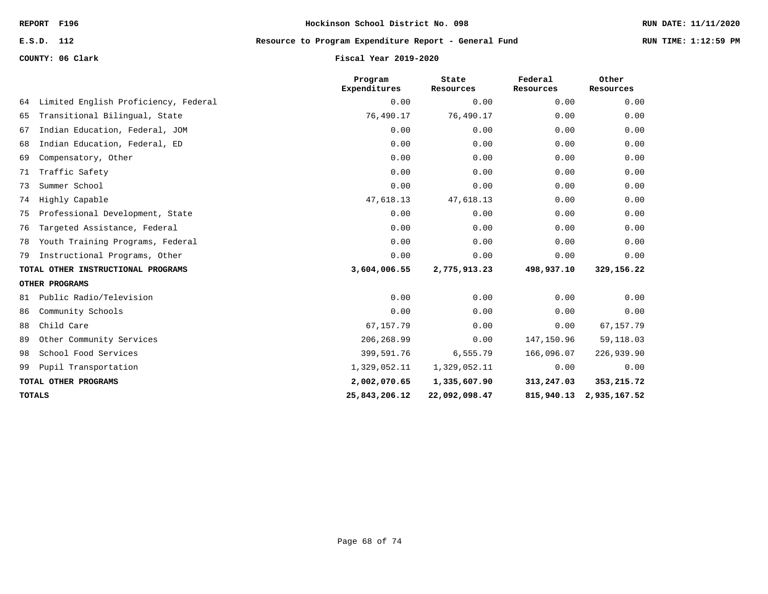## **E.S.D. 112 Resource to Program Expenditure Report - General Fund RUN TIME: 1:12:59 PM**

**COUNTY: 06 Clark Fiscal Year 2019-2020**

|               |                                      | Program<br>Expenditures | State<br>Resources | Federal<br>Resources | Other<br>Resources      |
|---------------|--------------------------------------|-------------------------|--------------------|----------------------|-------------------------|
| 64            | Limited English Proficiency, Federal | 0.00                    | 0.00               | 0.00                 | 0.00                    |
| 65            | Transitional Bilingual, State        | 76,490.17               | 76,490.17          | 0.00                 | 0.00                    |
| 67            | Indian Education, Federal, JOM       | 0.00                    | 0.00               | 0.00                 | 0.00                    |
| 68            | Indian Education, Federal, ED        | 0.00                    | 0.00               | 0.00                 | 0.00                    |
| 69            | Compensatory, Other                  | 0.00                    | 0.00               | 0.00                 | 0.00                    |
| 71            | Traffic Safety                       | 0.00                    | 0.00               | 0.00                 | 0.00                    |
| 73            | Summer School                        | 0.00                    | 0.00               | 0.00                 | 0.00                    |
|               | 74 Highly Capable                    | 47,618.13               | 47,618.13          | 0.00                 | 0.00                    |
|               | 75 Professional Development, State   | 0.00                    | 0.00               | 0.00                 | 0.00                    |
| 76            | Targeted Assistance, Federal         | 0.00                    | 0.00               | 0.00                 | 0.00                    |
|               | 78 Youth Training Programs, Federal  | 0.00                    | 0.00               | 0.00                 | 0.00                    |
| 79            | Instructional Programs, Other        | 0.00                    | 0.00               | 0.00                 | 0.00                    |
|               | TOTAL OTHER INSTRUCTIONAL PROGRAMS   | 3,604,006.55            | 2,775,913.23       | 498,937.10           | 329,156.22              |
|               | OTHER PROGRAMS                       |                         |                    |                      |                         |
|               | 81 Public Radio/Television           | 0.00                    | 0.00               | 0.00                 | 0.00                    |
| 86            | Community Schools                    | 0.00                    | 0.00               | 0.00                 | 0.00                    |
| 88            | Child Care                           | 67,157.79               | 0.00               | 0.00                 | 67, 157. 79             |
| 89            | Other Community Services             | 206, 268.99             | 0.00               | 147,150.96           | 59, 118.03              |
| 98            | School Food Services                 | 399,591.76              | 6,555.79           | 166,096.07           | 226,939.90              |
|               | 99 Pupil Transportation              | 1,329,052.11            | 1,329,052.11       | 0.00                 | 0.00                    |
|               | TOTAL OTHER PROGRAMS                 | 2,002,070.65            | 1,335,607.90       | 313,247.03           | 353, 215.72             |
| <b>TOTALS</b> |                                      | 25,843,206.12           | 22,092,098.47      |                      | 815,940.13 2,935,167.52 |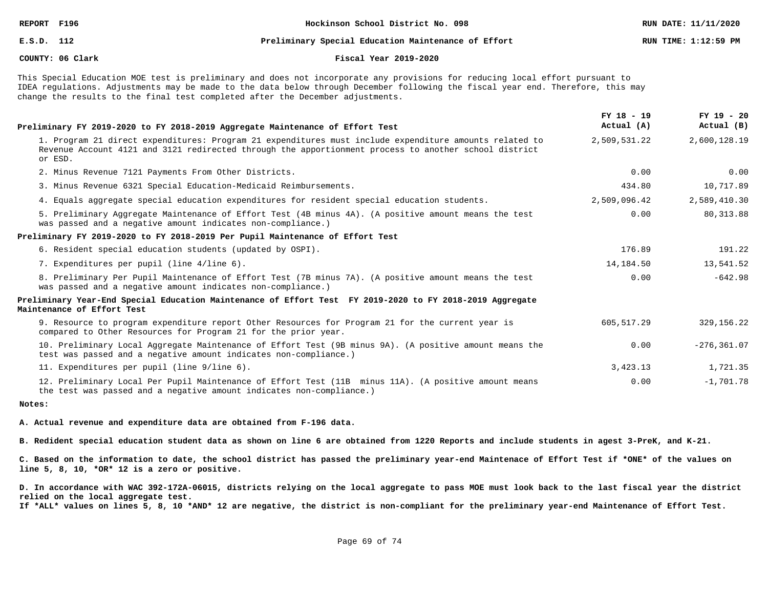### **E.S.D. 112 Preliminary Special Education Maintenance of Effort RUN TIME: 1:12:59 PM**

### **COUNTY: 06 Clark Fiscal Year 2019-2020**

This Special Education MOE test is preliminary and does not incorporate any provisions for reducing local effort pursuant to IDEA regulations. Adjustments may be made to the data below through December following the fiscal year end. Therefore, this may change the results to the final test completed after the December adjustments.

| Preliminary FY 2019-2020 to FY 2018-2019 Aggregate Maintenance of Effort Test                                                                                                                                              | $FY$ 18 - 19<br>Actual (A) | $FY$ 19 - 20<br>Actual (B) |
|----------------------------------------------------------------------------------------------------------------------------------------------------------------------------------------------------------------------------|----------------------------|----------------------------|
| 1. Program 21 direct expenditures: Program 21 expenditures must include expenditure amounts related to<br>Revenue Account 4121 and 3121 redirected through the apportionment process to another school district<br>or ESD. | 2,509,531.22               | 2,600,128.19               |
| 2. Minus Revenue 7121 Payments From Other Districts.                                                                                                                                                                       | 0.00                       | 0.00                       |
| 3. Minus Revenue 6321 Special Education-Medicaid Reimbursements.                                                                                                                                                           | 434.80                     | 10,717.89                  |
| 4. Equals aggregate special education expenditures for resident special education students.                                                                                                                                | 2,509,096.42               | 2,589,410.30               |
| 5. Preliminary Aggregate Maintenance of Effort Test (4B minus 4A). (A positive amount means the test<br>was passed and a negative amount indicates non-compliance.)                                                        | 0.00                       | 80, 313.88                 |
| Preliminary FY 2019-2020 to FY 2018-2019 Per Pupil Maintenance of Effort Test                                                                                                                                              |                            |                            |
| 6. Resident special education students (updated by OSPI).                                                                                                                                                                  | 176.89                     | 191.22                     |
| 7. Expenditures per pupil (line 4/line 6).                                                                                                                                                                                 | 14,184.50                  | 13,541.52                  |
| 8. Preliminary Per Pupil Maintenance of Effort Test (7B minus 7A). (A positive amount means the test<br>was passed and a negative amount indicates non-compliance.)                                                        | 0.00                       | $-642.98$                  |
| Preliminary Year-End Special Education Maintenance of Effort Test FY 2019-2020 to FY 2018-2019 Aggregate<br>Maintenance of Effort Test                                                                                     |                            |                            |
| 9. Resource to program expenditure report Other Resources for Program 21 for the current year is<br>compared to Other Resources for Program 21 for the prior year.                                                         | 605,517.29                 | 329, 156. 22               |
| 10. Preliminary Local Aggregate Maintenance of Effort Test (9B minus 9A). (A positive amount means the<br>test was passed and a negative amount indicates non-compliance.)                                                 | 0.00                       | $-276, 361.07$             |
| 11. Expenditures per pupil (line 9/line 6).                                                                                                                                                                                | 3,423.13                   | 1,721.35                   |
| 12. Preliminary Local Per Pupil Maintenance of Effort Test (11B minus 11A). (A positive amount means<br>the test was passed and a negative amount indicates non-compliance.)                                               | 0.00                       | $-1,701.78$                |

### **Notes:**

**A. Actual revenue and expenditure data are obtained from F-196 data.**

**B. Redident special education student data as shown on line 6 are obtained from 1220 Reports and include students in agest 3-PreK, and K-21.**

**C. Based on the information to date, the school district has passed the preliminary year-end Maintenace of Effort Test if \*ONE\* of the values on line 5, 8, 10, \*OR\* 12 is a zero or positive.**

**D. In accordance with WAC 392-172A-06015, districts relying on the local aggregate to pass MOE must look back to the last fiscal year the district relied on the local aggregate test.**

**If \*ALL\* values on lines 5, 8, 10 \*AND\* 12 are negative, the district is non-compliant for the preliminary year-end Maintenance of Effort Test.**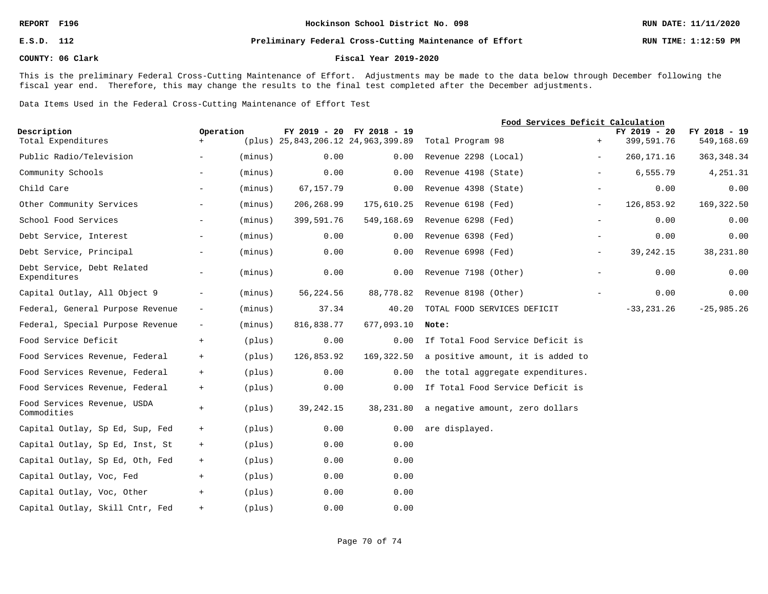### **E.S.D. 112 Preliminary Federal Cross-Cutting Maintenance of Effort RUN TIME: 1:12:59 PM**

### **COUNTY: 06 Clark Fiscal Year 2019-2020**

This is the preliminary Federal Cross-Cutting Maintenance of Effort. Adjustments may be made to the data below through December following the fiscal year end. Therefore, this may change the results to the final test completed after the December adjustments.

Data Items Used in the Federal Cross-Cutting Maintenance of Effort Test

|                                            |                          |         |             |                                                                 | Food Services Deficit Calculation |       |                            |                            |
|--------------------------------------------|--------------------------|---------|-------------|-----------------------------------------------------------------|-----------------------------------|-------|----------------------------|----------------------------|
| Description<br>Total Expenditures          | Operation<br>$+$         |         |             | FY 2019 - 20 FY 2018 - 19<br>(plus) 25,843,206.12 24,963,399.89 | Total Program 98                  | $+$   | FY 2019 - 20<br>399,591.76 | FY 2018 - 19<br>549,168.69 |
| Public Radio/Television                    | $\overline{\phantom{0}}$ | (minus) | 0.00        | 0.00                                                            | Revenue 2298 (Local)              | $ \,$ | 260, 171. 16               | 363, 348.34                |
|                                            |                          |         |             |                                                                 |                                   |       |                            |                            |
| Community Schools                          | $\overline{\phantom{0}}$ | (minus) | 0.00        | 0.00                                                            | Revenue 4198 (State)              | $-$   | 6,555.79                   | 4,251.31                   |
| Child Care                                 | $-$                      | (minus) | 67,157.79   | 0.00                                                            | Revenue 4398 (State)              |       | 0.00                       | 0.00                       |
| Other Community Services                   | $ \,$                    | (minus) | 206,268.99  | 175,610.25                                                      | Revenue 6198 (Fed)                | $ \,$ | 126,853.92                 | 169, 322.50                |
| School Food Services                       | $-$                      | (minus) | 399,591.76  | 549,168.69                                                      | Revenue 6298 (Fed)                |       | 0.00                       | 0.00                       |
| Debt Service, Interest                     | $\sim$                   | (minus) | 0.00        | 0.00                                                            | Revenue 6398 (Fed)                | $ \,$ | 0.00                       | 0.00                       |
| Debt Service, Principal                    | $ \,$                    | (minus) | 0.00        | 0.00                                                            | Revenue 6998 (Fed)                | $-$   | 39, 242. 15                | 38,231.80                  |
| Debt Service, Debt Related<br>Expenditures | $-$                      | (minus) | 0.00        | 0.00                                                            | Revenue 7198 (Other)              | $-$   | 0.00                       | 0.00                       |
| Capital Outlay, All Object 9               | $\overline{\phantom{a}}$ | (minus) | 56,224.56   | 88,778.82                                                       | Revenue 8198 (Other)              | $ \,$ | 0.00                       | 0.00                       |
| Federal, General Purpose Revenue           | $\overline{\phantom{m}}$ | (minus) | 37.34       | 40.20                                                           | TOTAL FOOD SERVICES DEFICIT       |       | $-33, 231.26$              | $-25,985.26$               |
| Federal, Special Purpose Revenue           | $-$                      | (minus) | 816,838.77  | 677,093.10                                                      | Note:                             |       |                            |                            |
| Food Service Deficit                       | $+$                      | (plus)  | 0.00        | 0.00                                                            | If Total Food Service Deficit is  |       |                            |                            |
| Food Services Revenue, Federal             | $+$                      | (plus)  | 126,853.92  | 169,322.50                                                      | a positive amount, it is added to |       |                            |                            |
| Food Services Revenue, Federal             | $+$                      | (plus)  | 0.00        | 0.00                                                            | the total aggregate expenditures. |       |                            |                            |
| Food Services Revenue, Federal             | $+$                      | (plus)  | 0.00        | 0.00                                                            | If Total Food Service Deficit is  |       |                            |                            |
| Food Services Revenue, USDA<br>Commodities | $+$                      | (plus)  | 39, 242. 15 | 38,231.80                                                       | a negative amount, zero dollars   |       |                            |                            |
| Capital Outlay, Sp Ed, Sup, Fed            | $+$                      | (plus)  | 0.00        | 0.00                                                            | are displayed.                    |       |                            |                            |
| Capital Outlay, Sp Ed, Inst, St            | $+$                      | (plus)  | 0.00        | 0.00                                                            |                                   |       |                            |                            |
| Capital Outlay, Sp Ed, Oth, Fed            | $+$                      | (plus)  | 0.00        | 0.00                                                            |                                   |       |                            |                            |
| Capital Outlay, Voc, Fed                   | $+$                      | (plus)  | 0.00        | 0.00                                                            |                                   |       |                            |                            |
| Capital Outlay, Voc, Other                 | $+$                      | (plus)  | 0.00        | 0.00                                                            |                                   |       |                            |                            |
| Capital Outlay, Skill Cntr, Fed            | $+$                      | (plus)  | 0.00        | 0.00                                                            |                                   |       |                            |                            |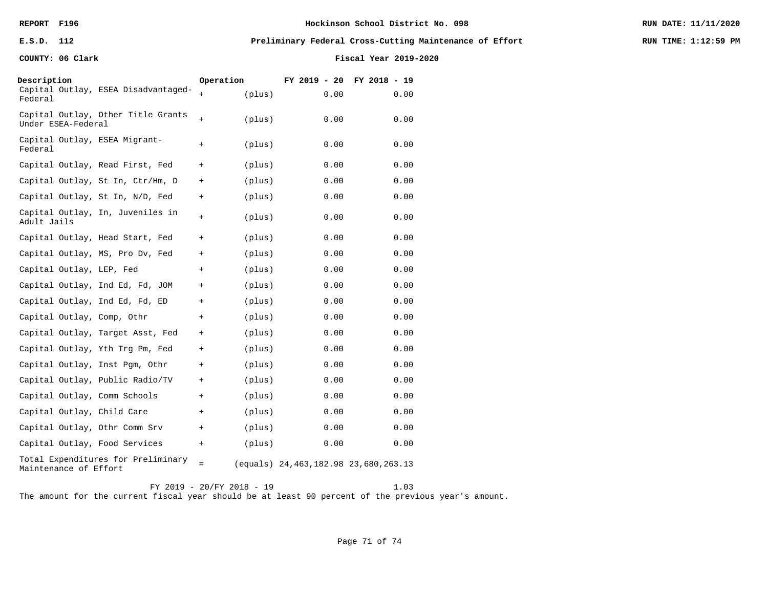### **E.S.D. 112 Preliminary Federal Cross-Cutting Maintenance of Effort RUN TIME: 1:12:59 PM**

**COUNTY: 06 Clark Fiscal Year 2019-2020**

| Description                              |                                     | Operation |        | $FY$ 2019 - 20                                            | FY 2018 - 19 |      |
|------------------------------------------|-------------------------------------|-----------|--------|-----------------------------------------------------------|--------------|------|
| Federal                                  | Capital Outlay, ESEA Disadvantaged- | $+$       | (plus) | 0.00                                                      |              | 0.00 |
| Under ESEA-Federal                       | Capital Outlay, Other Title Grants  | $+$       | (plus) | 0.00                                                      |              | 0.00 |
| Capital Outlay, ESEA Migrant-<br>Federal |                                     | $+$       | (plus) | 0.00                                                      |              | 0.00 |
|                                          | Capital Outlay, Read First, Fed     | $+$       | (plus) | 0.00                                                      |              | 0.00 |
|                                          | Capital Outlay, St In, Ctr/Hm, D    | $+$       | (plus) | 0.00                                                      |              | 0.00 |
|                                          | Capital Outlay, St In, N/D, Fed     | $+$       | (plus) | 0.00                                                      |              | 0.00 |
| Adult Jails                              | Capital Outlay, In, Juveniles in    | $^{+}$    | (plus) | 0.00                                                      |              | 0.00 |
|                                          | Capital Outlay, Head Start, Fed     | $+$       | (plus) | 0.00                                                      |              | 0.00 |
|                                          | Capital Outlay, MS, Pro Dv, Fed     | $+$       | (plus) | 0.00                                                      |              | 0.00 |
| Capital Outlay, LEP, Fed                 |                                     | $+$       | (plus) | 0.00                                                      |              | 0.00 |
|                                          | Capital Outlay, Ind Ed, Fd, JOM     | $^{+}$    | (plus) | 0.00                                                      |              | 0.00 |
| Capital Outlay, Ind Ed, Fd, ED           |                                     | $+$       | (plus) | 0.00                                                      |              | 0.00 |
| Capital Outlay, Comp, Othr               |                                     | $+$       | (plus) | 0.00                                                      |              | 0.00 |
|                                          | Capital Outlay, Target Asst, Fed    | $+$       | (plus) | 0.00                                                      |              | 0.00 |
|                                          | Capital Outlay, Yth Trg Pm, Fed     | $^{+}$    | (plus) | 0.00                                                      |              | 0.00 |
| Capital Outlay, Inst Pgm, Othr           |                                     | $+$       | (plus) | 0.00                                                      |              | 0.00 |
|                                          | Capital Outlay, Public Radio/TV     | $+$       | (plus) | 0.00                                                      |              | 0.00 |
| Capital Outlay, Comm Schools             |                                     | $^{+}$    | (plus) | 0.00                                                      |              | 0.00 |
| Capital Outlay, Child Care               |                                     | $+$       | (plus) | 0.00                                                      |              | 0.00 |
| Capital Outlay, Othr Comm Srv            |                                     | $+$       | (plus) | 0.00                                                      |              | 0.00 |
| Capital Outlay, Food Services            |                                     | $+$       | (plus) | 0.00                                                      |              | 0.00 |
| Maintenance of Effort                    | Total Expenditures for Preliminary  | $=$       |        | $\text{(equals)} \quad 24,463,182.98 \quad 23,680,263.13$ |              |      |

FY 2019 - 20/FY 2018 - 19 1.03 The amount for the current fiscal year should be at least 90 percent of the previous year's amount.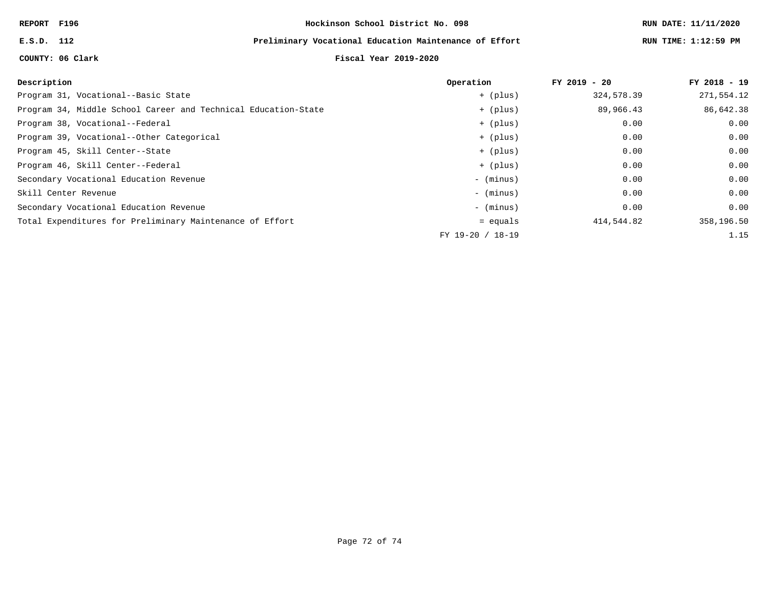## **E.S.D. 112 Preliminary Vocational Education Maintenance of Effort RUN TIME: 1:12:59 PM**

# **COUNTY: 06 Clark Fiscal Year 2019-2020**

| Description                                                    | Operation        | $FY$ 2019 - 20 | FY 2018 - 19 |
|----------------------------------------------------------------|------------------|----------------|--------------|
| Program 31, Vocational--Basic State                            | + (plus)         | 324,578.39     | 271,554.12   |
| Program 34, Middle School Career and Technical Education-State | + (plus)         | 89,966.43      | 86,642.38    |
| Program 38, Vocational--Federal                                | + (plus)         | 0.00           | 0.00         |
| Program 39, Vocational--Other Categorical                      | + (plus)         | 0.00           | 0.00         |
| Program 45, Skill Center--State                                | + (plus)         | 0.00           | 0.00         |
| Program 46, Skill Center--Federal                              | + (plus)         | 0.00           | 0.00         |
| Secondary Vocational Education Revenue                         | - (minus)        | 0.00           | 0.00         |
| Skill Center Revenue                                           | - (minus)        | 0.00           | 0.00         |
| Secondary Vocational Education Revenue                         | - (minus)        | 0.00           | 0.00         |
| Total Expenditures for Preliminary Maintenance of Effort       | $=$ equals       | 414,544.82     | 358,196.50   |
|                                                                | FY 19-20 / 18-19 |                | 1.15         |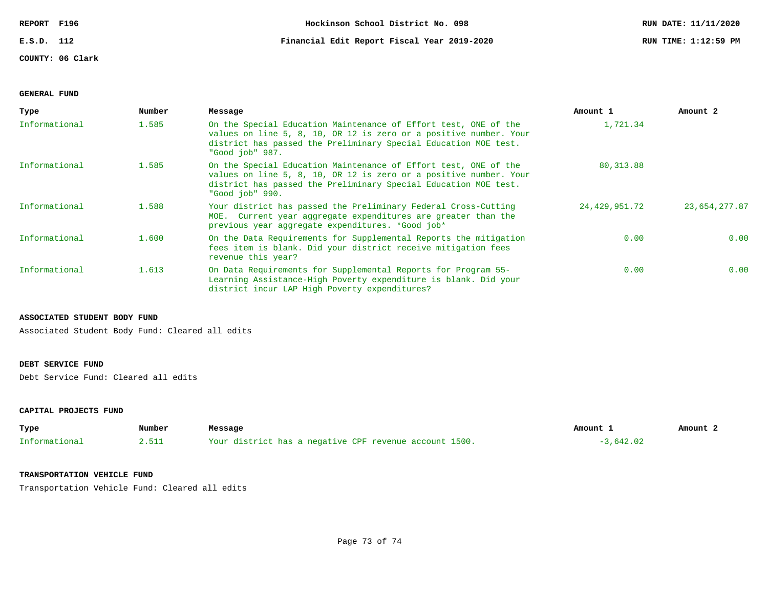**COUNTY: 06 Clark**

**E.S.D. 112 Financial Edit Report Fiscal Year 2019-2020 RUN TIME: 1:12:59 PM**

### **GENERAL FUND**

| Type          | Number | Message                                                                                                                                                                                                                    | Amount 1      | Amount 2      |
|---------------|--------|----------------------------------------------------------------------------------------------------------------------------------------------------------------------------------------------------------------------------|---------------|---------------|
| Informational | 1.585  | On the Special Education Maintenance of Effort test, ONE of the<br>values on line 5, 8, 10, OR 12 is zero or a positive number. Your<br>district has passed the Preliminary Special Education MOE test.<br>"Good job" 987. | 1,721.34      |               |
| Informational | 1.585  | On the Special Education Maintenance of Effort test, ONE of the<br>values on line 5, 8, 10, OR 12 is zero or a positive number. Your<br>district has passed the Preliminary Special Education MOE test.<br>"Good job" 990. | 80, 313.88    |               |
| Informational | 1.588  | Your district has passed the Preliminary Federal Cross-Cutting<br>MOE. Current year aggregate expenditures are greater than the<br>previous year aggregate expenditures. *Good job*                                        | 24,429,951.72 | 23,654,277.87 |
| Informational | 1,600  | On the Data Requirements for Supplemental Reports the mitigation<br>fees item is blank. Did your district receive mitigation fees<br>revenue this year?                                                                    | 0.00          | 0.00          |
| Informational | 1.613  | On Data Requirements for Supplemental Reports for Program 55-<br>Learning Assistance-High Poverty expenditure is blank. Did your<br>district incur LAP High Poverty expenditures?                                          | 0.00          | 0.00          |

#### **ASSOCIATED STUDENT BODY FUND**

Associated Student Body Fund: Cleared all edits

## **DEBT SERVICE FUND**

Debt Service Fund: Cleared all edits

### **CAPITAL PROJECTS FUND**

| Type          | Number | Message                                                | Amount      | Amount 2 |
|---------------|--------|--------------------------------------------------------|-------------|----------|
| Informational |        | Your district has a negative CPF revenue account 1500. | $-3.642.02$ |          |

#### **TRANSPORTATION VEHICLE FUND**

Transportation Vehicle Fund: Cleared all edits